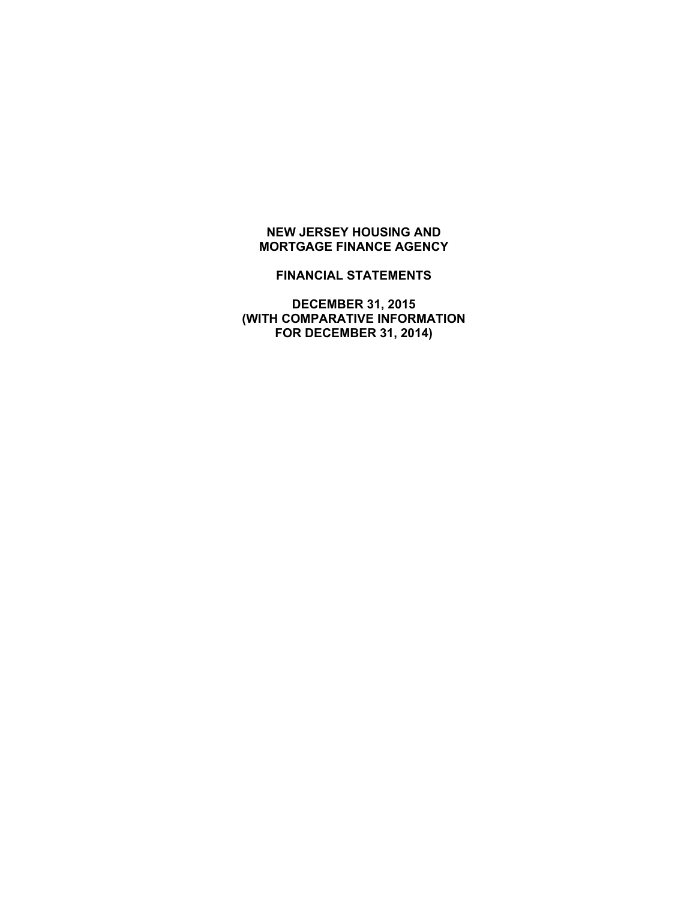# **NEW JERSEY HOUSING AND MORTGAGE FINANCE AGENCY**

**FINANCIAL STATEMENTS** 

**DECEMBER 31, 2015 (WITH COMPARATIVE INFORMATION FOR DECEMBER 31, 2014)**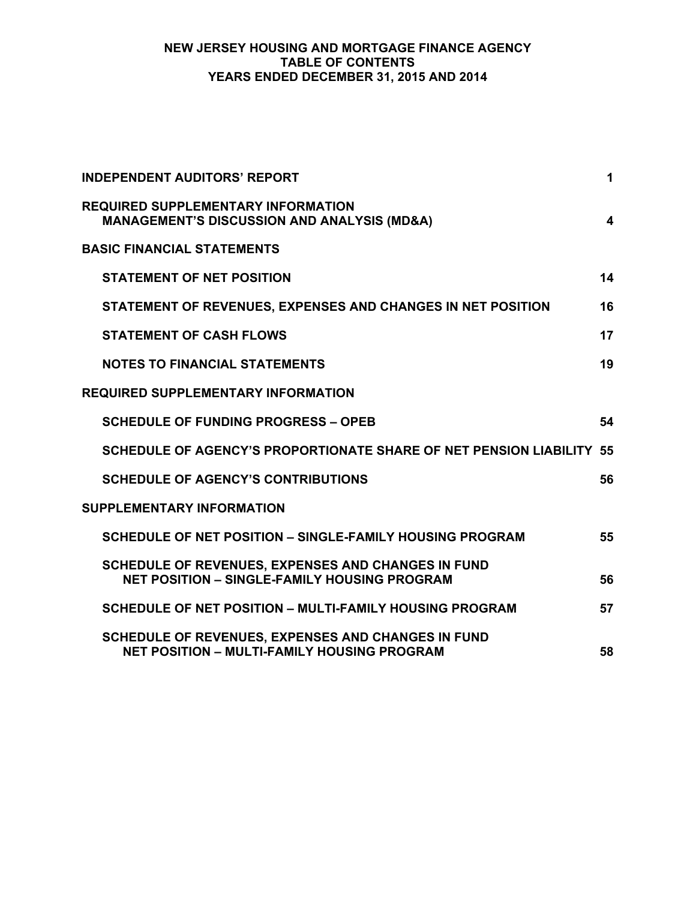### **NEW JERSEY HOUSING AND MORTGAGE FINANCE AGENCY TABLE OF CONTENTS YEARS ENDED DECEMBER 31, 2015 AND 2014**

| <b>INDEPENDENT AUDITORS' REPORT</b>                                                                              | 1  |
|------------------------------------------------------------------------------------------------------------------|----|
| <b>REQUIRED SUPPLEMENTARY INFORMATION</b><br><b>MANAGEMENT'S DISCUSSION AND ANALYSIS (MD&amp;A)</b>              | 4  |
| <b>BASIC FINANCIAL STATEMENTS</b>                                                                                |    |
| <b>STATEMENT OF NET POSITION</b>                                                                                 | 14 |
| STATEMENT OF REVENUES, EXPENSES AND CHANGES IN NET POSITION                                                      | 16 |
| <b>STATEMENT OF CASH FLOWS</b>                                                                                   | 17 |
| <b>NOTES TO FINANCIAL STATEMENTS</b>                                                                             | 19 |
| <b>REQUIRED SUPPLEMENTARY INFORMATION</b>                                                                        |    |
| <b>SCHEDULE OF FUNDING PROGRESS - OPEB</b>                                                                       | 54 |
| SCHEDULE OF AGENCY'S PROPORTIONATE SHARE OF NET PENSION LIABILITY 55                                             |    |
| <b>SCHEDULE OF AGENCY'S CONTRIBUTIONS</b>                                                                        | 56 |
| <b>SUPPLEMENTARY INFORMATION</b>                                                                                 |    |
| SCHEDULE OF NET POSITION - SINGLE-FAMILY HOUSING PROGRAM                                                         | 55 |
| <b>SCHEDULE OF REVENUES, EXPENSES AND CHANGES IN FUND</b><br><b>NET POSITION - SINGLE-FAMILY HOUSING PROGRAM</b> | 56 |
| SCHEDULE OF NET POSITION - MULTI-FAMILY HOUSING PROGRAM                                                          | 57 |
| SCHEDULE OF REVENUES, EXPENSES AND CHANGES IN FUND<br><b>NET POSITION - MULTI-FAMILY HOUSING PROGRAM</b>         | 58 |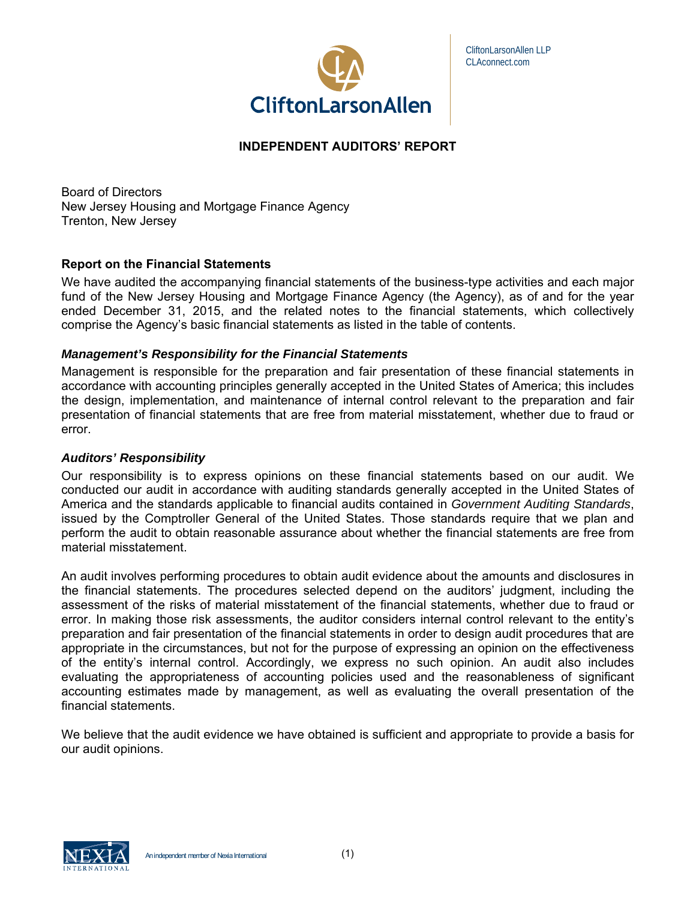

# **INDEPENDENT AUDITORS' REPORT**

Board of Directors New Jersey Housing and Mortgage Finance Agency Trenton, New Jersey

### **Report on the Financial Statements**

We have audited the accompanying financial statements of the business-type activities and each major fund of the New Jersey Housing and Mortgage Finance Agency (the Agency), as of and for the year ended December 31, 2015, and the related notes to the financial statements, which collectively comprise the Agency's basic financial statements as listed in the table of contents.

### *Management's Responsibility for the Financial Statements*

Management is responsible for the preparation and fair presentation of these financial statements in accordance with accounting principles generally accepted in the United States of America; this includes the design, implementation, and maintenance of internal control relevant to the preparation and fair presentation of financial statements that are free from material misstatement, whether due to fraud or error.

#### *Auditors' Responsibility*

Our responsibility is to express opinions on these financial statements based on our audit. We conducted our audit in accordance with auditing standards generally accepted in the United States of America and the standards applicable to financial audits contained in *Government Auditing Standards*, issued by the Comptroller General of the United States. Those standards require that we plan and perform the audit to obtain reasonable assurance about whether the financial statements are free from material misstatement.

An audit involves performing procedures to obtain audit evidence about the amounts and disclosures in the financial statements. The procedures selected depend on the auditors' judgment, including the assessment of the risks of material misstatement of the financial statements, whether due to fraud or error. In making those risk assessments, the auditor considers internal control relevant to the entity's preparation and fair presentation of the financial statements in order to design audit procedures that are appropriate in the circumstances, but not for the purpose of expressing an opinion on the effectiveness of the entity's internal control. Accordingly, we express no such opinion. An audit also includes evaluating the appropriateness of accounting policies used and the reasonableness of significant accounting estimates made by management, as well as evaluating the overall presentation of the financial statements.

We believe that the audit evidence we have obtained is sufficient and appropriate to provide a basis for our audit opinions.

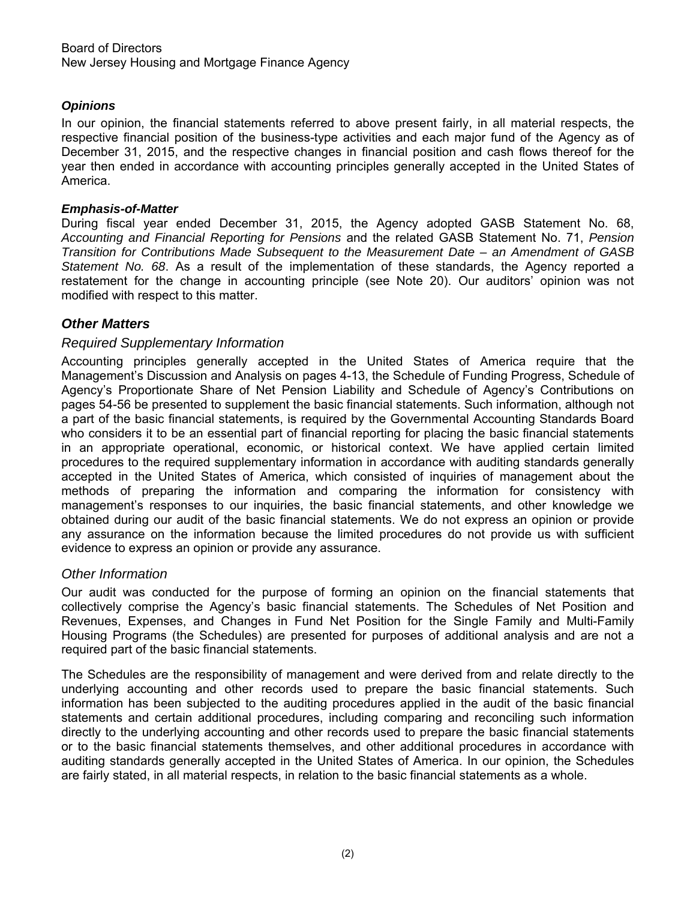# *Opinions*

In our opinion, the financial statements referred to above present fairly, in all material respects, the respective financial position of the business-type activities and each major fund of the Agency as of December 31, 2015, and the respective changes in financial position and cash flows thereof for the year then ended in accordance with accounting principles generally accepted in the United States of America.

# *Emphasis-of-Matter*

During fiscal year ended December 31, 2015, the Agency adopted GASB Statement No. 68, *Accounting and Financial Reporting for Pensions* and the related GASB Statement No. 71, *Pension Transition for Contributions Made Subsequent to the Measurement Date – an Amendment of GASB Statement No. 68*. As a result of the implementation of these standards, the Agency reported a restatement for the change in accounting principle (see Note 20). Our auditors' opinion was not modified with respect to this matter.

# *Other Matters*

# *Required Supplementary Information*

Accounting principles generally accepted in the United States of America require that the Management's Discussion and Analysis on pages 4-13, the Schedule of Funding Progress, Schedule of Agency's Proportionate Share of Net Pension Liability and Schedule of Agency's Contributions on pages 54-56 be presented to supplement the basic financial statements. Such information, although not a part of the basic financial statements, is required by the Governmental Accounting Standards Board who considers it to be an essential part of financial reporting for placing the basic financial statements in an appropriate operational, economic, or historical context. We have applied certain limited procedures to the required supplementary information in accordance with auditing standards generally accepted in the United States of America, which consisted of inquiries of management about the methods of preparing the information and comparing the information for consistency with management's responses to our inquiries, the basic financial statements, and other knowledge we obtained during our audit of the basic financial statements. We do not express an opinion or provide any assurance on the information because the limited procedures do not provide us with sufficient evidence to express an opinion or provide any assurance.

# *Other Information*

Our audit was conducted for the purpose of forming an opinion on the financial statements that collectively comprise the Agency's basic financial statements. The Schedules of Net Position and Revenues, Expenses, and Changes in Fund Net Position for the Single Family and Multi-Family Housing Programs (the Schedules) are presented for purposes of additional analysis and are not a required part of the basic financial statements.

The Schedules are the responsibility of management and were derived from and relate directly to the underlying accounting and other records used to prepare the basic financial statements. Such information has been subjected to the auditing procedures applied in the audit of the basic financial statements and certain additional procedures, including comparing and reconciling such information directly to the underlying accounting and other records used to prepare the basic financial statements or to the basic financial statements themselves, and other additional procedures in accordance with auditing standards generally accepted in the United States of America. In our opinion, the Schedules are fairly stated, in all material respects, in relation to the basic financial statements as a whole.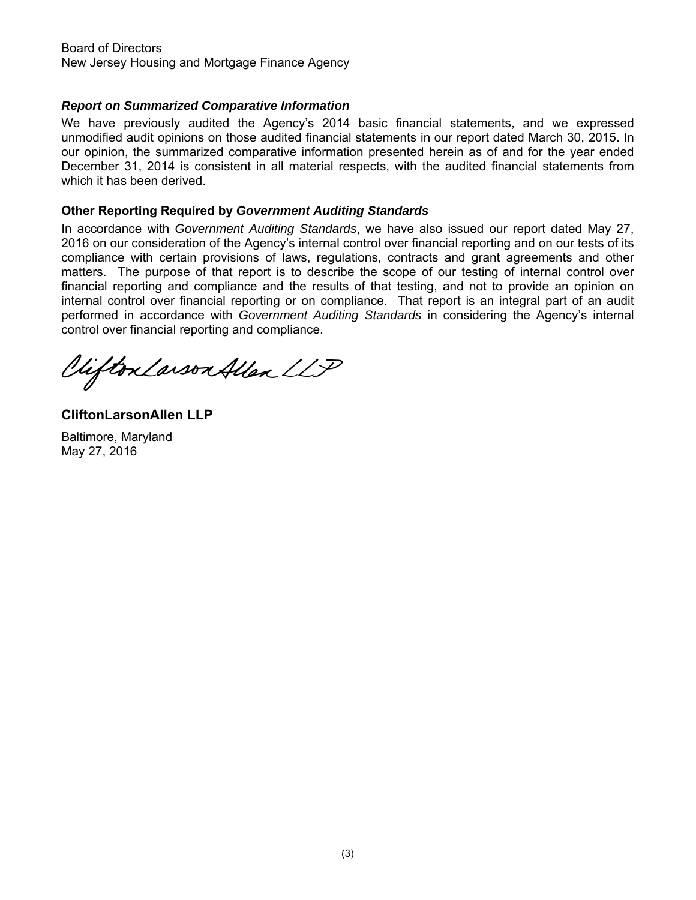#### Board of Directors New Jersey Housing and Mortgage Finance Agency

# *Report on Summarized Comparative Information*

We have previously audited the Agency's 2014 basic financial statements, and we expressed unmodified audit opinions on those audited financial statements in our report dated March 30, 2015. In our opinion, the summarized comparative information presented herein as of and for the year ended December 31, 2014 is consistent in all material respects, with the audited financial statements from which it has been derived.

#### **Other Reporting Required by** *Government Auditing Standards*

In accordance with *Government Auditing Standards*, we have also issued our report dated May 27, 2016 on our consideration of the Agency's internal control over financial reporting and on our tests of its compliance with certain provisions of laws, regulations, contracts and grant agreements and other matters. The purpose of that report is to describe the scope of our testing of internal control over financial reporting and compliance and the results of that testing, and not to provide an opinion on internal control over financial reporting or on compliance. That report is an integral part of an audit performed in accordance with *Government Auditing Standards* in considering the Agency's internal control over financial reporting and compliance.

Viefton Larson Allen LLP

**CliftonLarsonAllen LLP** 

Baltimore, Maryland May 27, 2016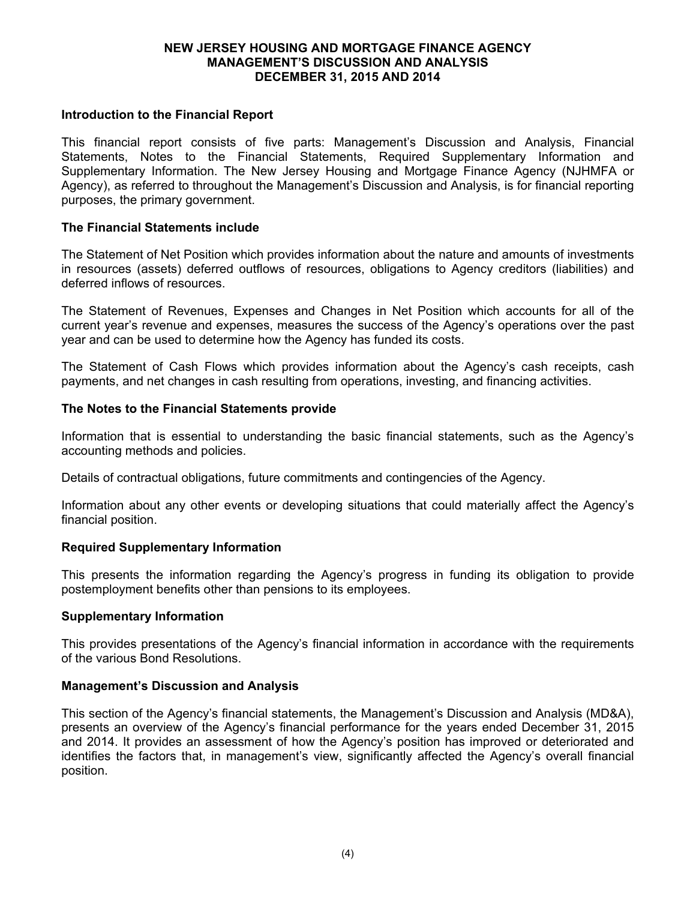### **Introduction to the Financial Report**

This financial report consists of five parts: Management's Discussion and Analysis, Financial Statements, Notes to the Financial Statements, Required Supplementary Information and Supplementary Information. The New Jersey Housing and Mortgage Finance Agency (NJHMFA or Agency), as referred to throughout the Management's Discussion and Analysis, is for financial reporting purposes, the primary government.

### **The Financial Statements include**

The Statement of Net Position which provides information about the nature and amounts of investments in resources (assets) deferred outflows of resources, obligations to Agency creditors (liabilities) and deferred inflows of resources.

The Statement of Revenues, Expenses and Changes in Net Position which accounts for all of the current year's revenue and expenses, measures the success of the Agency's operations over the past year and can be used to determine how the Agency has funded its costs.

The Statement of Cash Flows which provides information about the Agency's cash receipts, cash payments, and net changes in cash resulting from operations, investing, and financing activities.

### **The Notes to the Financial Statements provide**

Information that is essential to understanding the basic financial statements, such as the Agency's accounting methods and policies.

Details of contractual obligations, future commitments and contingencies of the Agency.

Information about any other events or developing situations that could materially affect the Agency's financial position.

# **Required Supplementary Information**

This presents the information regarding the Agency's progress in funding its obligation to provide postemployment benefits other than pensions to its employees.

#### **Supplementary Information**

This provides presentations of the Agency's financial information in accordance with the requirements of the various Bond Resolutions.

#### **Management's Discussion and Analysis**

This section of the Agency's financial statements, the Management's Discussion and Analysis (MD&A), presents an overview of the Agency's financial performance for the years ended December 31, 2015 and 2014. It provides an assessment of how the Agency's position has improved or deteriorated and identifies the factors that, in management's view, significantly affected the Agency's overall financial position.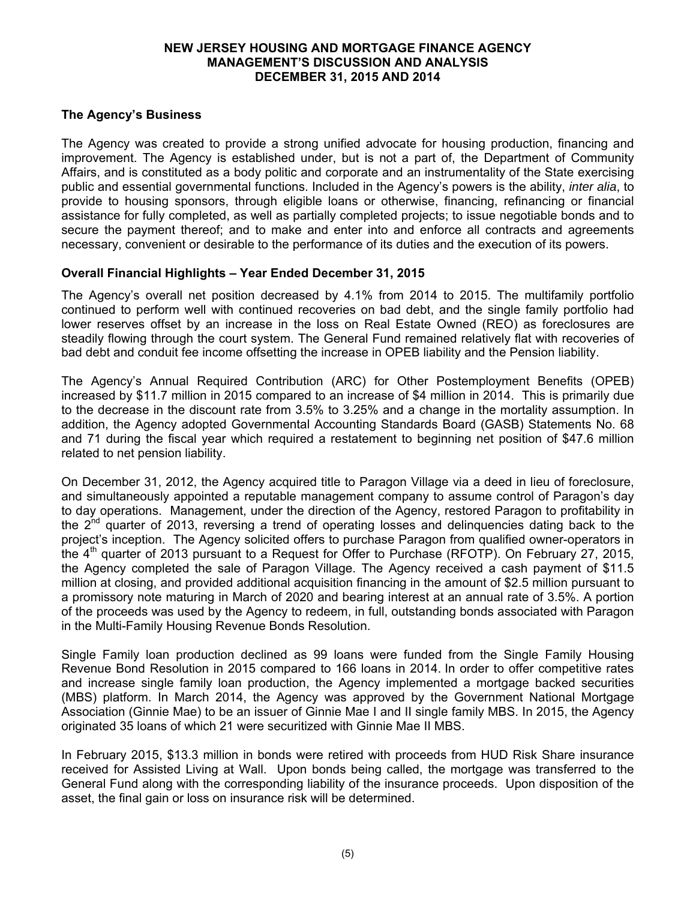# **The Agency's Business**

The Agency was created to provide a strong unified advocate for housing production, financing and improvement. The Agency is established under, but is not a part of, the Department of Community Affairs, and is constituted as a body politic and corporate and an instrumentality of the State exercising public and essential governmental functions. Included in the Agency's powers is the ability, *inter alia*, to provide to housing sponsors, through eligible loans or otherwise, financing, refinancing or financial assistance for fully completed, as well as partially completed projects; to issue negotiable bonds and to secure the payment thereof; and to make and enter into and enforce all contracts and agreements necessary, convenient or desirable to the performance of its duties and the execution of its powers.

# **Overall Financial Highlights – Year Ended December 31, 2015**

The Agency's overall net position decreased by 4.1% from 2014 to 2015. The multifamily portfolio continued to perform well with continued recoveries on bad debt, and the single family portfolio had lower reserves offset by an increase in the loss on Real Estate Owned (REO) as foreclosures are steadily flowing through the court system. The General Fund remained relatively flat with recoveries of bad debt and conduit fee income offsetting the increase in OPEB liability and the Pension liability.

The Agency's Annual Required Contribution (ARC) for Other Postemployment Benefits (OPEB) increased by \$11.7 million in 2015 compared to an increase of \$4 million in 2014. This is primarily due to the decrease in the discount rate from 3.5% to 3.25% and a change in the mortality assumption. In addition, the Agency adopted Governmental Accounting Standards Board (GASB) Statements No. 68 and 71 during the fiscal year which required a restatement to beginning net position of \$47.6 million related to net pension liability.

On December 31, 2012, the Agency acquired title to Paragon Village via a deed in lieu of foreclosure, and simultaneously appointed a reputable management company to assume control of Paragon's day to day operations. Management, under the direction of the Agency, restored Paragon to profitability in the  $2^{nd}$  quarter of 2013, reversing a trend of operating losses and delinquencies dating back to the project's inception. The Agency solicited offers to purchase Paragon from qualified owner-operators in the  $4<sup>th</sup>$  quarter of 2013 pursuant to a Request for Offer to Purchase (RFOTP). On February 27, 2015, the Agency completed the sale of Paragon Village. The Agency received a cash payment of \$11.5 million at closing, and provided additional acquisition financing in the amount of \$2.5 million pursuant to a promissory note maturing in March of 2020 and bearing interest at an annual rate of 3.5%. A portion of the proceeds was used by the Agency to redeem, in full, outstanding bonds associated with Paragon in the Multi-Family Housing Revenue Bonds Resolution.

Single Family loan production declined as 99 loans were funded from the Single Family Housing Revenue Bond Resolution in 2015 compared to 166 loans in 2014. In order to offer competitive rates and increase single family loan production, the Agency implemented a mortgage backed securities (MBS) platform. In March 2014, the Agency was approved by the Government National Mortgage Association (Ginnie Mae) to be an issuer of Ginnie Mae I and II single family MBS. In 2015, the Agency originated 35 loans of which 21 were securitized with Ginnie Mae II MBS.

In February 2015, \$13.3 million in bonds were retired with proceeds from HUD Risk Share insurance received for Assisted Living at Wall. Upon bonds being called, the mortgage was transferred to the General Fund along with the corresponding liability of the insurance proceeds. Upon disposition of the asset, the final gain or loss on insurance risk will be determined.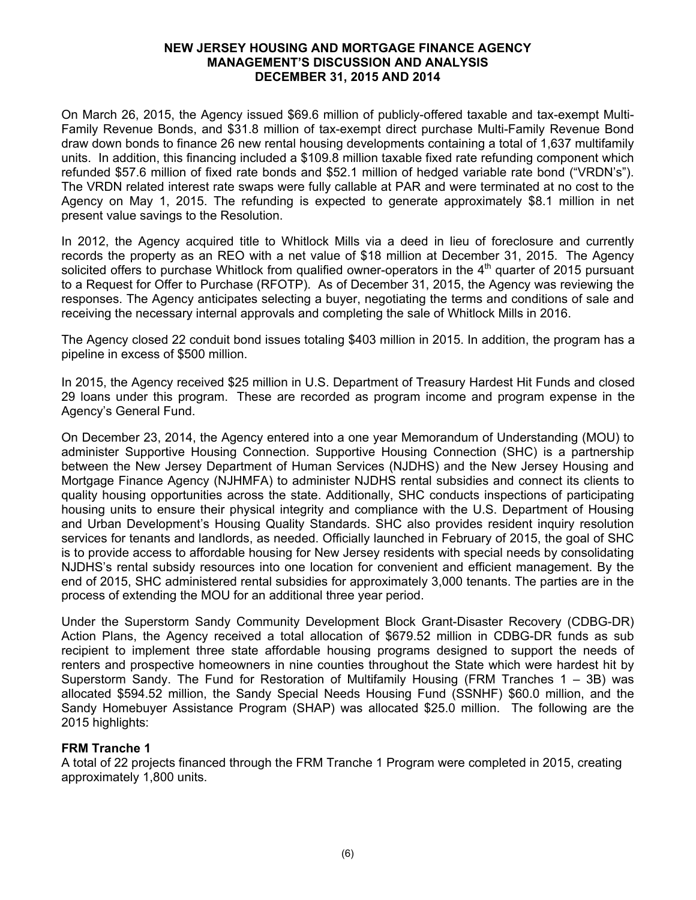On March 26, 2015, the Agency issued \$69.6 million of publicly-offered taxable and tax-exempt Multi-Family Revenue Bonds, and \$31.8 million of tax-exempt direct purchase Multi-Family Revenue Bond draw down bonds to finance 26 new rental housing developments containing a total of 1,637 multifamily units. In addition, this financing included a \$109.8 million taxable fixed rate refunding component which refunded \$57.6 million of fixed rate bonds and \$52.1 million of hedged variable rate bond ("VRDN's"). The VRDN related interest rate swaps were fully callable at PAR and were terminated at no cost to the Agency on May 1, 2015. The refunding is expected to generate approximately \$8.1 million in net present value savings to the Resolution.

In 2012, the Agency acquired title to Whitlock Mills via a deed in lieu of foreclosure and currently records the property as an REO with a net value of \$18 million at December 31, 2015. The Agency solicited offers to purchase Whitlock from qualified owner-operators in the 4<sup>th</sup> quarter of 2015 pursuant to a Request for Offer to Purchase (RFOTP). As of December 31, 2015, the Agency was reviewing the responses. The Agency anticipates selecting a buyer, negotiating the terms and conditions of sale and receiving the necessary internal approvals and completing the sale of Whitlock Mills in 2016.

The Agency closed 22 conduit bond issues totaling \$403 million in 2015. In addition, the program has a pipeline in excess of \$500 million.

In 2015, the Agency received \$25 million in U.S. Department of Treasury Hardest Hit Funds and closed 29 loans under this program. These are recorded as program income and program expense in the Agency's General Fund.

On December 23, 2014, the Agency entered into a one year Memorandum of Understanding (MOU) to administer Supportive Housing Connection. Supportive Housing Connection (SHC) is a partnership between the New Jersey Department of Human Services (NJDHS) and the New Jersey Housing and Mortgage Finance Agency (NJHMFA) to administer NJDHS rental subsidies and connect its clients to quality housing opportunities across the state. Additionally, SHC conducts inspections of participating housing units to ensure their physical integrity and compliance with the U.S. Department of Housing and Urban Development's Housing Quality Standards. SHC also provides resident inquiry resolution services for tenants and landlords, as needed. Officially launched in February of 2015, the goal of SHC is to provide access to affordable housing for New Jersey residents with special needs by consolidating NJDHS's rental subsidy resources into one location for convenient and efficient management. By the end of 2015, SHC administered rental subsidies for approximately 3,000 tenants. The parties are in the process of extending the MOU for an additional three year period.

Under the Superstorm Sandy Community Development Block Grant-Disaster Recovery (CDBG-DR) Action Plans, the Agency received a total allocation of \$679.52 million in CDBG-DR funds as sub recipient to implement three state affordable housing programs designed to support the needs of renters and prospective homeowners in nine counties throughout the State which were hardest hit by Superstorm Sandy. The Fund for Restoration of Multifamily Housing (FRM Tranches 1 – 3B) was allocated \$594.52 million, the Sandy Special Needs Housing Fund (SSNHF) \$60.0 million, and the Sandy Homebuyer Assistance Program (SHAP) was allocated \$25.0 million. The following are the 2015 highlights:

# **FRM Tranche 1**

A total of 22 projects financed through the FRM Tranche 1 Program were completed in 2015, creating approximately 1,800 units.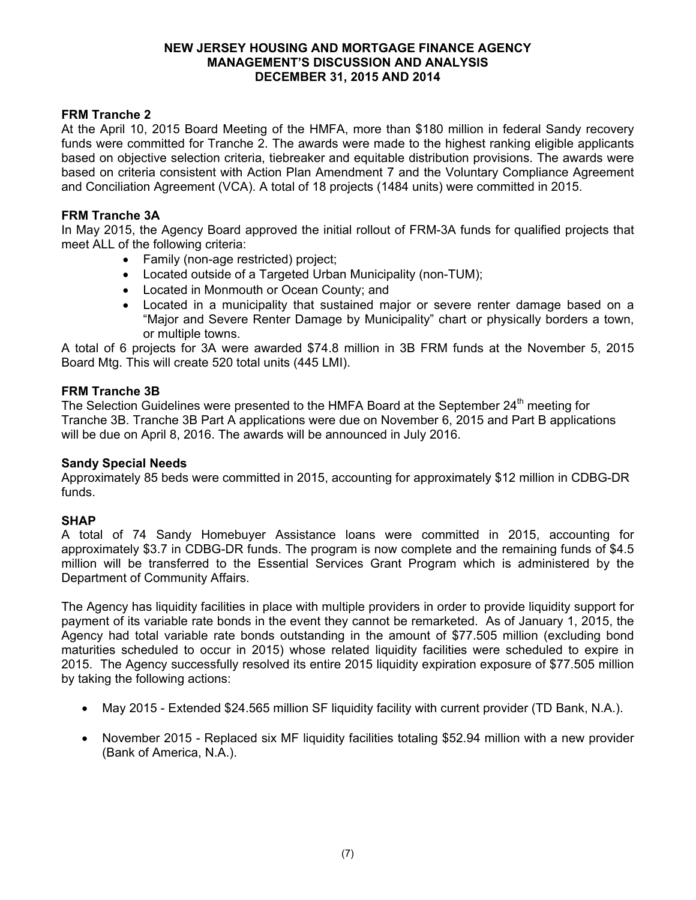# **FRM Tranche 2**

At the April 10, 2015 Board Meeting of the HMFA, more than \$180 million in federal Sandy recovery funds were committed for Tranche 2. The awards were made to the highest ranking eligible applicants based on objective selection criteria, tiebreaker and equitable distribution provisions. The awards were based on criteria consistent with Action Plan Amendment 7 and the Voluntary Compliance Agreement and Conciliation Agreement (VCA). A total of 18 projects (1484 units) were committed in 2015.

# **FRM Tranche 3A**

In May 2015, the Agency Board approved the initial rollout of FRM-3A funds for qualified projects that meet ALL of the following criteria:

- Family (non-age restricted) project;
- Located outside of a Targeted Urban Municipality (non-TUM);
- Located in Monmouth or Ocean County; and
- Located in a municipality that sustained major or severe renter damage based on a "Major and Severe Renter Damage by Municipality" chart or physically borders a town, or multiple towns.

A total of 6 projects for 3A were awarded \$74.8 million in 3B FRM funds at the November 5, 2015 Board Mtg. This will create 520 total units (445 LMI).

# **FRM Tranche 3B**

The Selection Guidelines were presented to the HMFA Board at the September  $24<sup>th</sup>$  meeting for Tranche 3B. Tranche 3B Part A applications were due on November 6, 2015 and Part B applications will be due on April 8, 2016. The awards will be announced in July 2016.

# **Sandy Special Needs**

Approximately 85 beds were committed in 2015, accounting for approximately \$12 million in CDBG-DR funds.

# **SHAP**

A total of 74 Sandy Homebuyer Assistance loans were committed in 2015, accounting for approximately \$3.7 in CDBG-DR funds. The program is now complete and the remaining funds of \$4.5 million will be transferred to the Essential Services Grant Program which is administered by the Department of Community Affairs.

The Agency has liquidity facilities in place with multiple providers in order to provide liquidity support for payment of its variable rate bonds in the event they cannot be remarketed. As of January 1, 2015, the Agency had total variable rate bonds outstanding in the amount of \$77.505 million (excluding bond maturities scheduled to occur in 2015) whose related liquidity facilities were scheduled to expire in 2015. The Agency successfully resolved its entire 2015 liquidity expiration exposure of \$77.505 million by taking the following actions:

- May 2015 Extended \$24.565 million SF liquidity facility with current provider (TD Bank, N.A.).
- November 2015 Replaced six MF liquidity facilities totaling \$52.94 million with a new provider (Bank of America, N.A.).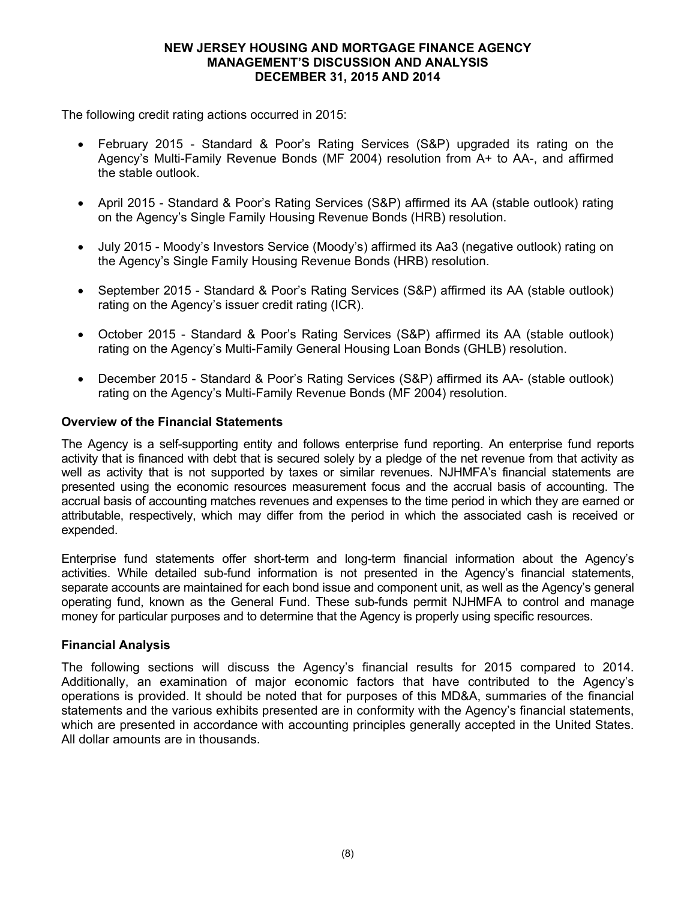The following credit rating actions occurred in 2015:

- February 2015 Standard & Poor's Rating Services (S&P) upgraded its rating on the Agency's Multi-Family Revenue Bonds (MF 2004) resolution from A+ to AA-, and affirmed the stable outlook.
- April 2015 Standard & Poor's Rating Services (S&P) affirmed its AA (stable outlook) rating on the Agency's Single Family Housing Revenue Bonds (HRB) resolution.
- July 2015 Moody's Investors Service (Moody's) affirmed its Aa3 (negative outlook) rating on the Agency's Single Family Housing Revenue Bonds (HRB) resolution.
- September 2015 Standard & Poor's Rating Services (S&P) affirmed its AA (stable outlook) rating on the Agency's issuer credit rating (ICR).
- October 2015 Standard & Poor's Rating Services (S&P) affirmed its AA (stable outlook) rating on the Agency's Multi-Family General Housing Loan Bonds (GHLB) resolution.
- December 2015 Standard & Poor's Rating Services (S&P) affirmed its AA- (stable outlook) rating on the Agency's Multi-Family Revenue Bonds (MF 2004) resolution.

### **Overview of the Financial Statements**

The Agency is a self-supporting entity and follows enterprise fund reporting. An enterprise fund reports activity that is financed with debt that is secured solely by a pledge of the net revenue from that activity as well as activity that is not supported by taxes or similar revenues. NJHMFA's financial statements are presented using the economic resources measurement focus and the accrual basis of accounting. The accrual basis of accounting matches revenues and expenses to the time period in which they are earned or attributable, respectively, which may differ from the period in which the associated cash is received or expended.

Enterprise fund statements offer short-term and long-term financial information about the Agency's activities. While detailed sub-fund information is not presented in the Agency's financial statements, separate accounts are maintained for each bond issue and component unit, as well as the Agency's general operating fund, known as the General Fund. These sub-funds permit NJHMFA to control and manage money for particular purposes and to determine that the Agency is properly using specific resources.

#### **Financial Analysis**

The following sections will discuss the Agency's financial results for 2015 compared to 2014. Additionally, an examination of major economic factors that have contributed to the Agency's operations is provided. It should be noted that for purposes of this MD&A, summaries of the financial statements and the various exhibits presented are in conformity with the Agency's financial statements, which are presented in accordance with accounting principles generally accepted in the United States. All dollar amounts are in thousands.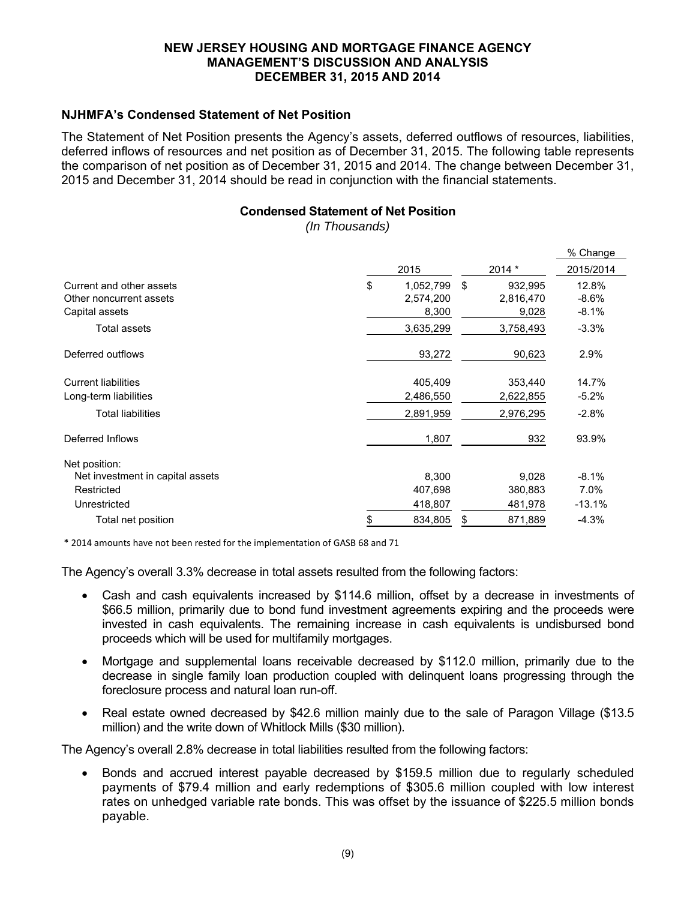# **NJHMFA's Condensed Statement of Net Position**

The Statement of Net Position presents the Agency's assets, deferred outflows of resources, liabilities, deferred inflows of resources and net position as of December 31, 2015. The following table represents the comparison of net position as of December 31, 2015 and 2014. The change between December 31, 2015 and December 31, 2014 should be read in conjunction with the financial statements.

### **Condensed Statement of Net Position**

*(In Thousands)* 

|                                  |                 |               | % Change  |
|----------------------------------|-----------------|---------------|-----------|
|                                  | 2015            | 2014 *        | 2015/2014 |
| Current and other assets         | \$<br>1,052,799 | \$<br>932,995 | 12.8%     |
| Other noncurrent assets          | 2,574,200       | 2,816,470     | $-8.6%$   |
| Capital assets                   | 8,300           | 9,028         | $-8.1%$   |
| <b>Total assets</b>              | 3,635,299       | 3,758,493     | $-3.3%$   |
| Deferred outflows                | 93,272          | 90,623        | 2.9%      |
| <b>Current liabilities</b>       | 405,409         | 353,440       | 14.7%     |
| Long-term liabilities            | 2,486,550       | 2,622,855     | $-5.2%$   |
| <b>Total liabilities</b>         | 2,891,959       | 2,976,295     | $-2.8%$   |
| Deferred Inflows                 | 1,807           | 932           | 93.9%     |
| Net position:                    |                 |               |           |
| Net investment in capital assets | 8,300           | 9,028         | $-8.1%$   |
| Restricted                       | 407,698         | 380,883       | 7.0%      |
| Unrestricted                     | 418,807         | 481,978       | $-13.1%$  |
| Total net position               | 834,805         | \$<br>871,889 | $-4.3%$   |

\* 2014 amounts have not been rested for the implementation of GASB 68 and 71

The Agency's overall 3.3% decrease in total assets resulted from the following factors:

- Cash and cash equivalents increased by \$114.6 million, offset by a decrease in investments of \$66.5 million, primarily due to bond fund investment agreements expiring and the proceeds were invested in cash equivalents. The remaining increase in cash equivalents is undisbursed bond proceeds which will be used for multifamily mortgages.
- Mortgage and supplemental loans receivable decreased by \$112.0 million, primarily due to the decrease in single family loan production coupled with delinquent loans progressing through the foreclosure process and natural loan run-off.
- Real estate owned decreased by \$42.6 million mainly due to the sale of Paragon Village (\$13.5) million) and the write down of Whitlock Mills (\$30 million).

The Agency's overall 2.8% decrease in total liabilities resulted from the following factors:

 Bonds and accrued interest payable decreased by \$159.5 million due to regularly scheduled payments of \$79.4 million and early redemptions of \$305.6 million coupled with low interest rates on unhedged variable rate bonds. This was offset by the issuance of \$225.5 million bonds payable.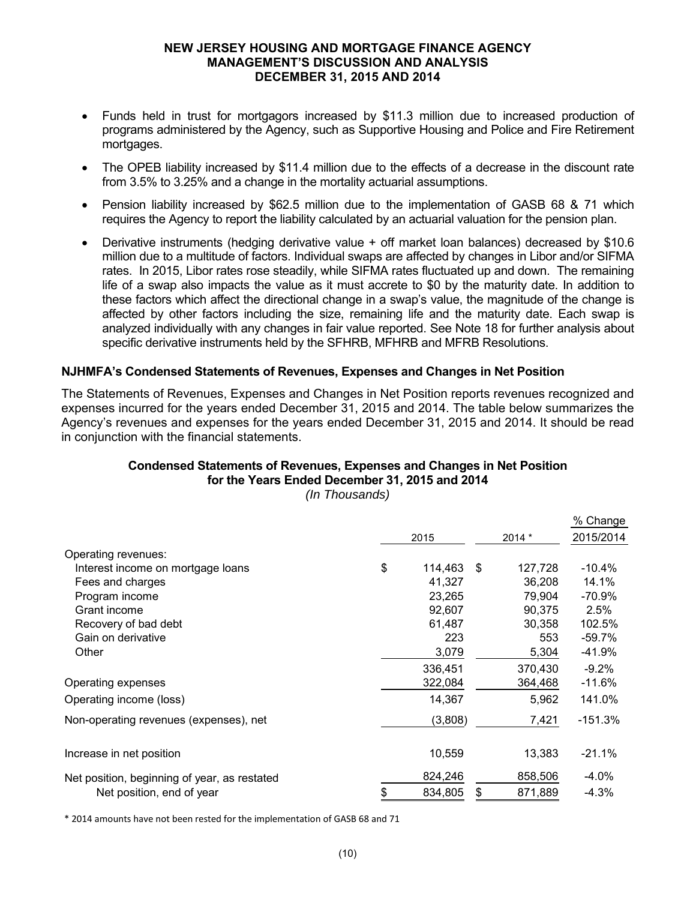- Funds held in trust for mortgagors increased by \$11.3 million due to increased production of programs administered by the Agency, such as Supportive Housing and Police and Fire Retirement mortgages.
- The OPEB liability increased by \$11.4 million due to the effects of a decrease in the discount rate from 3.5% to 3.25% and a change in the mortality actuarial assumptions.
- Pension liability increased by \$62.5 million due to the implementation of GASB 68 & 71 which requires the Agency to report the liability calculated by an actuarial valuation for the pension plan.
- Derivative instruments (hedging derivative value + off market loan balances) decreased by \$10.6 million due to a multitude of factors. Individual swaps are affected by changes in Libor and/or SIFMA rates. In 2015, Libor rates rose steadily, while SIFMA rates fluctuated up and down. The remaining life of a swap also impacts the value as it must accrete to \$0 by the maturity date. In addition to these factors which affect the directional change in a swap's value, the magnitude of the change is affected by other factors including the size, remaining life and the maturity date. Each swap is analyzed individually with any changes in fair value reported. See Note 18 for further analysis about specific derivative instruments held by the SFHRB, MFHRB and MFRB Resolutions.

### **NJHMFA's Condensed Statements of Revenues, Expenses and Changes in Net Position**

The Statements of Revenues, Expenses and Changes in Net Position reports revenues recognized and expenses incurred for the years ended December 31, 2015 and 2014. The table below summarizes the Agency's revenues and expenses for the years ended December 31, 2015 and 2014. It should be read in conjunction with the financial statements.

# **Condensed Statements of Revenues, Expenses and Changes in Net Position for the Years Ended December 31, 2015 and 2014**

*(In Thousands)* 

|                                              |                       |         | % Change  |
|----------------------------------------------|-----------------------|---------|-----------|
|                                              | 2015                  | 2014 *  | 2015/2014 |
| Operating revenues:                          |                       |         |           |
| Interest income on mortgage loans            | \$<br>114,463<br>- \$ | 127,728 | $-10.4%$  |
| Fees and charges                             | 41,327                | 36,208  | 14.1%     |
| Program income                               | 23,265                | 79,904  | -70.9%    |
| Grant income                                 | 92,607                | 90,375  | 2.5%      |
| Recovery of bad debt                         | 61,487                | 30,358  | 102.5%    |
| Gain on derivative                           | 223                   | 553     | $-59.7\%$ |
| Other                                        | 3,079                 | 5,304   | -41.9%    |
|                                              | 336,451               | 370,430 | $-9.2\%$  |
| Operating expenses                           | 322,084               | 364,468 | $-11.6%$  |
| Operating income (loss)                      | 14,367                | 5,962   | 141.0%    |
| Non-operating revenues (expenses), net       | (3,808)               | 7,421   | $-151.3%$ |
| Increase in net position                     | 10,559                | 13,383  | $-21.1%$  |
| Net position, beginning of year, as restated | 824,246               | 858,506 | -4.0%     |
| Net position, end of year                    | \$<br>834,805<br>S    | 871,889 | $-4.3%$   |

\* 2014 amounts have not been rested for the implementation of GASB 68 and 71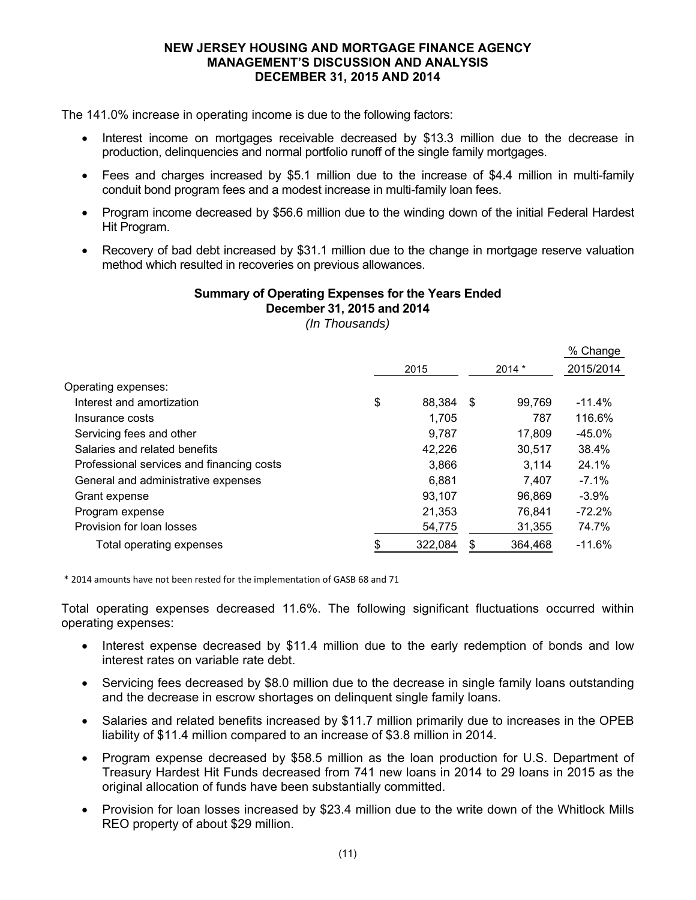The 141.0% increase in operating income is due to the following factors:

- Interest income on mortgages receivable decreased by \$13.3 million due to the decrease in production, delinquencies and normal portfolio runoff of the single family mortgages.
- Fees and charges increased by \$5.1 million due to the increase of \$4.4 million in multi-family conduit bond program fees and a modest increase in multi-family loan fees.
- Program income decreased by \$56.6 million due to the winding down of the initial Federal Hardest Hit Program.
- Recovery of bad debt increased by \$31.1 million due to the change in mortgage reserve valuation method which resulted in recoveries on previous allowances.

# **Summary of Operating Expenses for the Years Ended December 31, 2015 and 2014**

*(In Thousands)* 

|                                           |               |    |         | % Change  |
|-------------------------------------------|---------------|----|---------|-----------|
|                                           | 2015          |    | $2014*$ | 2015/2014 |
| Operating expenses:                       |               |    |         |           |
| Interest and amortization                 | \$<br>88,384  | \$ | 99.769  | $-11.4%$  |
| Insurance costs                           | 1,705         |    | 787     | 116.6%    |
| Servicing fees and other                  | 9,787         |    | 17,809  | $-45.0\%$ |
| Salaries and related benefits             | 42,226        |    | 30.517  | 38.4%     |
| Professional services and financing costs | 3,866         |    | 3,114   | 24.1%     |
| General and administrative expenses       | 6.881         |    | 7,407   | $-7.1\%$  |
| Grant expense                             | 93.107        |    | 96.869  | $-3.9\%$  |
| Program expense                           | 21,353        |    | 76,841  | $-72.2%$  |
| Provision for loan losses                 | 54,775        |    | 31,355  | 74.7%     |
| Total operating expenses                  | \$<br>322.084 | S  | 364.468 | $-11.6%$  |

\* 2014 amounts have not been rested for the implementation of GASB 68 and 71

Total operating expenses decreased 11.6%. The following significant fluctuations occurred within operating expenses:

- Interest expense decreased by \$11.4 million due to the early redemption of bonds and low interest rates on variable rate debt.
- Servicing fees decreased by \$8.0 million due to the decrease in single family loans outstanding and the decrease in escrow shortages on delinquent single family loans.
- Salaries and related benefits increased by \$11.7 million primarily due to increases in the OPEB liability of \$11.4 million compared to an increase of \$3.8 million in 2014.
- Program expense decreased by \$58.5 million as the loan production for U.S. Department of Treasury Hardest Hit Funds decreased from 741 new loans in 2014 to 29 loans in 2015 as the original allocation of funds have been substantially committed.
- Provision for loan losses increased by \$23.4 million due to the write down of the Whitlock Mills REO property of about \$29 million.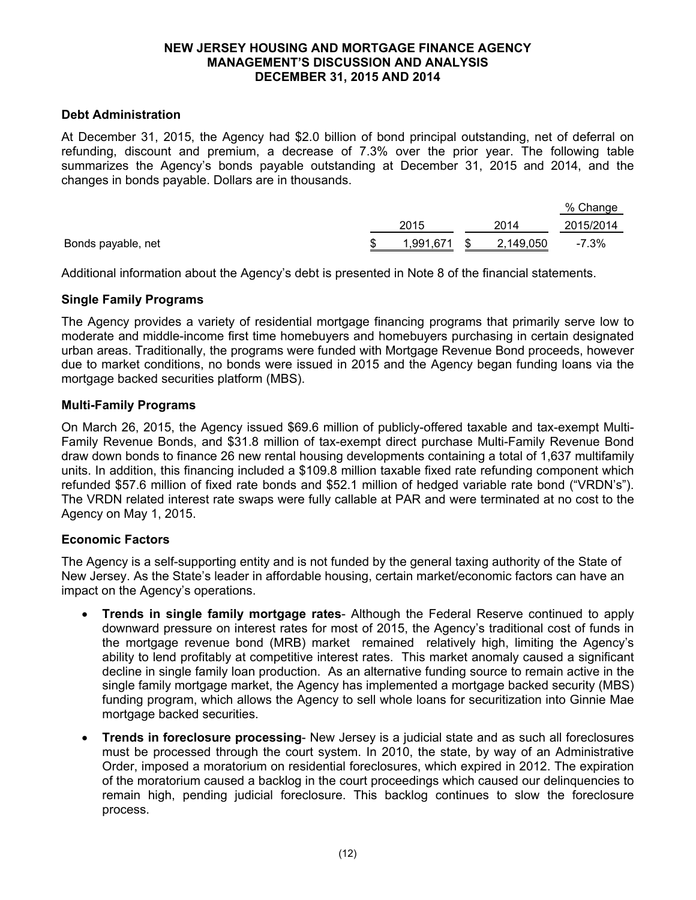# **Debt Administration**

At December 31, 2015, the Agency had \$2.0 billion of bond principal outstanding, net of deferral on refunding, discount and premium, a decrease of 7.3% over the prior year. The following table summarizes the Agency's bonds payable outstanding at December 31, 2015 and 2014, and the changes in bonds payable. Dollars are in thousands.

|                    |              |           | % Change  |
|--------------------|--------------|-----------|-----------|
|                    | 2015         | 2014      | 2015/2014 |
| Bonds payable, net | 1,991,671 \$ | 2,149,050 | $-7.3%$   |

Additional information about the Agency's debt is presented in Note 8 of the financial statements.

### **Single Family Programs**

The Agency provides a variety of residential mortgage financing programs that primarily serve low to moderate and middle-income first time homebuyers and homebuyers purchasing in certain designated urban areas. Traditionally, the programs were funded with Mortgage Revenue Bond proceeds, however due to market conditions, no bonds were issued in 2015 and the Agency began funding loans via the mortgage backed securities platform (MBS).

#### **Multi-Family Programs**

On March 26, 2015, the Agency issued \$69.6 million of publicly-offered taxable and tax-exempt Multi-Family Revenue Bonds, and \$31.8 million of tax-exempt direct purchase Multi-Family Revenue Bond draw down bonds to finance 26 new rental housing developments containing a total of 1,637 multifamily units. In addition, this financing included a \$109.8 million taxable fixed rate refunding component which refunded \$57.6 million of fixed rate bonds and \$52.1 million of hedged variable rate bond ("VRDN's"). The VRDN related interest rate swaps were fully callable at PAR and were terminated at no cost to the Agency on May 1, 2015.

#### **Economic Factors**

The Agency is a self-supporting entity and is not funded by the general taxing authority of the State of New Jersey. As the State's leader in affordable housing, certain market/economic factors can have an impact on the Agency's operations.

- **Trends in single family mortgage rates** Although the Federal Reserve continued to apply downward pressure on interest rates for most of 2015, the Agency's traditional cost of funds in the mortgage revenue bond (MRB) market remained relatively high, limiting the Agency's ability to lend profitably at competitive interest rates. This market anomaly caused a significant decline in single family loan production. As an alternative funding source to remain active in the single family mortgage market, the Agency has implemented a mortgage backed security (MBS) funding program, which allows the Agency to sell whole loans for securitization into Ginnie Mae mortgage backed securities.
- **Trends in foreclosure processing** New Jersey is a judicial state and as such all foreclosures must be processed through the court system. In 2010, the state, by way of an Administrative Order, imposed a moratorium on residential foreclosures, which expired in 2012. The expiration of the moratorium caused a backlog in the court proceedings which caused our delinquencies to remain high, pending judicial foreclosure. This backlog continues to slow the foreclosure process.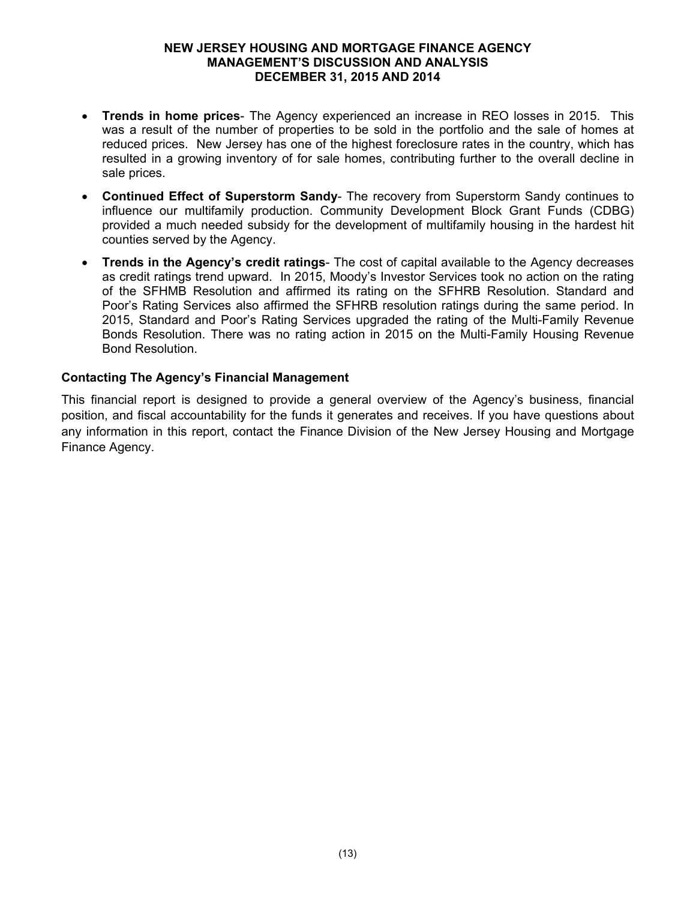- **Trends in home prices** The Agency experienced an increase in REO losses in 2015. This was a result of the number of properties to be sold in the portfolio and the sale of homes at reduced prices. New Jersey has one of the highest foreclosure rates in the country, which has resulted in a growing inventory of for sale homes, contributing further to the overall decline in sale prices.
- **Continued Effect of Superstorm Sandy** The recovery from Superstorm Sandy continues to influence our multifamily production. Community Development Block Grant Funds (CDBG) provided a much needed subsidy for the development of multifamily housing in the hardest hit counties served by the Agency.
- **Trends in the Agency's credit ratings** The cost of capital available to the Agency decreases as credit ratings trend upward. In 2015, Moody's Investor Services took no action on the rating of the SFHMB Resolution and affirmed its rating on the SFHRB Resolution. Standard and Poor's Rating Services also affirmed the SFHRB resolution ratings during the same period. In 2015, Standard and Poor's Rating Services upgraded the rating of the Multi-Family Revenue Bonds Resolution. There was no rating action in 2015 on the Multi-Family Housing Revenue Bond Resolution.

# **Contacting The Agency's Financial Management**

This financial report is designed to provide a general overview of the Agency's business, financial position, and fiscal accountability for the funds it generates and receives. If you have questions about any information in this report, contact the Finance Division of the New Jersey Housing and Mortgage Finance Agency.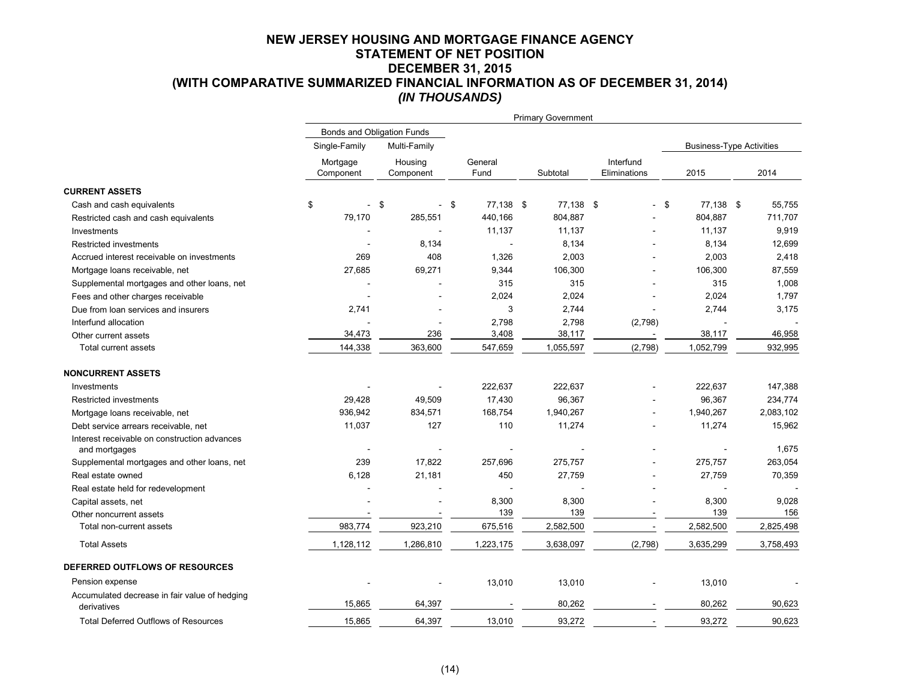#### **NEW JERSEY HOUSING AND MORTGAGE FINANCE AGENCY STATEMENT OF NET POSITION DECEMBER 31, 2015 (WITH COMPARATIVE SUMMARIZED FINANCIAL INFORMATION AS OF DECEMBER 31, 2014)**  *(IN THOUSANDS)*

|                                                               |                            |               |                      |                   | <b>Primary Government</b> |                           |           |                                 |
|---------------------------------------------------------------|----------------------------|---------------|----------------------|-------------------|---------------------------|---------------------------|-----------|---------------------------------|
|                                                               | Bonds and Obligation Funds |               |                      |                   |                           |                           |           |                                 |
|                                                               |                            | Single-Family | Multi-Family         |                   |                           |                           |           | <b>Business-Type Activities</b> |
|                                                               | Mortgage<br>Component      |               | Housing<br>Component |                   | Subtotal                  | Interfund<br>Eliminations | 2015      | 2014                            |
| <b>CURRENT ASSETS</b>                                         |                            |               |                      |                   |                           |                           |           |                                 |
| Cash and cash equivalents                                     | \$                         |               | - \$<br>$\sim$       | - \$<br>77,138 \$ | 77,138 \$                 | $-$ \$                    | 77,138 \$ | 55,755                          |
| Restricted cash and cash equivalents                          |                            | 79,170        | 285,551              | 440,166           | 804,887                   |                           | 804,887   | 711,707                         |
| Investments                                                   |                            |               |                      | 11,137            | 11,137                    |                           | 11,137    | 9,919                           |
| Restricted investments                                        |                            |               | 8,134                |                   | 8,134                     |                           | 8,134     | 12,699                          |
| Accrued interest receivable on investments                    |                            | 269           | 408                  | 1,326             | 2,003                     |                           | 2,003     | 2,418                           |
| Mortgage loans receivable, net                                |                            | 27,685        | 69,271               | 9,344             | 106,300                   |                           | 106,300   | 87,559                          |
| Supplemental mortgages and other loans, net                   |                            |               |                      | 315               | 315                       |                           | 315       | 1,008                           |
| Fees and other charges receivable                             |                            |               |                      | 2,024             | 2,024                     |                           | 2,024     | 1,797                           |
| Due from loan services and insurers                           |                            | 2,741         |                      | 3                 | 2,744                     |                           | 2,744     | 3,175                           |
| Interfund allocation                                          |                            |               |                      | 2,798             | 2,798                     | (2,798)                   |           |                                 |
| Other current assets                                          |                            | 34,473        | 236                  | 3,408             | 38,117                    |                           | 38,117    | 46,958                          |
| Total current assets                                          |                            | 144,338       | 363,600              | 547,659           | 1,055,597                 | (2,798)                   | 1,052,799 | 932,995                         |
| <b>NONCURRENT ASSETS</b>                                      |                            |               |                      |                   |                           |                           |           |                                 |
| Investments                                                   |                            |               |                      | 222,637           | 222,637                   |                           | 222,637   | 147,388                         |
| Restricted investments                                        |                            | 29,428        | 49,509               | 17,430            | 96,367                    |                           | 96,367    | 234,774                         |
| Mortgage Ioans receivable, net                                |                            | 936,942       | 834,571              | 168,754           | 1,940,267                 |                           | 1,940,267 | 2,083,102                       |
| Debt service arrears receivable, net                          |                            | 11,037        | 127                  | 110               | 11,274                    |                           | 11,274    | 15,962                          |
| Interest receivable on construction advances<br>and mortgages |                            |               |                      |                   |                           |                           |           | 1,675                           |
| Supplemental mortgages and other loans, net                   |                            | 239           | 17,822               | 257,696           | 275,757                   |                           | 275,757   | 263,054                         |
| Real estate owned                                             |                            | 6.128         | 21,181               | 450               | 27,759                    |                           | 27,759    | 70,359                          |
| Real estate held for redevelopment                            |                            |               |                      |                   |                           |                           |           |                                 |
| Capital assets, net                                           |                            |               |                      | 8,300             | 8,300                     |                           | 8,300     | 9,028                           |
| Other noncurrent assets                                       |                            |               |                      | 139               | 139                       |                           | 139       | 156                             |
| Total non-current assets                                      |                            | 983,774       | 923,210              | 675,516           | 2,582,500                 |                           | 2,582,500 | 2,825,498                       |
| <b>Total Assets</b>                                           |                            | 1,128,112     | 1,286,810            | 1,223,175         | 3,638,097                 | (2,798)                   | 3,635,299 | 3,758,493                       |
| DEFERRED OUTFLOWS OF RESOURCES                                |                            |               |                      |                   |                           |                           |           |                                 |
| Pension expense                                               |                            |               |                      | 13,010            | 13,010                    |                           | 13,010    |                                 |
| Accumulated decrease in fair value of hedging<br>derivatives  |                            | 15,865        | 64,397               |                   | 80,262                    |                           | 80,262    | 90,623                          |
| <b>Total Deferred Outflows of Resources</b>                   |                            | 15,865        | 64,397               | 13,010            | 93,272                    |                           | 93,272    | 90,623                          |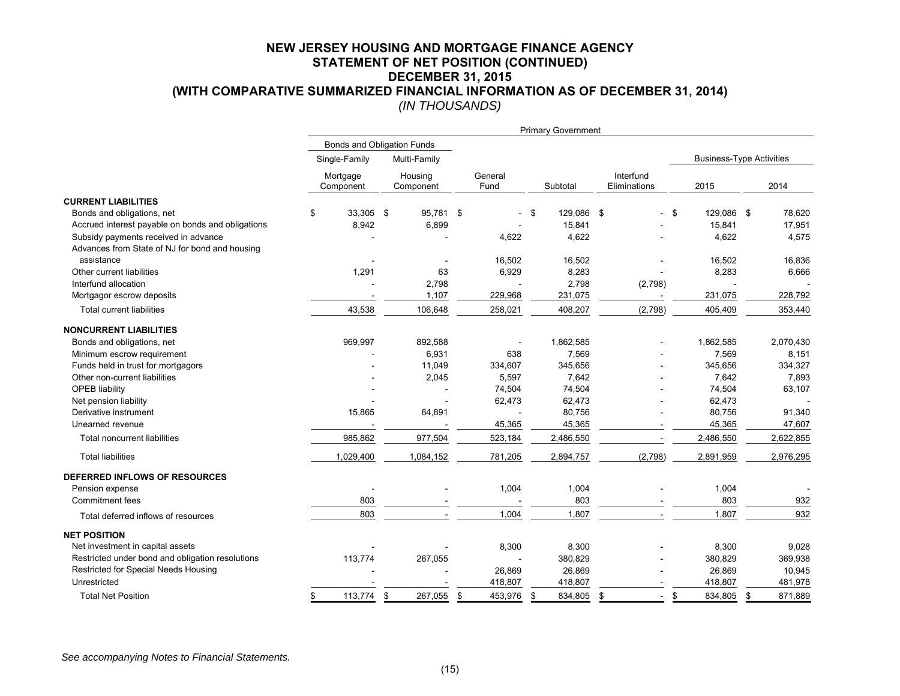# **NEW JERSEY HOUSING AND MORTGAGE FINANCE AGENCY STATEMENT OF NET POSITION (CONTINUED) DECEMBER 31, 2015 (WITH COMPARATIVE SUMMARIZED FINANCIAL INFORMATION AS OF DECEMBER 31, 2014)**

|                                                   | <b>Primary Government</b> |                            |  |                      |  |                 |     |            |  |                           |            |                                 |               |
|---------------------------------------------------|---------------------------|----------------------------|--|----------------------|--|-----------------|-----|------------|--|---------------------------|------------|---------------------------------|---------------|
|                                                   |                           | Bonds and Obligation Funds |  |                      |  |                 |     |            |  |                           |            |                                 |               |
|                                                   |                           | Single-Family              |  | Multi-Family         |  |                 |     |            |  |                           |            | <b>Business-Type Activities</b> |               |
|                                                   |                           | Mortgage<br>Component      |  | Housing<br>Component |  | General<br>Fund |     | Subtotal   |  | Interfund<br>Eliminations |            | 2015                            | 2014          |
| <b>CURRENT LIABILITIES</b>                        |                           |                            |  |                      |  |                 |     |            |  |                           |            |                                 |               |
| Bonds and obligations, net                        | \$                        | 33,305 \$                  |  | 95,781 \$            |  |                 | -\$ | 129,086 \$ |  |                           | $^{\circ}$ | 129,086 \$                      | 78,620        |
| Accrued interest payable on bonds and obligations |                           | 8,942                      |  | 6,899                |  |                 |     | 15,841     |  |                           |            | 15.841                          | 17,951        |
| Subsidy payments received in advance              |                           |                            |  |                      |  | 4,622           |     | 4,622      |  |                           |            | 4,622                           | 4,575         |
| Advances from State of NJ for bond and housing    |                           |                            |  |                      |  |                 |     |            |  |                           |            |                                 |               |
| assistance                                        |                           |                            |  |                      |  | 16.502          |     | 16,502     |  |                           |            | 16,502                          | 16,836        |
| Other current liabilities                         |                           | 1,291                      |  | 63                   |  | 6,929           |     | 8,283      |  |                           |            | 8,283                           | 6,666         |
| Interfund allocation                              |                           |                            |  | 2,798                |  |                 |     | 2,798      |  | (2,798)                   |            |                                 |               |
| Mortgagor escrow deposits                         |                           |                            |  | 1,107                |  | 229,968         |     | 231,075    |  |                           |            | 231,075                         | 228,792       |
| <b>Total current liabilities</b>                  |                           | 43,538                     |  | 106,648              |  | 258,021         |     | 408,207    |  | (2,798)                   |            | 405,409                         | 353,440       |
| <b>NONCURRENT LIABILITIES</b>                     |                           |                            |  |                      |  |                 |     |            |  |                           |            |                                 |               |
| Bonds and obligations, net                        |                           | 969,997                    |  | 892,588              |  |                 |     | 1,862,585  |  |                           |            | 1,862,585                       | 2,070,430     |
| Minimum escrow requirement                        |                           |                            |  | 6,931                |  | 638             |     | 7,569      |  |                           |            | 7,569                           | 8,151         |
| Funds held in trust for mortgagors                |                           |                            |  | 11,049               |  | 334,607         |     | 345,656    |  |                           |            | 345,656                         | 334,327       |
| Other non-current liabilities                     |                           |                            |  | 2,045                |  | 5,597           |     | 7.642      |  |                           |            | 7.642                           | 7.893         |
| <b>OPEB liability</b>                             |                           |                            |  |                      |  | 74,504          |     | 74,504     |  |                           |            | 74,504                          | 63,107        |
| Net pension liability                             |                           |                            |  |                      |  | 62,473          |     | 62,473     |  |                           |            | 62,473                          |               |
| Derivative instrument                             |                           | 15,865                     |  | 64,891               |  |                 |     | 80,756     |  |                           |            | 80,756                          | 91,340        |
| Unearned revenue                                  |                           |                            |  |                      |  | 45,365          |     | 45,365     |  |                           |            | 45,365                          | 47,607        |
| <b>Total noncurrent liabilities</b>               |                           | 985,862                    |  | 977,504              |  | 523,184         |     | 2,486,550  |  |                           |            | 2,486,550                       | 2,622,855     |
| <b>Total liabilities</b>                          |                           | 1,029,400                  |  | 1,084,152            |  | 781,205         |     | 2,894,757  |  | (2,798)                   |            | 2,891,959                       | 2,976,295     |
| DEFERRED INFLOWS OF RESOURCES                     |                           |                            |  |                      |  |                 |     |            |  |                           |            |                                 |               |
| Pension expense                                   |                           |                            |  |                      |  | 1,004           |     | 1,004      |  |                           |            | 1,004                           |               |
| Commitment fees                                   |                           | 803                        |  |                      |  |                 |     | 803        |  |                           |            | 803                             | 932           |
| Total deferred inflows of resources               |                           | 803                        |  |                      |  | 1,004           |     | 1,807      |  |                           |            | 1,807                           | 932           |
| <b>NET POSITION</b>                               |                           |                            |  |                      |  |                 |     |            |  |                           |            |                                 |               |
| Net investment in capital assets                  |                           |                            |  |                      |  | 8,300           |     | 8,300      |  |                           |            | 8,300                           | 9,028         |
| Restricted under bond and obligation resolutions  |                           | 113,774                    |  | 267,055              |  |                 |     | 380,829    |  |                           |            | 380,829                         | 369,938       |
| Restricted for Special Needs Housing              |                           |                            |  |                      |  | 26,869          |     | 26,869     |  |                           |            | 26,869                          | 10,945        |
| Unrestricted                                      |                           |                            |  |                      |  | 418,807         |     | 418,807    |  |                           |            | 418,807                         | 481,978       |
| <b>Total Net Position</b>                         | \$                        | 113,774 \$                 |  | 267,055 \$           |  | 453,976 \$      |     | 834,805 \$ |  | $\overline{\phantom{a}}$  | \$         | 834,805                         | \$<br>871,889 |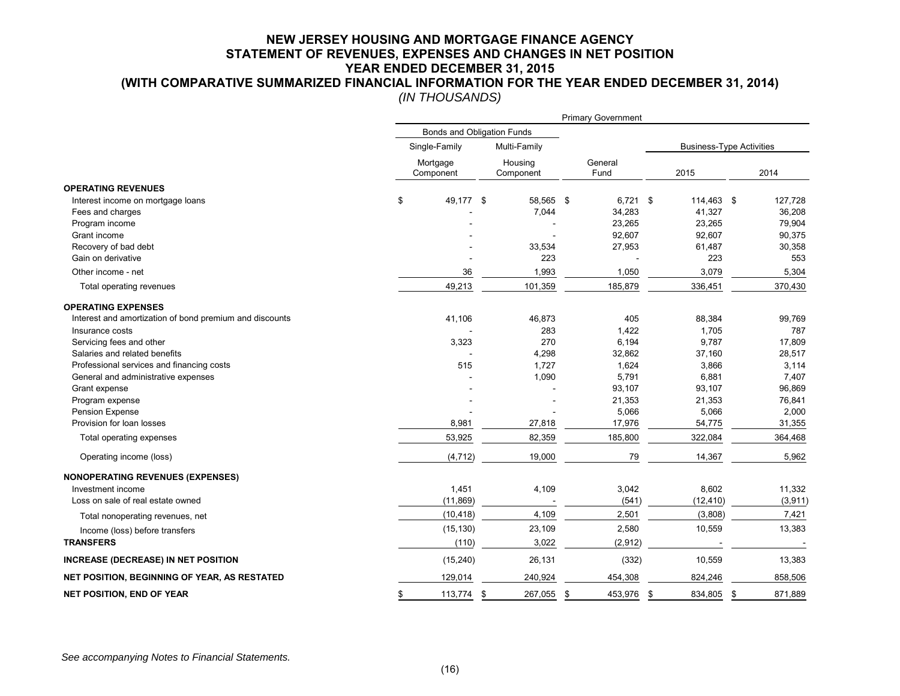# **NEW JERSEY HOUSING AND MORTGAGE FINANCE AGENCY STATEMENT OF REVENUES, EXPENSES AND CHANGES IN NET POSITION YEAR ENDED DECEMBER 31, 2015 (WITH COMPARATIVE SUMMARIZED FINANCIAL INFORMATION FOR THE YEAR ENDED DECEMBER 31, 2014)**

|                                                         |                       | <b>Primary Government</b> |                            |                 |            |                                 |  |  |
|---------------------------------------------------------|-----------------------|---------------------------|----------------------------|-----------------|------------|---------------------------------|--|--|
|                                                         |                       |                           | Bonds and Obligation Funds |                 |            |                                 |  |  |
|                                                         |                       | Single-Family             |                            |                 |            | <b>Business-Type Activities</b> |  |  |
|                                                         | Mortgage<br>Component |                           | Housing<br>Component       | General<br>Fund | 2015       | 2014                            |  |  |
| <b>OPERATING REVENUES</b>                               |                       |                           |                            |                 |            |                                 |  |  |
| Interest income on mortgage loans                       | \$                    | 49,177 \$                 | 58,565 \$                  | $6,721$ \$      | 114,463 \$ | 127,728                         |  |  |
| Fees and charges                                        |                       |                           | 7,044                      | 34,283          | 41,327     | 36,208                          |  |  |
| Program income                                          |                       |                           |                            | 23,265          | 23,265     | 79,904                          |  |  |
| Grant income                                            |                       |                           |                            | 92,607          | 92,607     | 90,375                          |  |  |
| Recovery of bad debt                                    |                       |                           | 33,534                     | 27,953          | 61,487     | 30,358                          |  |  |
| Gain on derivative                                      |                       |                           | 223                        |                 | 223        | 553                             |  |  |
| Other income - net                                      |                       | 36                        | 1,993                      | 1,050           | 3,079      | 5,304                           |  |  |
| Total operating revenues                                |                       | 49,213                    | 101,359                    | 185,879         | 336,451    | 370,430                         |  |  |
| <b>OPERATING EXPENSES</b>                               |                       |                           |                            |                 |            |                                 |  |  |
| Interest and amortization of bond premium and discounts |                       | 41,106                    | 46,873                     | 405             | 88,384     | 99,769                          |  |  |
| Insurance costs                                         |                       |                           | 283                        | 1,422           | 1,705      | 787                             |  |  |
| Servicing fees and other                                |                       | 3,323                     | 270                        | 6,194           | 9,787      | 17,809                          |  |  |
| Salaries and related benefits                           |                       |                           | 4,298                      | 32,862          | 37,160     | 28,517                          |  |  |
| Professional services and financing costs               |                       | 515                       | 1,727                      | 1,624           | 3,866      | 3,114                           |  |  |
| General and administrative expenses                     |                       |                           | 1,090                      | 5,791           | 6,881      | 7,407                           |  |  |
| Grant expense                                           |                       |                           |                            | 93,107          | 93,107     | 96,869                          |  |  |
| Program expense                                         |                       |                           |                            | 21,353          | 21,353     | 76,841                          |  |  |
| Pension Expense                                         |                       |                           |                            | 5,066           | 5,066      | 2,000                           |  |  |
| Provision for loan losses                               |                       | 8,981                     | 27,818                     | 17,976          | 54,775     | 31,355                          |  |  |
| Total operating expenses                                |                       | 53,925                    | 82,359                     | 185,800         | 322,084    | 364,468                         |  |  |
| Operating income (loss)                                 |                       | (4, 712)                  | 19,000                     | 79              | 14,367     | 5,962                           |  |  |
| <b>NONOPERATING REVENUES (EXPENSES)</b>                 |                       |                           |                            |                 |            |                                 |  |  |
| Investment income                                       |                       | 1,451                     | 4,109                      | 3,042           | 8,602      | 11,332                          |  |  |
| Loss on sale of real estate owned                       |                       | (11, 869)                 |                            | (541)           | (12, 410)  | (3,911)                         |  |  |
| Total nonoperating revenues, net                        |                       | (10, 418)                 | 4,109                      | 2,501           | (3,808)    | 7,421                           |  |  |
| Income (loss) before transfers                          |                       | (15, 130)                 | 23,109                     | 2,580           | 10,559     | 13,383                          |  |  |
| <b>TRANSFERS</b>                                        |                       | (110)                     | 3,022                      | (2, 912)        |            |                                 |  |  |
| <b>INCREASE (DECREASE) IN NET POSITION</b>              |                       | (15, 240)                 | 26,131                     | (332)           | 10,559     | 13,383                          |  |  |
| NET POSITION, BEGINNING OF YEAR, AS RESTATED            |                       | 129,014                   | 240,924                    | 454,308         | 824,246    | 858,506                         |  |  |
| <b>NET POSITION, END OF YEAR</b>                        | \$                    | 113,774 \$                | 267,055 \$                 | 453,976 \$      | 834,805 \$ | 871,889                         |  |  |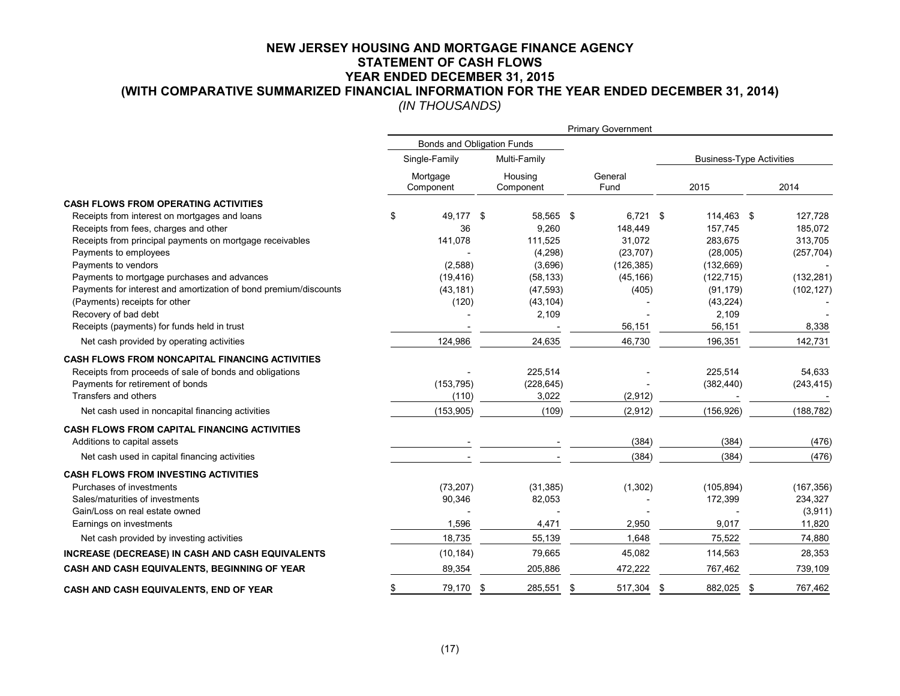#### **NEW JERSEY HOUSING AND MORTGAGE FINANCE AGENCY STATEMENT OF CASH FLOWS YEAR ENDED DECEMBER 31, 2015 (WITH COMPARATIVE SUMMARIZED FINANCIAL INFORMATION FOR THE YEAR ENDED DECEMBER 31, 2014)**  *(IN THOUSANDS)*

|                                                                  | <b>Primary Government</b> |                            |                      |            |     |                 |     |                                 |  |            |
|------------------------------------------------------------------|---------------------------|----------------------------|----------------------|------------|-----|-----------------|-----|---------------------------------|--|------------|
|                                                                  |                           | Bonds and Obligation Funds |                      |            |     |                 |     |                                 |  |            |
|                                                                  |                           | Single-Family              | Multi-Family         |            |     |                 |     | <b>Business-Type Activities</b> |  |            |
|                                                                  | Mortgage<br>Component     |                            | Housing<br>Component |            |     | General<br>Fund |     | 2015                            |  | 2014       |
| <b>CASH FLOWS FROM OPERATING ACTIVITIES</b>                      |                           |                            |                      |            |     |                 |     |                                 |  |            |
| Receipts from interest on mortgages and loans                    | \$                        | 49,177 \$                  |                      | 58,565 \$  |     | $6,721$ \$      |     | 114,463 \$                      |  | 127,728    |
| Receipts from fees, charges and other                            |                           | 36                         |                      | 9,260      |     | 148,449         |     | 157,745                         |  | 185,072    |
| Receipts from principal payments on mortgage receivables         |                           | 141,078                    |                      | 111,525    |     | 31,072          |     | 283,675                         |  | 313,705    |
| Payments to employees                                            |                           |                            |                      | (4,298)    |     | (23, 707)       |     | (28,005)                        |  | (257, 704) |
| Payments to vendors                                              |                           | (2,588)                    |                      | (3,696)    |     | (126, 385)      |     | (132, 669)                      |  |            |
| Payments to mortgage purchases and advances                      |                           | (19, 416)                  |                      | (58, 133)  |     | (45, 166)       |     | (122, 715)                      |  | (132, 281) |
| Payments for interest and amortization of bond premium/discounts |                           | (43, 181)                  |                      | (47, 593)  |     | (405)           |     | (91, 179)                       |  | (102, 127) |
| (Payments) receipts for other                                    |                           | (120)                      |                      | (43, 104)  |     |                 |     | (43, 224)                       |  |            |
| Recovery of bad debt                                             |                           |                            |                      | 2,109      |     |                 |     | 2,109                           |  |            |
| Receipts (payments) for funds held in trust                      |                           |                            |                      |            |     | 56,151          |     | 56,151                          |  | 8,338      |
| Net cash provided by operating activities                        |                           | 124,986                    |                      | 24,635     |     | 46,730          |     | 196,351                         |  | 142,731    |
| <b>CASH FLOWS FROM NONCAPITAL FINANCING ACTIVITIES</b>           |                           |                            |                      |            |     |                 |     |                                 |  |            |
| Receipts from proceeds of sale of bonds and obligations          |                           |                            |                      | 225,514    |     |                 |     | 225,514                         |  | 54,633     |
| Payments for retirement of bonds                                 |                           | (153, 795)                 |                      | (228, 645) |     |                 |     | (382, 440)                      |  | (243, 415) |
| Transfers and others                                             |                           | (110)                      |                      | 3,022      |     | (2, 912)        |     |                                 |  |            |
| Net cash used in noncapital financing activities                 |                           | (153, 905)                 |                      | (109)      |     | (2,912)         |     | (156, 926)                      |  | (188, 782) |
| CASH FLOWS FROM CAPITAL FINANCING ACTIVITIES                     |                           |                            |                      |            |     |                 |     |                                 |  |            |
| Additions to capital assets                                      |                           |                            |                      |            |     | (384)           |     | (384)                           |  | (476)      |
| Net cash used in capital financing activities                    |                           |                            |                      |            |     | (384)           |     | (384)                           |  | (476)      |
| <b>CASH FLOWS FROM INVESTING ACTIVITIES</b>                      |                           |                            |                      |            |     |                 |     |                                 |  |            |
| Purchases of investments                                         |                           | (73, 207)                  |                      | (31, 385)  |     | (1, 302)        |     | (105, 894)                      |  | (167, 356) |
| Sales/maturities of investments                                  |                           | 90,346                     |                      | 82,053     |     |                 |     | 172,399                         |  | 234,327    |
| Gain/Loss on real estate owned                                   |                           |                            |                      |            |     |                 |     |                                 |  | (3,911)    |
| Earnings on investments                                          |                           | 1,596                      |                      | 4,471      |     | 2,950           |     | 9,017                           |  | 11,820     |
| Net cash provided by investing activities                        |                           | 18,735                     |                      | 55,139     |     | 1,648           |     | 75,522                          |  | 74,880     |
| INCREASE (DECREASE) IN CASH AND CASH EQUIVALENTS                 |                           | (10, 184)                  |                      | 79,665     |     | 45,082          |     | 114,563                         |  | 28,353     |
| CASH AND CASH EQUIVALENTS, BEGINNING OF YEAR                     |                           | 89,354                     |                      | 205,886    |     | 472,222         |     | 767,462                         |  | 739,109    |
| CASH AND CASH EQUIVALENTS, END OF YEAR                           | \$                        | 79,170 \$                  |                      | 285,551    | -\$ | 517,304         | -\$ | 882,025 \$                      |  | 767,462    |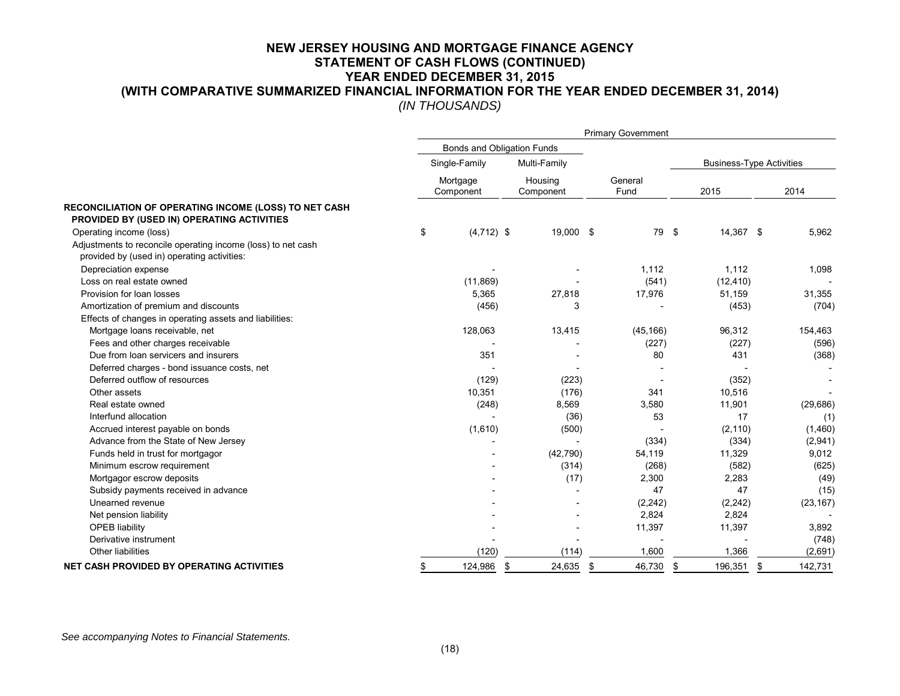#### **NEW JERSEY HOUSING AND MORTGAGE FINANCE AGENCY STATEMENT OF CASH FLOWS (CONTINUED) YEAR ENDED DECEMBER 31, 2015 (WITH COMPARATIVE SUMMARIZED FINANCIAL INFORMATION FOR THE YEAR ENDED DECEMBER 31, 2014)**  *(IN THOUSANDS)*

|                                                                                                     |               |                            |                      | <b>Primary Government</b> |      |                                 |      |           |
|-----------------------------------------------------------------------------------------------------|---------------|----------------------------|----------------------|---------------------------|------|---------------------------------|------|-----------|
|                                                                                                     |               | Bonds and Obligation Funds |                      |                           |      |                                 |      |           |
|                                                                                                     | Single-Family |                            | Multi-Family         |                           |      | <b>Business-Type Activities</b> |      |           |
|                                                                                                     |               | Mortgage<br>Component      | Housing<br>Component | General<br>Fund           |      | 2015                            |      | 2014      |
| RECONCILIATION OF OPERATING INCOME (LOSS) TO NET CASH<br>PROVIDED BY (USED IN) OPERATING ACTIVITIES |               |                            |                      |                           |      |                                 |      |           |
| Operating income (loss)                                                                             | \$            | $(4,712)$ \$               | 19,000 \$            | 79                        | - \$ | 14,367 \$                       |      | 5,962     |
| Adjustments to reconcile operating income (loss) to net cash                                        |               |                            |                      |                           |      |                                 |      |           |
| provided by (used in) operating activities:                                                         |               |                            |                      |                           |      |                                 |      |           |
| Depreciation expense                                                                                |               |                            |                      | 1,112                     |      | 1,112                           |      | 1,098     |
| Loss on real estate owned                                                                           |               | (11, 869)                  |                      | (541)                     |      | (12, 410)                       |      |           |
| Provision for loan losses                                                                           |               | 5,365                      | 27,818               | 17,976                    |      | 51,159                          |      | 31,355    |
| Amortization of premium and discounts                                                               |               | (456)                      | 3                    |                           |      | (453)                           |      | (704)     |
| Effects of changes in operating assets and liabilities:                                             |               |                            |                      |                           |      |                                 |      |           |
| Mortgage loans receivable, net                                                                      |               | 128,063                    | 13,415               | (45, 166)                 |      | 96,312                          |      | 154,463   |
| Fees and other charges receivable                                                                   |               |                            |                      | (227)                     |      | (227)                           |      | (596)     |
| Due from loan servicers and insurers                                                                |               | 351                        |                      | 80                        |      | 431                             |      | (368)     |
| Deferred charges - bond issuance costs, net                                                         |               |                            |                      |                           |      |                                 |      |           |
| Deferred outflow of resources                                                                       |               | (129)                      | (223)                |                           |      | (352)                           |      |           |
| Other assets                                                                                        |               | 10,351                     | (176)                | 341                       |      | 10,516                          |      |           |
| Real estate owned                                                                                   |               | (248)                      | 8,569                | 3,580                     |      | 11,901                          |      | (29, 686) |
| Interfund allocation                                                                                |               |                            | (36)                 | 53                        |      | 17                              |      | (1)       |
| Accrued interest payable on bonds                                                                   |               | (1,610)                    | (500)                |                           |      | (2, 110)                        |      | (1,460)   |
| Advance from the State of New Jersey                                                                |               |                            |                      | (334)                     |      | (334)                           |      | (2,941)   |
| Funds held in trust for mortgagor                                                                   |               |                            | (42, 790)            | 54,119                    |      | 11,329                          |      | 9,012     |
| Minimum escrow requirement                                                                          |               |                            | (314)                | (268)                     |      | (582)                           |      | (625)     |
| Mortgagor escrow deposits                                                                           |               |                            | (17)                 | 2,300                     |      | 2,283                           |      | (49)      |
| Subsidy payments received in advance                                                                |               |                            |                      | 47                        |      | 47                              |      | (15)      |
| Unearned revenue                                                                                    |               |                            |                      | (2, 242)                  |      | (2, 242)                        |      | (23, 167) |
| Net pension liability                                                                               |               |                            |                      | 2,824                     |      | 2,824                           |      |           |
| <b>OPEB liability</b>                                                                               |               |                            |                      | 11,397                    |      | 11,397                          |      | 3,892     |
| Derivative instrument                                                                               |               |                            |                      |                           |      |                                 |      | (748)     |
| Other liabilities                                                                                   |               | (120)                      | (114)                | 1,600                     |      | 1,366                           |      | (2,691)   |
| <b>NET CASH PROVIDED BY OPERATING ACTIVITIES</b>                                                    | \$            | 124,986<br>\$              | 24,635               | 46,730<br>\$              | \$   | 196,351                         | - \$ | 142,731   |

*See accompanying Notes to Financial Statements.*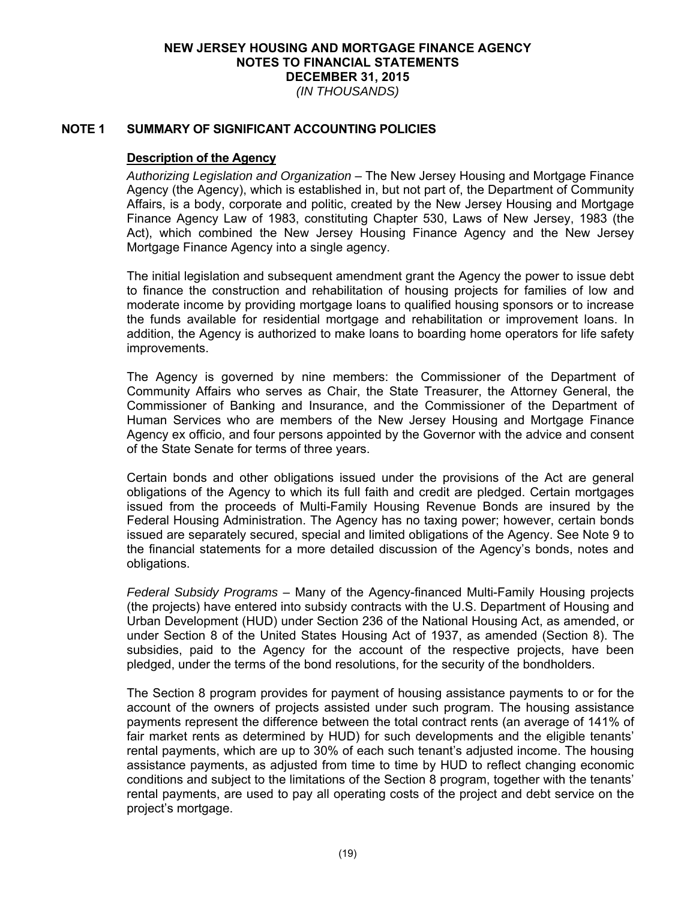### *(IN THOUSANDS)*

### **NOTE 1 SUMMARY OF SIGNIFICANT ACCOUNTING POLICIES**

#### **Description of the Agency**

*Authorizing Legislation and Organization* – The New Jersey Housing and Mortgage Finance Agency (the Agency), which is established in, but not part of, the Department of Community Affairs, is a body, corporate and politic, created by the New Jersey Housing and Mortgage Finance Agency Law of 1983, constituting Chapter 530, Laws of New Jersey, 1983 (the Act), which combined the New Jersey Housing Finance Agency and the New Jersey Mortgage Finance Agency into a single agency.

The initial legislation and subsequent amendment grant the Agency the power to issue debt to finance the construction and rehabilitation of housing projects for families of low and moderate income by providing mortgage loans to qualified housing sponsors or to increase the funds available for residential mortgage and rehabilitation or improvement loans. In addition, the Agency is authorized to make loans to boarding home operators for life safety improvements.

The Agency is governed by nine members: the Commissioner of the Department of Community Affairs who serves as Chair, the State Treasurer, the Attorney General, the Commissioner of Banking and Insurance, and the Commissioner of the Department of Human Services who are members of the New Jersey Housing and Mortgage Finance Agency ex officio, and four persons appointed by the Governor with the advice and consent of the State Senate for terms of three years.

Certain bonds and other obligations issued under the provisions of the Act are general obligations of the Agency to which its full faith and credit are pledged. Certain mortgages issued from the proceeds of Multi-Family Housing Revenue Bonds are insured by the Federal Housing Administration. The Agency has no taxing power; however, certain bonds issued are separately secured, special and limited obligations of the Agency. See Note 9 to the financial statements for a more detailed discussion of the Agency's bonds, notes and obligations.

*Federal Subsidy Programs* – Many of the Agency-financed Multi-Family Housing projects (the projects) have entered into subsidy contracts with the U.S. Department of Housing and Urban Development (HUD) under Section 236 of the National Housing Act, as amended, or under Section 8 of the United States Housing Act of 1937, as amended (Section 8). The subsidies, paid to the Agency for the account of the respective projects, have been pledged, under the terms of the bond resolutions, for the security of the bondholders.

The Section 8 program provides for payment of housing assistance payments to or for the account of the owners of projects assisted under such program. The housing assistance payments represent the difference between the total contract rents (an average of 141% of fair market rents as determined by HUD) for such developments and the eligible tenants' rental payments, which are up to 30% of each such tenant's adjusted income. The housing assistance payments, as adjusted from time to time by HUD to reflect changing economic conditions and subject to the limitations of the Section 8 program, together with the tenants' rental payments, are used to pay all operating costs of the project and debt service on the project's mortgage.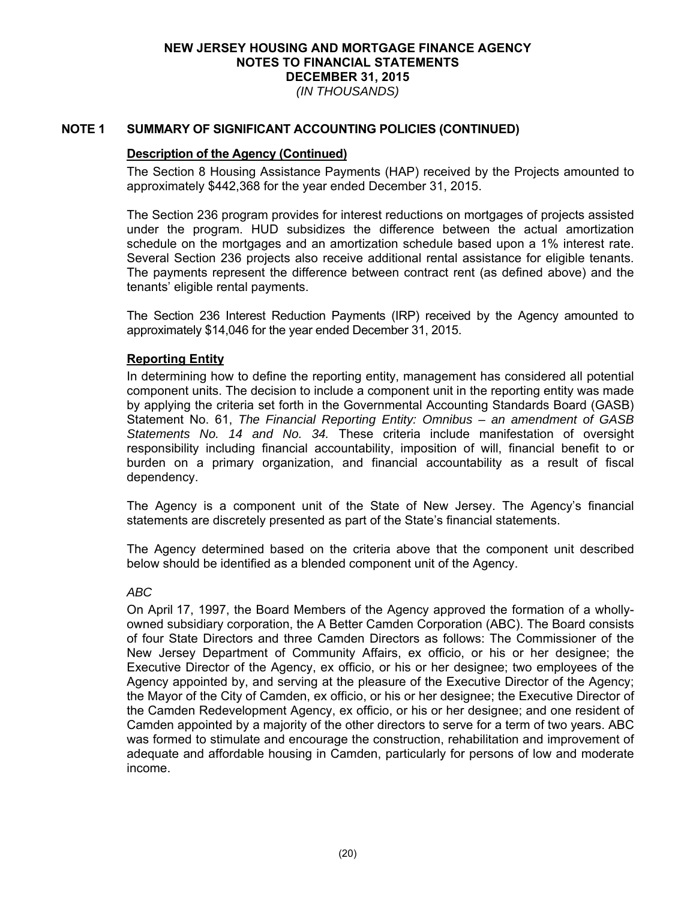# *(IN THOUSANDS)*

### **NOTE 1 SUMMARY OF SIGNIFICANT ACCOUNTING POLICIES (CONTINUED)**

#### **Description of the Agency (Continued)**

The Section 8 Housing Assistance Payments (HAP) received by the Projects amounted to approximately \$442,368 for the year ended December 31, 2015.

The Section 236 program provides for interest reductions on mortgages of projects assisted under the program. HUD subsidizes the difference between the actual amortization schedule on the mortgages and an amortization schedule based upon a 1% interest rate. Several Section 236 projects also receive additional rental assistance for eligible tenants. The payments represent the difference between contract rent (as defined above) and the tenants' eligible rental payments.

The Section 236 Interest Reduction Payments (IRP) received by the Agency amounted to approximately \$14,046 for the year ended December 31, 2015.

### **Reporting Entity**

In determining how to define the reporting entity, management has considered all potential component units. The decision to include a component unit in the reporting entity was made by applying the criteria set forth in the Governmental Accounting Standards Board (GASB) Statement No. 61, *The Financial Reporting Entity: Omnibus – an amendment of GASB Statements No. 14 and No. 34.* These criteria include manifestation of oversight responsibility including financial accountability, imposition of will, financial benefit to or burden on a primary organization, and financial accountability as a result of fiscal dependency.

The Agency is a component unit of the State of New Jersey. The Agency's financial statements are discretely presented as part of the State's financial statements.

The Agency determined based on the criteria above that the component unit described below should be identified as a blended component unit of the Agency.

#### *ABC*

On April 17, 1997, the Board Members of the Agency approved the formation of a whollyowned subsidiary corporation, the A Better Camden Corporation (ABC). The Board consists of four State Directors and three Camden Directors as follows: The Commissioner of the New Jersey Department of Community Affairs, ex officio, or his or her designee; the Executive Director of the Agency, ex officio, or his or her designee; two employees of the Agency appointed by, and serving at the pleasure of the Executive Director of the Agency; the Mayor of the City of Camden, ex officio, or his or her designee; the Executive Director of the Camden Redevelopment Agency, ex officio, or his or her designee; and one resident of Camden appointed by a majority of the other directors to serve for a term of two years. ABC was formed to stimulate and encourage the construction, rehabilitation and improvement of adequate and affordable housing in Camden, particularly for persons of low and moderate income.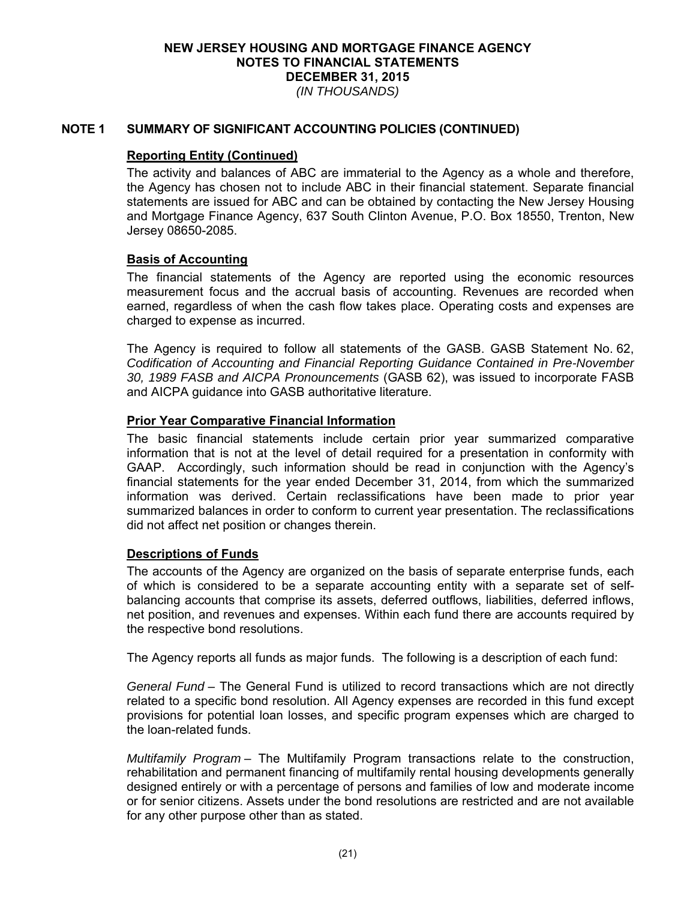# *(IN THOUSANDS)*

#### **NOTE 1 SUMMARY OF SIGNIFICANT ACCOUNTING POLICIES (CONTINUED)**

### **Reporting Entity (Continued)**

The activity and balances of ABC are immaterial to the Agency as a whole and therefore, the Agency has chosen not to include ABC in their financial statement. Separate financial statements are issued for ABC and can be obtained by contacting the New Jersey Housing and Mortgage Finance Agency, 637 South Clinton Avenue, P.O. Box 18550, Trenton, New Jersey 08650-2085.

#### **Basis of Accounting**

The financial statements of the Agency are reported using the economic resources measurement focus and the accrual basis of accounting. Revenues are recorded when earned, regardless of when the cash flow takes place. Operating costs and expenses are charged to expense as incurred.

The Agency is required to follow all statements of the GASB. GASB Statement No. 62, *Codification of Accounting and Financial Reporting Guidance Contained in Pre-November 30, 1989 FASB and AICPA Pronouncements* (GASB 62), was issued to incorporate FASB and AICPA guidance into GASB authoritative literature.

#### **Prior Year Comparative Financial Information**

The basic financial statements include certain prior year summarized comparative information that is not at the level of detail required for a presentation in conformity with GAAP. Accordingly, such information should be read in conjunction with the Agency's financial statements for the year ended December 31, 2014, from which the summarized information was derived. Certain reclassifications have been made to prior year summarized balances in order to conform to current year presentation. The reclassifications did not affect net position or changes therein.

#### **Descriptions of Funds**

The accounts of the Agency are organized on the basis of separate enterprise funds, each of which is considered to be a separate accounting entity with a separate set of selfbalancing accounts that comprise its assets, deferred outflows, liabilities, deferred inflows, net position, and revenues and expenses. Within each fund there are accounts required by the respective bond resolutions.

The Agency reports all funds as major funds. The following is a description of each fund:

*General Fund* – The General Fund is utilized to record transactions which are not directly related to a specific bond resolution. All Agency expenses are recorded in this fund except provisions for potential loan losses, and specific program expenses which are charged to the loan-related funds.

*Multifamily Program* – The Multifamily Program transactions relate to the construction, rehabilitation and permanent financing of multifamily rental housing developments generally designed entirely or with a percentage of persons and families of low and moderate income or for senior citizens. Assets under the bond resolutions are restricted and are not available for any other purpose other than as stated.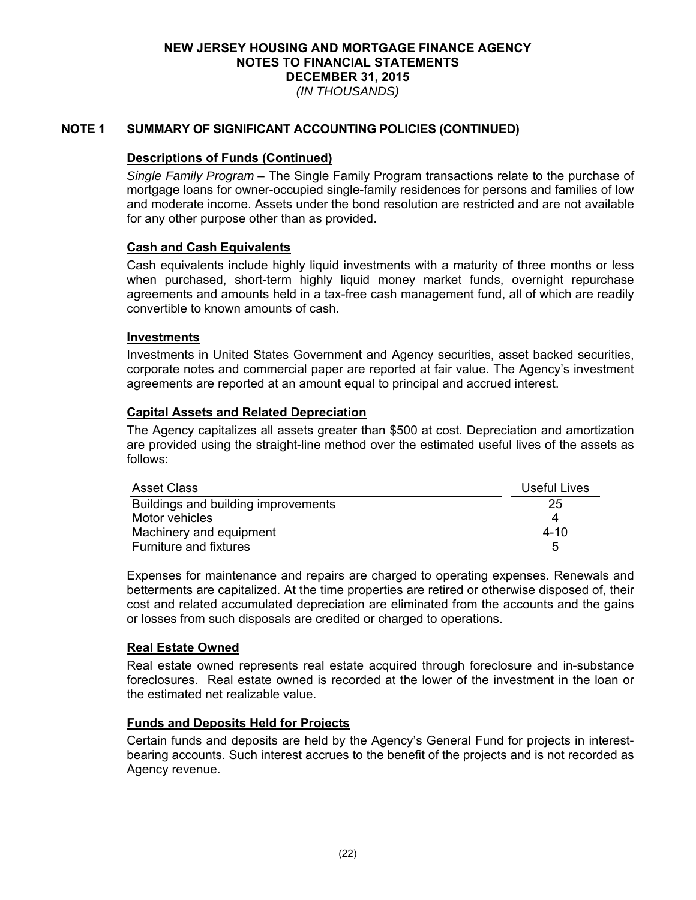# *(IN THOUSANDS)*

### **NOTE 1 SUMMARY OF SIGNIFICANT ACCOUNTING POLICIES (CONTINUED)**

#### **Descriptions of Funds (Continued)**

*Single Family Program* – The Single Family Program transactions relate to the purchase of mortgage loans for owner-occupied single-family residences for persons and families of low and moderate income. Assets under the bond resolution are restricted and are not available for any other purpose other than as provided.

#### **Cash and Cash Equivalents**

Cash equivalents include highly liquid investments with a maturity of three months or less when purchased, short-term highly liquid money market funds, overnight repurchase agreements and amounts held in a tax-free cash management fund, all of which are readily convertible to known amounts of cash.

#### **Investments**

Investments in United States Government and Agency securities, asset backed securities, corporate notes and commercial paper are reported at fair value. The Agency's investment agreements are reported at an amount equal to principal and accrued interest.

#### **Capital Assets and Related Depreciation**

The Agency capitalizes all assets greater than \$500 at cost. Depreciation and amortization are provided using the straight-line method over the estimated useful lives of the assets as follows:

| <b>Asset Class</b>                  | Useful Lives |
|-------------------------------------|--------------|
| Buildings and building improvements | 25           |
| Motor vehicles                      |              |
| Machinery and equipment             | $4 - 10$     |
| Furniture and fixtures              | -5           |

Expenses for maintenance and repairs are charged to operating expenses. Renewals and betterments are capitalized. At the time properties are retired or otherwise disposed of, their cost and related accumulated depreciation are eliminated from the accounts and the gains or losses from such disposals are credited or charged to operations.

#### **Real Estate Owned**

Real estate owned represents real estate acquired through foreclosure and in-substance foreclosures. Real estate owned is recorded at the lower of the investment in the loan or the estimated net realizable value.

#### **Funds and Deposits Held for Projects**

Certain funds and deposits are held by the Agency's General Fund for projects in interestbearing accounts. Such interest accrues to the benefit of the projects and is not recorded as Agency revenue.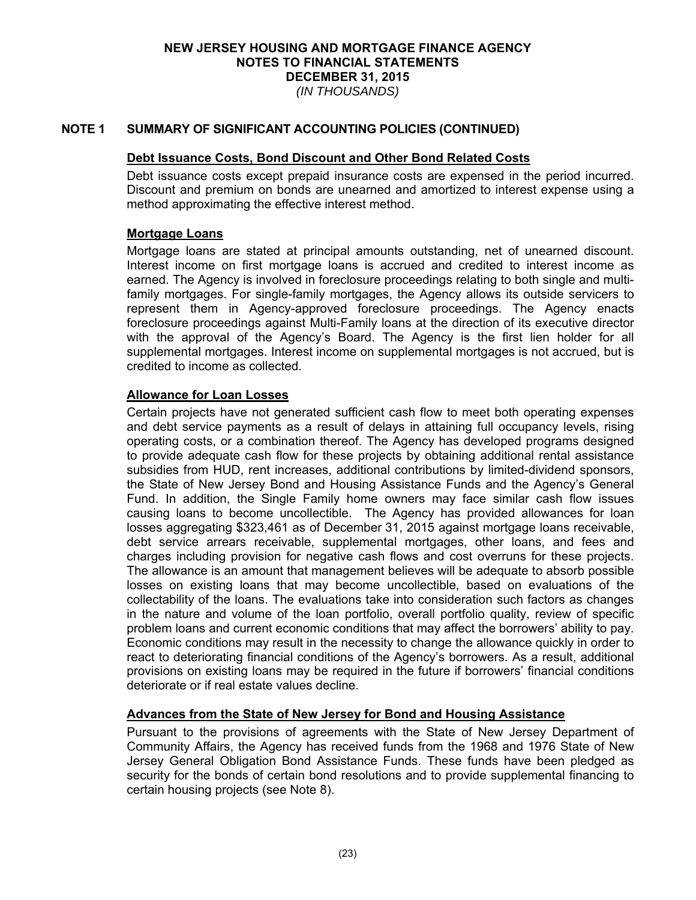# *(IN THOUSANDS)*

### **NOTE 1 SUMMARY OF SIGNIFICANT ACCOUNTING POLICIES (CONTINUED)**

#### **Debt Issuance Costs, Bond Discount and Other Bond Related Costs**

Debt issuance costs except prepaid insurance costs are expensed in the period incurred. Discount and premium on bonds are unearned and amortized to interest expense using a method approximating the effective interest method.

### **Mortgage Loans**

Mortgage loans are stated at principal amounts outstanding, net of unearned discount. Interest income on first mortgage loans is accrued and credited to interest income as earned. The Agency is involved in foreclosure proceedings relating to both single and multifamily mortgages. For single-family mortgages, the Agency allows its outside servicers to represent them in Agency-approved foreclosure proceedings. The Agency enacts foreclosure proceedings against Multi-Family loans at the direction of its executive director with the approval of the Agency's Board. The Agency is the first lien holder for all supplemental mortgages. Interest income on supplemental mortgages is not accrued, but is credited to income as collected.

### **Allowance for Loan Losses**

Certain projects have not generated sufficient cash flow to meet both operating expenses and debt service payments as a result of delays in attaining full occupancy levels, rising operating costs, or a combination thereof. The Agency has developed programs designed to provide adequate cash flow for these projects by obtaining additional rental assistance subsidies from HUD, rent increases, additional contributions by limited-dividend sponsors, the State of New Jersey Bond and Housing Assistance Funds and the Agency's General Fund. In addition, the Single Family home owners may face similar cash flow issues causing loans to become uncollectible. The Agency has provided allowances for loan losses aggregating \$323,461 as of December 31, 2015 against mortgage loans receivable, debt service arrears receivable, supplemental mortgages, other loans, and fees and charges including provision for negative cash flows and cost overruns for these projects. The allowance is an amount that management believes will be adequate to absorb possible losses on existing loans that may become uncollectible, based on evaluations of the collectability of the loans. The evaluations take into consideration such factors as changes in the nature and volume of the loan portfolio, overall portfolio quality, review of specific problem loans and current economic conditions that may affect the borrowers' ability to pay. Economic conditions may result in the necessity to change the allowance quickly in order to react to deteriorating financial conditions of the Agency's borrowers. As a result, additional provisions on existing loans may be required in the future if borrowers' financial conditions deteriorate or if real estate values decline.

#### **Advances from the State of New Jersey for Bond and Housing Assistance**

Pursuant to the provisions of agreements with the State of New Jersey Department of Community Affairs, the Agency has received funds from the 1968 and 1976 State of New Jersey General Obligation Bond Assistance Funds. These funds have been pledged as security for the bonds of certain bond resolutions and to provide supplemental financing to certain housing projects (see Note 8).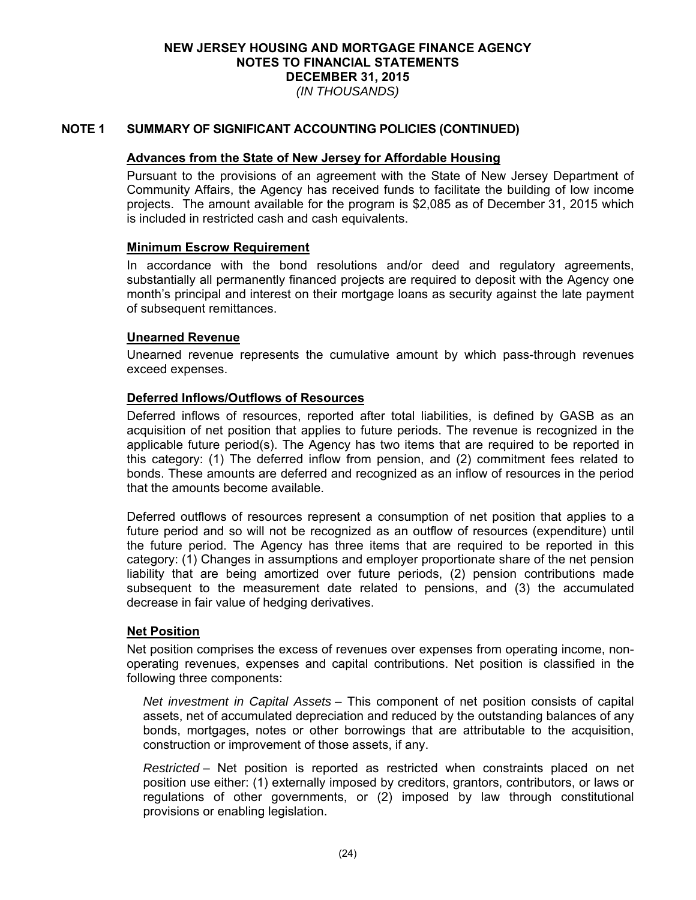# *(IN THOUSANDS)*

#### **NOTE 1 SUMMARY OF SIGNIFICANT ACCOUNTING POLICIES (CONTINUED)**

#### **Advances from the State of New Jersey for Affordable Housing**

Pursuant to the provisions of an agreement with the State of New Jersey Department of Community Affairs, the Agency has received funds to facilitate the building of low income projects. The amount available for the program is \$2,085 as of December 31, 2015 which is included in restricted cash and cash equivalents.

#### **Minimum Escrow Requirement**

In accordance with the bond resolutions and/or deed and regulatory agreements, substantially all permanently financed projects are required to deposit with the Agency one month's principal and interest on their mortgage loans as security against the late payment of subsequent remittances.

#### **Unearned Revenue**

Unearned revenue represents the cumulative amount by which pass-through revenues exceed expenses.

#### **Deferred Inflows/Outflows of Resources**

Deferred inflows of resources, reported after total liabilities, is defined by GASB as an acquisition of net position that applies to future periods. The revenue is recognized in the applicable future period(s). The Agency has two items that are required to be reported in this category: (1) The deferred inflow from pension, and (2) commitment fees related to bonds. These amounts are deferred and recognized as an inflow of resources in the period that the amounts become available.

Deferred outflows of resources represent a consumption of net position that applies to a future period and so will not be recognized as an outflow of resources (expenditure) until the future period. The Agency has three items that are required to be reported in this category: (1) Changes in assumptions and employer proportionate share of the net pension liability that are being amortized over future periods, (2) pension contributions made subsequent to the measurement date related to pensions, and (3) the accumulated decrease in fair value of hedging derivatives.

#### **Net Position**

Net position comprises the excess of revenues over expenses from operating income, nonoperating revenues, expenses and capital contributions. Net position is classified in the following three components:

*Net investment in Capital Assets* – This component of net position consists of capital assets, net of accumulated depreciation and reduced by the outstanding balances of any bonds, mortgages, notes or other borrowings that are attributable to the acquisition, construction or improvement of those assets, if any.

*Restricted* – Net position is reported as restricted when constraints placed on net position use either: (1) externally imposed by creditors, grantors, contributors, or laws or regulations of other governments, or (2) imposed by law through constitutional provisions or enabling legislation.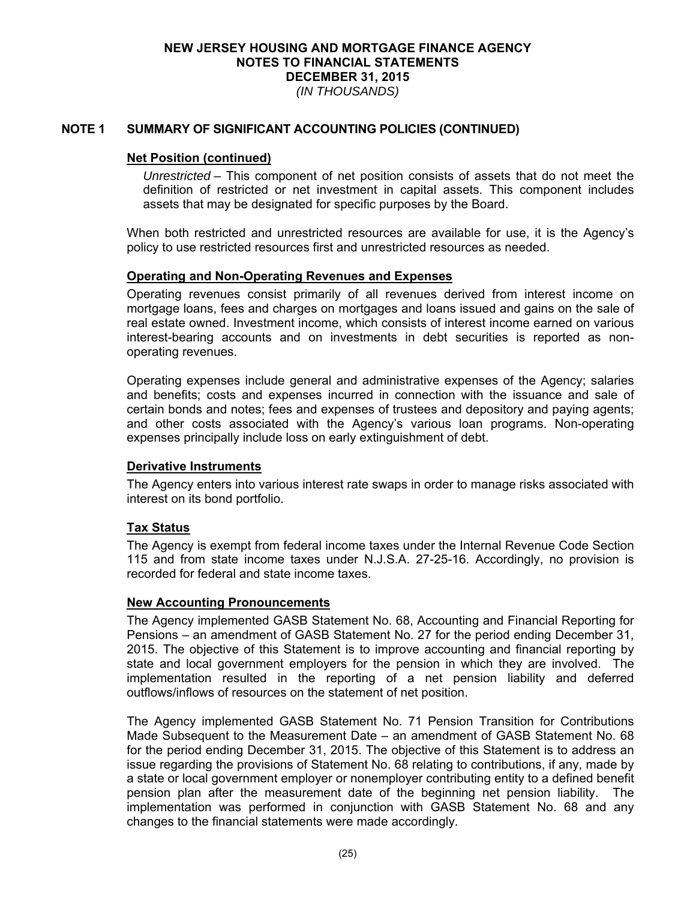# *(IN THOUSANDS)*

### **NOTE 1 SUMMARY OF SIGNIFICANT ACCOUNTING POLICIES (CONTINUED)**

#### **Net Position (continued)**

*Unrestricted* – This component of net position consists of assets that do not meet the definition of restricted or net investment in capital assets. This component includes assets that may be designated for specific purposes by the Board.

When both restricted and unrestricted resources are available for use, it is the Agency's policy to use restricted resources first and unrestricted resources as needed.

### **Operating and Non-Operating Revenues and Expenses**

Operating revenues consist primarily of all revenues derived from interest income on mortgage loans, fees and charges on mortgages and loans issued and gains on the sale of real estate owned. Investment income, which consists of interest income earned on various interest-bearing accounts and on investments in debt securities is reported as nonoperating revenues.

Operating expenses include general and administrative expenses of the Agency; salaries and benefits; costs and expenses incurred in connection with the issuance and sale of certain bonds and notes; fees and expenses of trustees and depository and paying agents; and other costs associated with the Agency's various loan programs. Non-operating expenses principally include loss on early extinguishment of debt.

#### **Derivative Instruments**

The Agency enters into various interest rate swaps in order to manage risks associated with interest on its bond portfolio.

# **Tax Status**

The Agency is exempt from federal income taxes under the Internal Revenue Code Section 115 and from state income taxes under N.J.S.A. 27-25-16. Accordingly, no provision is recorded for federal and state income taxes.

#### **New Accounting Pronouncements**

The Agency implemented GASB Statement No. 68, Accounting and Financial Reporting for Pensions – an amendment of GASB Statement No. 27 for the period ending December 31, 2015. The objective of this Statement is to improve accounting and financial reporting by state and local government employers for the pension in which they are involved. The implementation resulted in the reporting of a net pension liability and deferred outflows/inflows of resources on the statement of net position.

The Agency implemented GASB Statement No. 71 Pension Transition for Contributions Made Subsequent to the Measurement Date – an amendment of GASB Statement No. 68 for the period ending December 31, 2015. The objective of this Statement is to address an issue regarding the provisions of Statement No. 68 relating to contributions, if any, made by a state or local government employer or nonemployer contributing entity to a defined benefit pension plan after the measurement date of the beginning net pension liability. The implementation was performed in conjunction with GASB Statement No. 68 and any changes to the financial statements were made accordingly.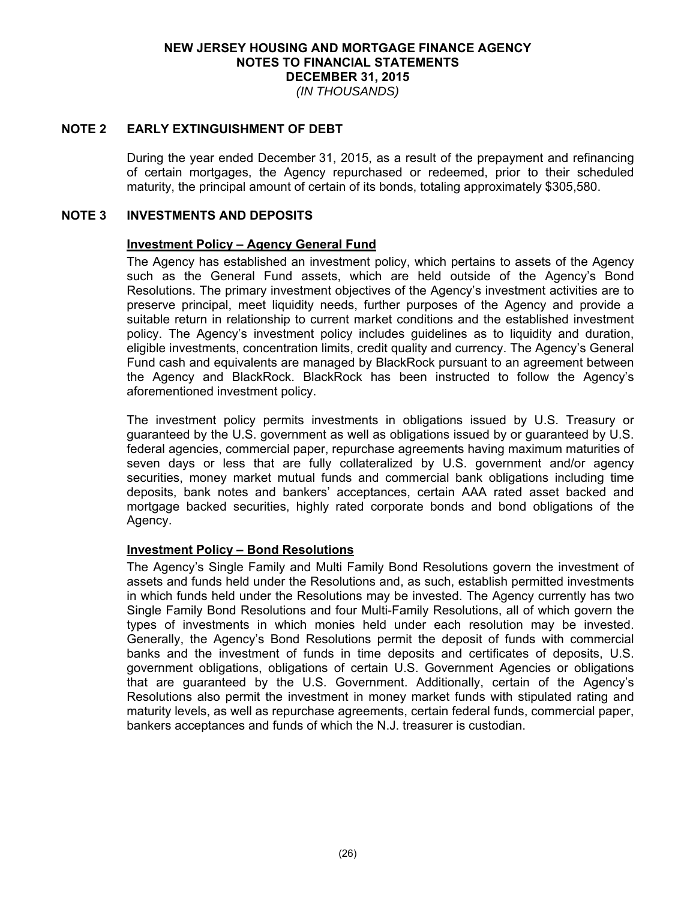*(IN THOUSANDS)*

### **NOTE 2 EARLY EXTINGUISHMENT OF DEBT**

During the year ended December 31, 2015, as a result of the prepayment and refinancing of certain mortgages, the Agency repurchased or redeemed, prior to their scheduled maturity, the principal amount of certain of its bonds, totaling approximately \$305,580.

#### **NOTE 3 INVESTMENTS AND DEPOSITS**

#### **Investment Policy – Agency General Fund**

The Agency has established an investment policy, which pertains to assets of the Agency such as the General Fund assets, which are held outside of the Agency's Bond Resolutions. The primary investment objectives of the Agency's investment activities are to preserve principal, meet liquidity needs, further purposes of the Agency and provide a suitable return in relationship to current market conditions and the established investment policy. The Agency's investment policy includes guidelines as to liquidity and duration, eligible investments, concentration limits, credit quality and currency. The Agency's General Fund cash and equivalents are managed by BlackRock pursuant to an agreement between the Agency and BlackRock. BlackRock has been instructed to follow the Agency's aforementioned investment policy.

The investment policy permits investments in obligations issued by U.S. Treasury or guaranteed by the U.S. government as well as obligations issued by or guaranteed by U.S. federal agencies, commercial paper, repurchase agreements having maximum maturities of seven days or less that are fully collateralized by U.S. government and/or agency securities, money market mutual funds and commercial bank obligations including time deposits, bank notes and bankers' acceptances, certain AAA rated asset backed and mortgage backed securities, highly rated corporate bonds and bond obligations of the Agency.

#### **Investment Policy – Bond Resolutions**

The Agency's Single Family and Multi Family Bond Resolutions govern the investment of assets and funds held under the Resolutions and, as such, establish permitted investments in which funds held under the Resolutions may be invested. The Agency currently has two Single Family Bond Resolutions and four Multi-Family Resolutions, all of which govern the types of investments in which monies held under each resolution may be invested. Generally, the Agency's Bond Resolutions permit the deposit of funds with commercial banks and the investment of funds in time deposits and certificates of deposits, U.S. government obligations, obligations of certain U.S. Government Agencies or obligations that are guaranteed by the U.S. Government. Additionally, certain of the Agency's Resolutions also permit the investment in money market funds with stipulated rating and maturity levels, as well as repurchase agreements, certain federal funds, commercial paper, bankers acceptances and funds of which the N.J. treasurer is custodian.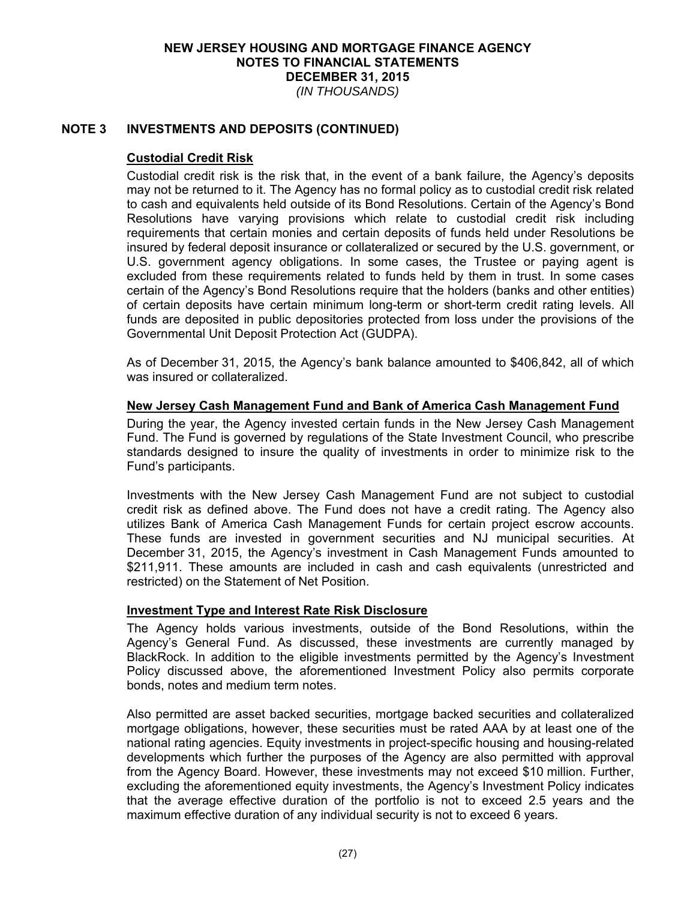*(IN THOUSANDS)*

# **NOTE 3 INVESTMENTS AND DEPOSITS (CONTINUED)**

#### **Custodial Credit Risk**

Custodial credit risk is the risk that, in the event of a bank failure, the Agency's deposits may not be returned to it. The Agency has no formal policy as to custodial credit risk related to cash and equivalents held outside of its Bond Resolutions. Certain of the Agency's Bond Resolutions have varying provisions which relate to custodial credit risk including requirements that certain monies and certain deposits of funds held under Resolutions be insured by federal deposit insurance or collateralized or secured by the U.S. government, or U.S. government agency obligations. In some cases, the Trustee or paying agent is excluded from these requirements related to funds held by them in trust. In some cases certain of the Agency's Bond Resolutions require that the holders (banks and other entities) of certain deposits have certain minimum long-term or short-term credit rating levels. All funds are deposited in public depositories protected from loss under the provisions of the Governmental Unit Deposit Protection Act (GUDPA).

As of December 31, 2015, the Agency's bank balance amounted to \$406,842, all of which was insured or collateralized.

#### **New Jersey Cash Management Fund and Bank of America Cash Management Fund**

During the year, the Agency invested certain funds in the New Jersey Cash Management Fund. The Fund is governed by regulations of the State Investment Council, who prescribe standards designed to insure the quality of investments in order to minimize risk to the Fund's participants.

Investments with the New Jersey Cash Management Fund are not subject to custodial credit risk as defined above. The Fund does not have a credit rating. The Agency also utilizes Bank of America Cash Management Funds for certain project escrow accounts. These funds are invested in government securities and NJ municipal securities. At December 31, 2015, the Agency's investment in Cash Management Funds amounted to \$211,911. These amounts are included in cash and cash equivalents (unrestricted and restricted) on the Statement of Net Position.

#### **Investment Type and Interest Rate Risk Disclosure**

The Agency holds various investments, outside of the Bond Resolutions, within the Agency's General Fund. As discussed, these investments are currently managed by BlackRock. In addition to the eligible investments permitted by the Agency's Investment Policy discussed above, the aforementioned Investment Policy also permits corporate bonds, notes and medium term notes.

Also permitted are asset backed securities, mortgage backed securities and collateralized mortgage obligations, however, these securities must be rated AAA by at least one of the national rating agencies. Equity investments in project-specific housing and housing-related developments which further the purposes of the Agency are also permitted with approval from the Agency Board. However, these investments may not exceed \$10 million. Further, excluding the aforementioned equity investments, the Agency's Investment Policy indicates that the average effective duration of the portfolio is not to exceed 2.5 years and the maximum effective duration of any individual security is not to exceed 6 years.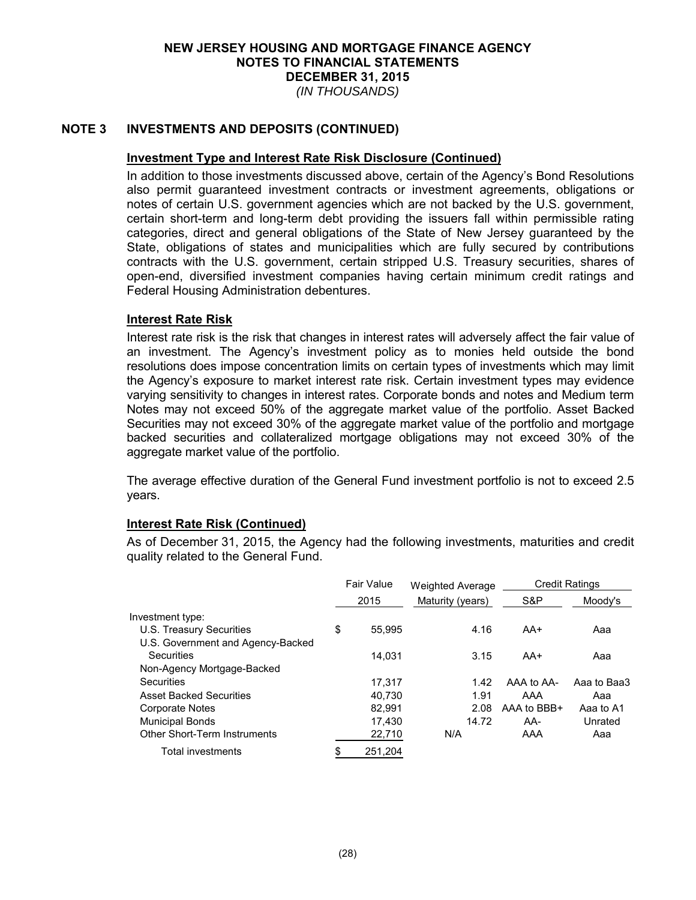*(IN THOUSANDS)*

# **NOTE 3 INVESTMENTS AND DEPOSITS (CONTINUED)**

#### **Investment Type and Interest Rate Risk Disclosure (Continued)**

In addition to those investments discussed above, certain of the Agency's Bond Resolutions also permit guaranteed investment contracts or investment agreements, obligations or notes of certain U.S. government agencies which are not backed by the U.S. government, certain short-term and long-term debt providing the issuers fall within permissible rating categories, direct and general obligations of the State of New Jersey guaranteed by the State, obligations of states and municipalities which are fully secured by contributions contracts with the U.S. government, certain stripped U.S. Treasury securities, shares of open-end, diversified investment companies having certain minimum credit ratings and Federal Housing Administration debentures.

#### **Interest Rate Risk**

Interest rate risk is the risk that changes in interest rates will adversely affect the fair value of an investment. The Agency's investment policy as to monies held outside the bond resolutions does impose concentration limits on certain types of investments which may limit the Agency's exposure to market interest rate risk. Certain investment types may evidence varying sensitivity to changes in interest rates. Corporate bonds and notes and Medium term Notes may not exceed 50% of the aggregate market value of the portfolio. Asset Backed Securities may not exceed 30% of the aggregate market value of the portfolio and mortgage backed securities and collateralized mortgage obligations may not exceed 30% of the aggregate market value of the portfolio.

The average effective duration of the General Fund investment portfolio is not to exceed 2.5 years.

#### **Interest Rate Risk (Continued)**

As of December 31, 2015, the Agency had the following investments, maturities and credit quality related to the General Fund.

|                                     | Fair Value   | <b>Credit Ratings</b><br><b>Weighted Average</b> |             |             |  |
|-------------------------------------|--------------|--------------------------------------------------|-------------|-------------|--|
|                                     | 2015         | Maturity (years)                                 | S&P         | Moody's     |  |
| Investment type:                    |              |                                                  |             |             |  |
| U.S. Treasury Securities            | \$<br>55.995 | 4.16                                             | AA+         | Aaa         |  |
| U.S. Government and Agency-Backed   |              |                                                  |             |             |  |
| <b>Securities</b>                   | 14.031       | 3.15                                             | AA+         | Aaa         |  |
| Non-Agency Mortgage-Backed          |              |                                                  |             |             |  |
| Securities                          | 17.317       | 1.42                                             | AAA to AA-  | Aaa to Baa3 |  |
| <b>Asset Backed Securities</b>      | 40.730       | 1.91                                             | AAA         | Aaa         |  |
| <b>Corporate Notes</b>              | 82.991       | 2.08                                             | AAA to BBB+ | Aaa to A1   |  |
| <b>Municipal Bonds</b>              | 17,430       | 14.72                                            | AA-         | Unrated     |  |
| <b>Other Short-Term Instruments</b> | 22,710       | N/A                                              | AAA         | Aaa         |  |
| Total investments                   | 251,204      |                                                  |             |             |  |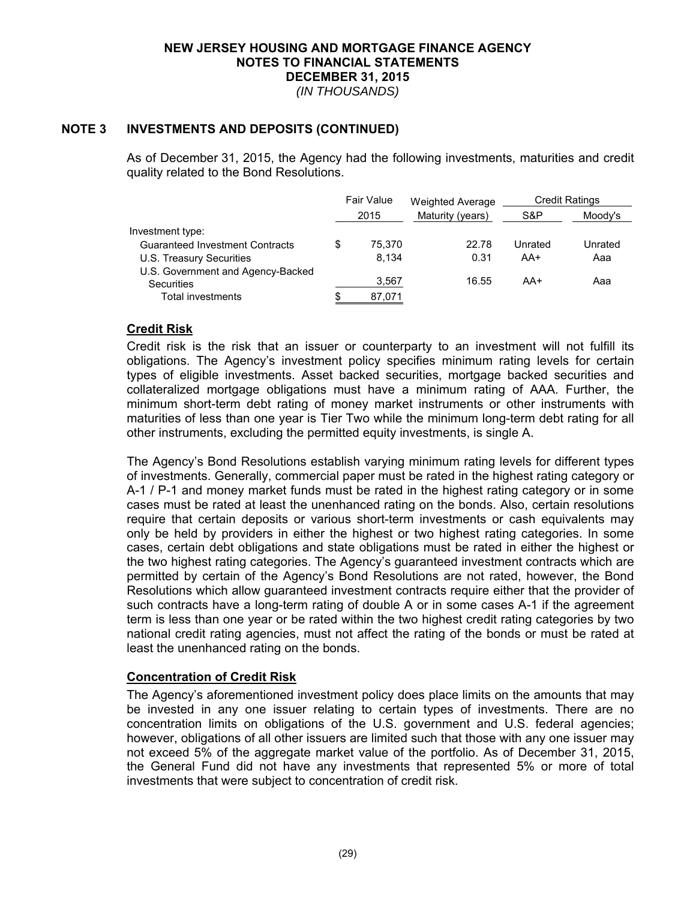### *(IN THOUSANDS)*

# **NOTE 3 INVESTMENTS AND DEPOSITS (CONTINUED)**

As of December 31, 2015, the Agency had the following investments, maturities and credit quality related to the Bond Resolutions.

|                                        |   | Fair Value | <b>Weighted Average</b> | <b>Credit Ratings</b> |         |
|----------------------------------------|---|------------|-------------------------|-----------------------|---------|
|                                        |   | 2015       | Maturity (years)        | S&P                   | Moody's |
| Investment type:                       |   |            |                         |                       |         |
| <b>Guaranteed Investment Contracts</b> |   | 75.370     | 22.78                   | Unrated               | Unrated |
| U.S. Treasury Securities               |   | 8.134      | 0.31                    | AA+                   | Aaa     |
| U.S. Government and Agency-Backed      |   |            |                         |                       |         |
| Securities                             |   | 3,567      | 16.55                   | AA+                   | Aaa     |
| Total investments                      | S | 87.071     |                         |                       |         |

#### **Credit Risk**

Credit risk is the risk that an issuer or counterparty to an investment will not fulfill its obligations. The Agency's investment policy specifies minimum rating levels for certain types of eligible investments. Asset backed securities, mortgage backed securities and collateralized mortgage obligations must have a minimum rating of AAA. Further, the minimum short-term debt rating of money market instruments or other instruments with maturities of less than one year is Tier Two while the minimum long-term debt rating for all other instruments, excluding the permitted equity investments, is single A.

The Agency's Bond Resolutions establish varying minimum rating levels for different types of investments. Generally, commercial paper must be rated in the highest rating category or A-1 / P-1 and money market funds must be rated in the highest rating category or in some cases must be rated at least the unenhanced rating on the bonds. Also, certain resolutions require that certain deposits or various short-term investments or cash equivalents may only be held by providers in either the highest or two highest rating categories. In some cases, certain debt obligations and state obligations must be rated in either the highest or the two highest rating categories. The Agency's guaranteed investment contracts which are permitted by certain of the Agency's Bond Resolutions are not rated, however, the Bond Resolutions which allow guaranteed investment contracts require either that the provider of such contracts have a long-term rating of double A or in some cases A-1 if the agreement term is less than one year or be rated within the two highest credit rating categories by two national credit rating agencies, must not affect the rating of the bonds or must be rated at least the unenhanced rating on the bonds.

#### **Concentration of Credit Risk**

The Agency's aforementioned investment policy does place limits on the amounts that may be invested in any one issuer relating to certain types of investments. There are no concentration limits on obligations of the U.S. government and U.S. federal agencies; however, obligations of all other issuers are limited such that those with any one issuer may not exceed 5% of the aggregate market value of the portfolio. As of December 31, 2015, the General Fund did not have any investments that represented 5% or more of total investments that were subject to concentration of credit risk.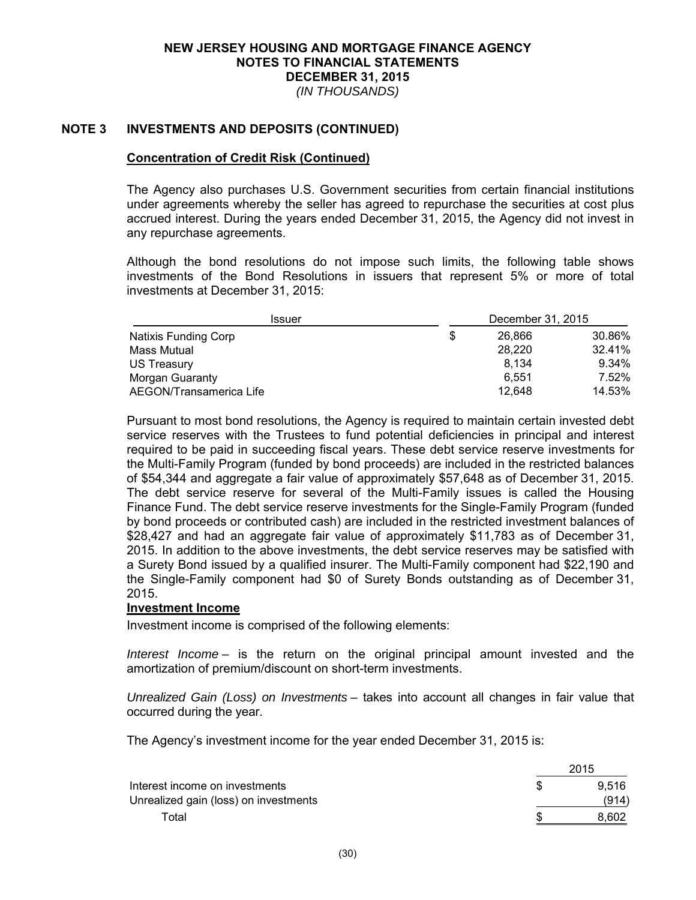# *(IN THOUSANDS)*

### **NOTE 3 INVESTMENTS AND DEPOSITS (CONTINUED)**

#### **Concentration of Credit Risk (Continued)**

The Agency also purchases U.S. Government securities from certain financial institutions under agreements whereby the seller has agreed to repurchase the securities at cost plus accrued interest. During the years ended December 31, 2015, the Agency did not invest in any repurchase agreements.

Although the bond resolutions do not impose such limits, the following table shows investments of the Bond Resolutions in issuers that represent 5% or more of total investments at December 31, 2015:

| Issuer                  |   | December 31, 2015 |        |  |  |  |
|-------------------------|---|-------------------|--------|--|--|--|
| Natixis Funding Corp    | S | 26.866            | 30.86% |  |  |  |
| Mass Mutual             |   | 28.220            | 32.41% |  |  |  |
| US Treasury             |   | 8.134             | 9.34%  |  |  |  |
| Morgan Guaranty         |   | 6.551             | 7.52%  |  |  |  |
| AEGON/Transamerica Life |   | 12.648            | 14.53% |  |  |  |

Pursuant to most bond resolutions, the Agency is required to maintain certain invested debt service reserves with the Trustees to fund potential deficiencies in principal and interest required to be paid in succeeding fiscal years. These debt service reserve investments for the Multi-Family Program (funded by bond proceeds) are included in the restricted balances of \$54,344 and aggregate a fair value of approximately \$57,648 as of December 31, 2015. The debt service reserve for several of the Multi-Family issues is called the Housing Finance Fund. The debt service reserve investments for the Single-Family Program (funded by bond proceeds or contributed cash) are included in the restricted investment balances of \$28,427 and had an aggregate fair value of approximately \$11,783 as of December 31, 2015. In addition to the above investments, the debt service reserves may be satisfied with a Surety Bond issued by a qualified insurer. The Multi-Family component had \$22,190 and the Single-Family component had \$0 of Surety Bonds outstanding as of December 31, 2015.

#### **Investment Income**

Investment income is comprised of the following elements:

*Interest Income* – is the return on the original principal amount invested and the amortization of premium/discount on short-term investments.

*Unrealized Gain (Loss) on Investments* – takes into account all changes in fair value that occurred during the year.

The Agency's investment income for the year ended December 31, 2015 is:

|                                       | 2015  |
|---------------------------------------|-------|
| Interest income on investments        | 9.516 |
| Unrealized gain (loss) on investments | (914) |
| Total                                 | 8.602 |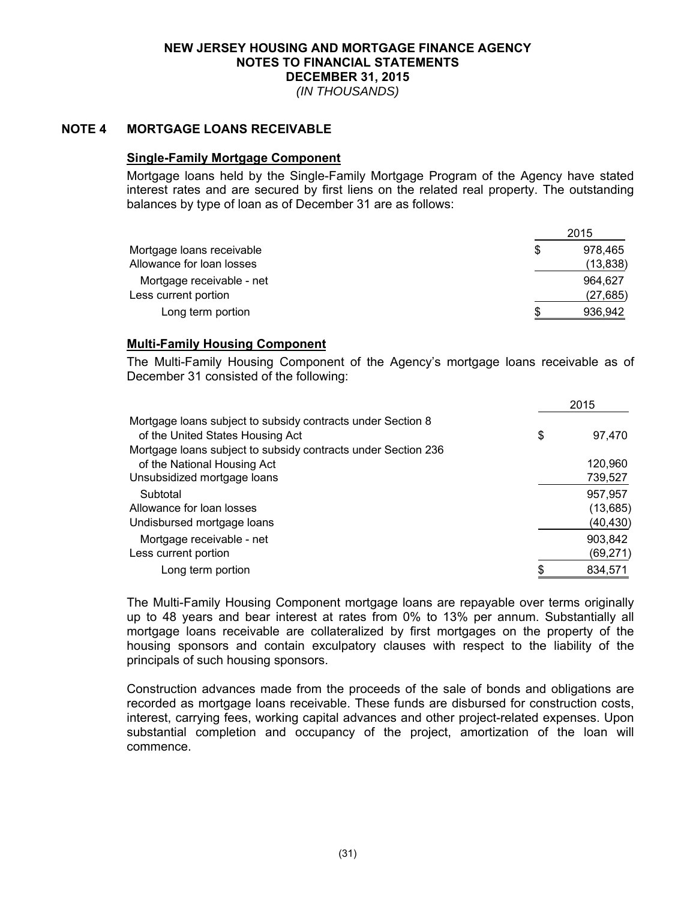# *(IN THOUSANDS)*

#### **NOTE 4 MORTGAGE LOANS RECEIVABLE**

#### **Single-Family Mortgage Component**

Mortgage loans held by the Single-Family Mortgage Program of the Agency have stated interest rates and are secured by first liens on the related real property. The outstanding balances by type of loan as of December 31 are as follows:

|                           | 2015          |
|---------------------------|---------------|
| Mortgage loans receivable | 978.465<br>\$ |
| Allowance for loan losses | (13,838)      |
| Mortgage receivable - net | 964.627       |
| Less current portion      | (27, 685)     |
| Long term portion         | 936,942       |

#### **Multi-Family Housing Component**

The Multi-Family Housing Component of the Agency's mortgage loans receivable as of December 31 consisted of the following:

|                                                                                                 | 2015         |
|-------------------------------------------------------------------------------------------------|--------------|
| Mortgage loans subject to subsidy contracts under Section 8<br>of the United States Housing Act | \$<br>97,470 |
| Mortgage loans subject to subsidy contracts under Section 236                                   |              |
| of the National Housing Act                                                                     | 120,960      |
| Unsubsidized mortgage loans                                                                     | 739,527      |
| Subtotal                                                                                        | 957,957      |
| Allowance for loan losses                                                                       | (13, 685)    |
| Undisbursed mortgage loans                                                                      | (40,430)     |
| Mortgage receivable - net                                                                       | 903,842      |
| Less current portion                                                                            | (69,271)     |
| Long term portion                                                                               | 834,571      |

The Multi-Family Housing Component mortgage loans are repayable over terms originally up to 48 years and bear interest at rates from 0% to 13% per annum. Substantially all mortgage loans receivable are collateralized by first mortgages on the property of the housing sponsors and contain exculpatory clauses with respect to the liability of the principals of such housing sponsors.

Construction advances made from the proceeds of the sale of bonds and obligations are recorded as mortgage loans receivable. These funds are disbursed for construction costs, interest, carrying fees, working capital advances and other project-related expenses. Upon substantial completion and occupancy of the project, amortization of the loan will commence.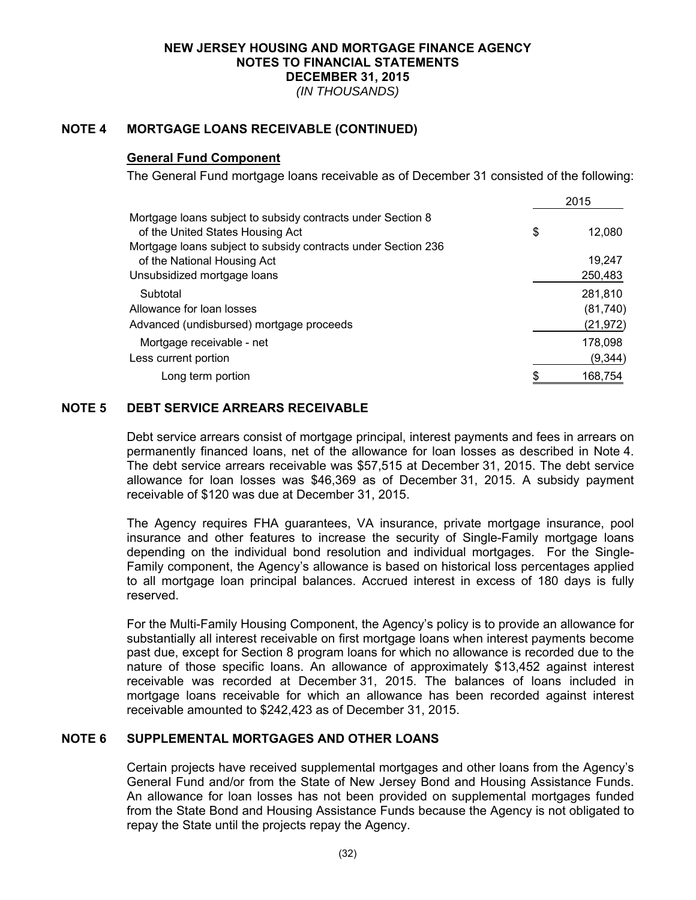#### **NEW JERSEY HOUSING AND MORTGAGE FINANCE AGENCY NOTES TO FINANCIAL STATEMENTS DECEMBER 31, 2015**  *(IN THOUSANDS)*

# **NOTE 4 MORTGAGE LOANS RECEIVABLE (CONTINUED)**

# **General Fund Component**

The General Fund mortgage loans receivable as of December 31 consisted of the following:

2015

|                                                                                                                                                                  | 2015 |          |
|------------------------------------------------------------------------------------------------------------------------------------------------------------------|------|----------|
| Mortgage loans subject to subsidy contracts under Section 8<br>of the United States Housing Act<br>Mortgage loans subject to subsidy contracts under Section 236 | \$   | 12,080   |
| of the National Housing Act                                                                                                                                      |      | 19.247   |
| Unsubsidized mortgage loans                                                                                                                                      |      | 250,483  |
| Subtotal                                                                                                                                                         |      | 281,810  |
| Allowance for loan losses                                                                                                                                        |      | (81,740) |
| Advanced (undisbursed) mortgage proceeds                                                                                                                         |      | (21,972) |
| Mortgage receivable - net                                                                                                                                        |      | 178,098  |
| Less current portion                                                                                                                                             |      | (9,344)  |
| Long term portion                                                                                                                                                |      | 168,754  |
|                                                                                                                                                                  |      |          |

### **NOTE 5 DEBT SERVICE ARREARS RECEIVABLE**

Debt service arrears consist of mortgage principal, interest payments and fees in arrears on permanently financed loans, net of the allowance for loan losses as described in Note 4. The debt service arrears receivable was \$57,515 at December 31, 2015. The debt service allowance for loan losses was \$46,369 as of December 31, 2015. A subsidy payment receivable of \$120 was due at December 31, 2015.

The Agency requires FHA guarantees, VA insurance, private mortgage insurance, pool insurance and other features to increase the security of Single-Family mortgage loans depending on the individual bond resolution and individual mortgages. For the Single-Family component, the Agency's allowance is based on historical loss percentages applied to all mortgage loan principal balances. Accrued interest in excess of 180 days is fully reserved.

For the Multi-Family Housing Component, the Agency's policy is to provide an allowance for substantially all interest receivable on first mortgage loans when interest payments become past due, except for Section 8 program loans for which no allowance is recorded due to the nature of those specific loans. An allowance of approximately \$13,452 against interest receivable was recorded at December 31, 2015. The balances of loans included in mortgage loans receivable for which an allowance has been recorded against interest receivable amounted to \$242,423 as of December 31, 2015.

# **NOTE 6 SUPPLEMENTAL MORTGAGES AND OTHER LOANS**

Certain projects have received supplemental mortgages and other loans from the Agency's General Fund and/or from the State of New Jersey Bond and Housing Assistance Funds. An allowance for loan losses has not been provided on supplemental mortgages funded from the State Bond and Housing Assistance Funds because the Agency is not obligated to repay the State until the projects repay the Agency.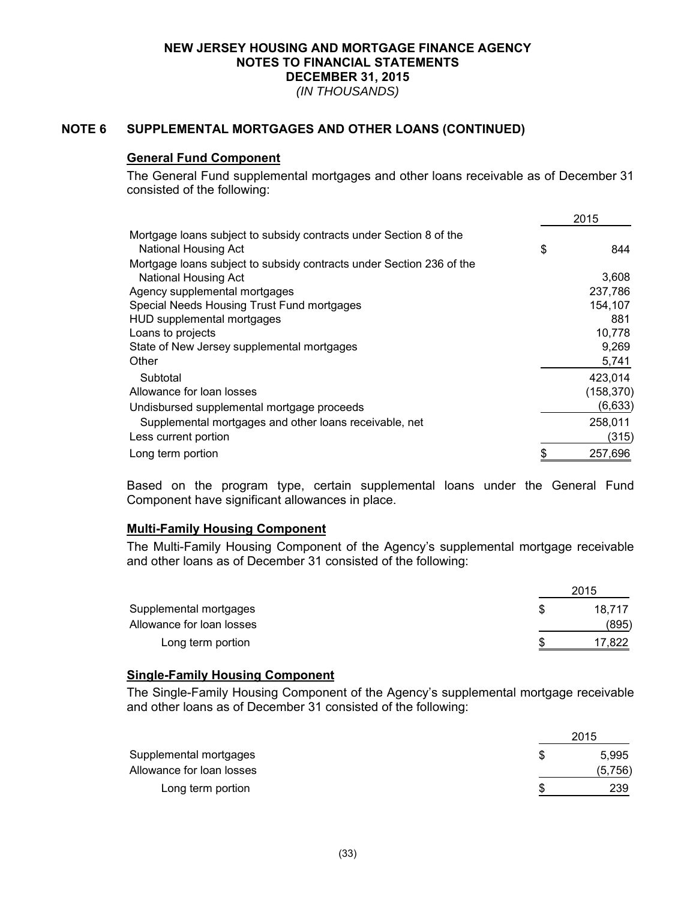#### **NEW JERSEY HOUSING AND MORTGAGE FINANCE AGENCY NOTES TO FINANCIAL STATEMENTS DECEMBER 31, 2015**  *(IN THOUSANDS)*

### **NOTE 6 SUPPLEMENTAL MORTGAGES AND OTHER LOANS (CONTINUED)**

#### **General Fund Component**

The General Fund supplemental mortgages and other loans receivable as of December 31 consisted of the following:

|                                                                                                     | 2015       |
|-----------------------------------------------------------------------------------------------------|------------|
| Mortgage loans subject to subsidy contracts under Section 8 of the<br><b>National Housing Act</b>   | \$<br>844  |
| Mortgage loans subject to subsidy contracts under Section 236 of the<br><b>National Housing Act</b> | 3,608      |
| Agency supplemental mortgages                                                                       | 237,786    |
| Special Needs Housing Trust Fund mortgages                                                          | 154,107    |
| HUD supplemental mortgages                                                                          | 881        |
| Loans to projects                                                                                   | 10,778     |
| State of New Jersey supplemental mortgages                                                          | 9,269      |
| Other                                                                                               | 5,741      |
| Subtotal                                                                                            | 423.014    |
| Allowance for loan losses                                                                           | (158, 370) |
| Undisbursed supplemental mortgage proceeds                                                          | (6,633)    |
| Supplemental mortgages and other loans receivable, net                                              | 258,011    |
| Less current portion                                                                                | (315)      |
| Long term portion                                                                                   | 257,696    |

Based on the program type, certain supplemental loans under the General Fund Component have significant allowances in place.

#### **Multi-Family Housing Component**

The Multi-Family Housing Component of the Agency's supplemental mortgage receivable and other loans as of December 31 consisted of the following:

|                           |   | 2015   |
|---------------------------|---|--------|
| Supplemental mortgages    |   | 18.717 |
| Allowance for loan losses |   | (895)  |
| Long term portion         | S | 17,822 |

#### **Single-Family Housing Component**

The Single-Family Housing Component of the Agency's supplemental mortgage receivable and other loans as of December 31 consisted of the following:

|                           | 2015    |
|---------------------------|---------|
| Supplemental mortgages    | 5.995   |
| Allowance for loan losses | (5,756) |
| Long term portion         | 239     |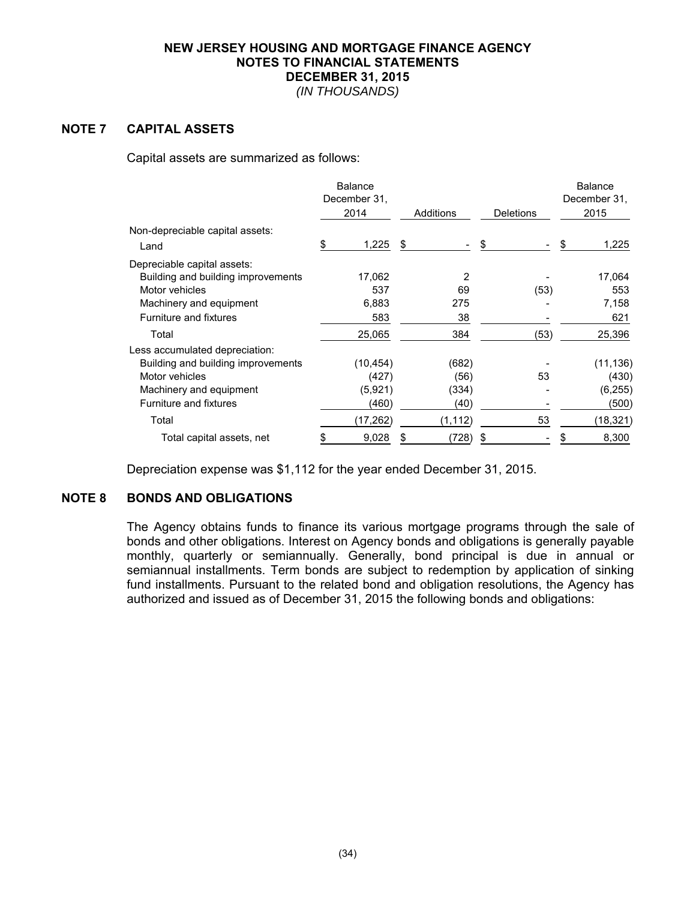# *(IN THOUSANDS)*

# **NOTE 7 CAPITAL ASSETS**

Capital assets are summarized as follows:

|                                    | <b>Balance</b><br>December 31, |    |           |    |                  | <b>Balance</b><br>December 31, |
|------------------------------------|--------------------------------|----|-----------|----|------------------|--------------------------------|
|                                    | 2014                           |    | Additions |    | <b>Deletions</b> | 2015                           |
| Non-depreciable capital assets:    |                                |    |           |    |                  |                                |
| Land                               | \$<br>1,225                    | \$ |           | \$ |                  | \$<br>1,225                    |
| Depreciable capital assets:        |                                |    |           |    |                  |                                |
| Building and building improvements | 17,062                         |    | 2         |    |                  | 17,064                         |
| Motor vehicles                     | 537                            |    | 69        |    | (53)             | 553                            |
| Machinery and equipment            | 6,883                          |    | 275       |    |                  | 7,158                          |
| Furniture and fixtures             | 583                            |    | 38        |    |                  | 621                            |
| Total                              | 25,065                         |    | 384       |    | (53)             | 25,396                         |
| Less accumulated depreciation:     |                                |    |           |    |                  |                                |
| Building and building improvements | (10, 454)                      |    | (682)     |    |                  | (11, 136)                      |
| Motor vehicles                     | (427)                          |    | (56)      |    | 53               | (430)                          |
| Machinery and equipment            | (5,921)                        |    | (334)     |    |                  | (6, 255)                       |
| Furniture and fixtures             | (460)                          |    | (40)      |    |                  | (500)                          |
| Total                              | (17, 262)                      |    | (1,112)   |    | 53               | (18,321)                       |
| Total capital assets, net          | 9,028                          | æ. | (728)     | æ. |                  | 8,300                          |

Depreciation expense was \$1,112 for the year ended December 31, 2015.

# **NOTE 8 BONDS AND OBLIGATIONS**

The Agency obtains funds to finance its various mortgage programs through the sale of bonds and other obligations. Interest on Agency bonds and obligations is generally payable monthly, quarterly or semiannually. Generally, bond principal is due in annual or semiannual installments. Term bonds are subject to redemption by application of sinking fund installments. Pursuant to the related bond and obligation resolutions, the Agency has authorized and issued as of December 31, 2015 the following bonds and obligations: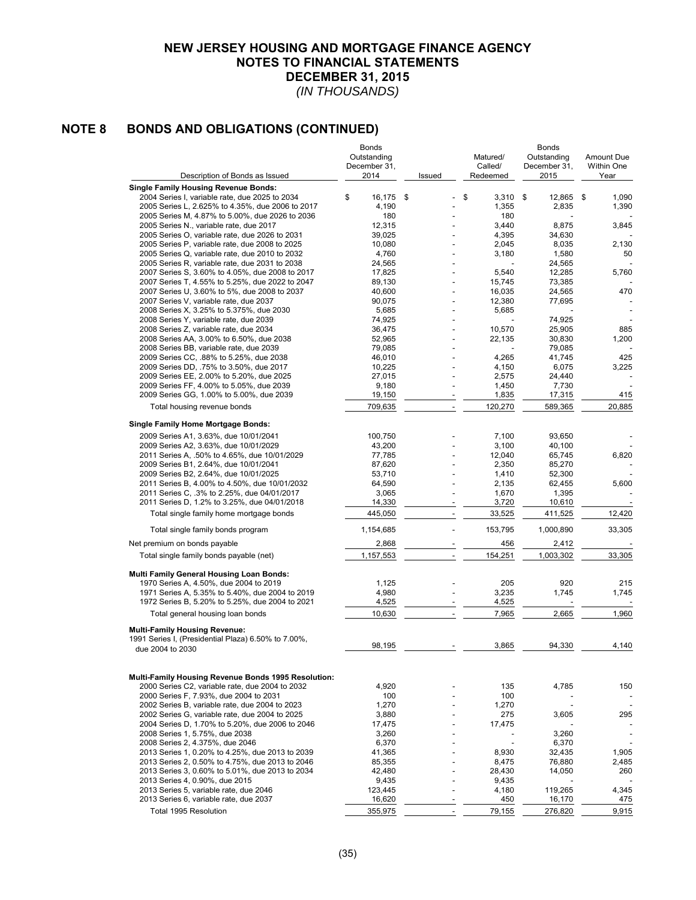*(IN THOUSANDS)*

# **NOTE 8 BONDS AND OBLIGATIONS (CONTINUED)**

|                                                                                        | <b>Bonds</b> |                          |                | <b>Bonds</b> |             |
|----------------------------------------------------------------------------------------|--------------|--------------------------|----------------|--------------|-------------|
|                                                                                        | Outstanding  |                          | Matured/       | Outstanding  | Amount Due  |
|                                                                                        | December 31, |                          | Called/        | December 31, | Within One  |
| Description of Bonds as Issued                                                         | 2014         | Issued                   | Redeemed       | 2015         | Year        |
| <b>Single Family Housing Revenue Bonds:</b>                                            |              |                          |                |              |             |
| 2004 Series I, variable rate, due 2025 to 2034                                         | \$<br>16,175 | \$                       | \$<br>3,310    | \$<br>12,865 | \$<br>1,090 |
| 2005 Series L, 2.625% to 4.35%, due 2006 to 2017                                       | 4,190        |                          | 1,355          | 2,835        | 1,390       |
| 2005 Series M, 4.87% to 5.00%, due 2026 to 2036                                        | 180          |                          | 180            |              |             |
| 2005 Series N., variable rate, due 2017                                                | 12,315       |                          | 3,440          | 8,875        | 3,845       |
| 2005 Series O, variable rate, due 2026 to 2031                                         | 39,025       |                          | 4,395          | 34,630       |             |
| 2005 Series P, variable rate, due 2008 to 2025                                         | 10,080       |                          | 2,045          | 8,035        | 2,130       |
| 2005 Series Q, variable rate, due 2010 to 2032                                         | 4,760        |                          | 3,180          | 1,580        | 50          |
| 2005 Series R, variable rate, due 2031 to 2038                                         | 24,565       |                          |                | 24,565       |             |
| 2007 Series S, 3.60% to 4.05%, due 2008 to 2017                                        | 17,825       |                          | 5,540          | 12,285       | 5,760       |
| 2007 Series T, 4.55% to 5.25%, due 2022 to 2047                                        | 89,130       |                          | 15,745         | 73,385       |             |
|                                                                                        | 40,600       |                          |                |              | 470         |
| 2007 Series U, 3.60% to 5%, due 2008 to 2037<br>2007 Series V, variable rate, due 2037 |              |                          | 16,035         | 24,565       |             |
|                                                                                        | 90,075       |                          | 12,380         | 77,695       |             |
| 2008 Series X, 3.25% to 5.375%, due 2030                                               | 5,685        |                          | 5,685          |              |             |
| 2008 Series Y, variable rate, due 2039                                                 | 74,925       |                          |                | 74,925       |             |
| 2008 Series Z, variable rate, due 2034                                                 | 36,475       |                          | 10,570         | 25,905       | 885         |
| 2008 Series AA, 3.00% to 6.50%, due 2038                                               | 52,965       |                          | 22,135         | 30,830       | 1,200       |
| 2008 Series BB, variable rate, due 2039                                                | 79,085       |                          |                | 79,085       |             |
| 2009 Series CC, .88% to 5.25%, due 2038                                                | 46,010       |                          | 4,265          | 41,745       | 425         |
| 2009 Series DD, .75% to 3.50%, due 2017                                                | 10,225       |                          | 4,150          | 6,075        | 3,225       |
| 2009 Series EE, 2.00% to 5.20%, due 2025                                               | 27,015       |                          | 2,575          | 24,440       |             |
| 2009 Series FF, 4.00% to 5.05%, due 2039                                               | 9,180        |                          | 1,450          | 7,730        |             |
| 2009 Series GG, 1.00% to 5.00%, due 2039                                               | 19,150       |                          | 1,835          | 17,315       | 415         |
| Total housing revenue bonds                                                            | 709,635      | $\sim$                   | 120,270        | 589,365      | 20,885      |
|                                                                                        |              |                          |                |              |             |
| <b>Single Family Home Mortgage Bonds:</b>                                              |              |                          |                |              |             |
| 2009 Series A1, 3.63%, due 10/01/2041                                                  | 100,750      |                          | 7,100          | 93,650       |             |
| 2009 Series A2, 3.63%, due 10/01/2029                                                  |              |                          |                |              |             |
|                                                                                        | 43,200       |                          | 3,100          | 40,100       |             |
| 2011 Series A, .50% to 4.65%, due 10/01/2029                                           | 77,785       |                          | 12,040         | 65,745       | 6,820       |
| 2009 Series B1, 2.64%, due 10/01/2041                                                  | 87,620       |                          | 2,350          | 85,270       |             |
| 2009 Series B2, 2.64%, due 10/01/2025                                                  | 53,710       |                          | 1,410          | 52,300       |             |
| 2011 Series B, 4.00% to 4.50%, due 10/01/2032                                          | 64,590       |                          | 2,135          | 62,455       | 5,600       |
| 2011 Series C, .3% to 2.25%, due 04/01/2017                                            | 3,065        |                          | 1,670          | 1,395        |             |
| 2011 Series D, 1.2% to 3.25%, due 04/01/2018                                           | 14,330       | $\overline{a}$           | 3,720          | 10,610       |             |
| Total single family home mortgage bonds                                                | 445,050      | $\overline{\phantom{a}}$ | 33,525         | 411,525      | 12,420      |
| Total single family bonds program                                                      | 1,154,685    |                          | 153,795        | 1,000,890    | 33,305      |
| Net premium on bonds payable                                                           | 2,868        | $\overline{\phantom{m}}$ | 456            | 2,412        |             |
| Total single family bonds payable (net)                                                | 1,157,553    | $\overline{a}$           | 154,251        | 1,003,302    | 33,305      |
|                                                                                        |              |                          |                |              |             |
| <b>Multi Family General Housing Loan Bonds:</b>                                        |              |                          |                |              |             |
| 1970 Series A, 4.50%, due 2004 to 2019                                                 | 1,125        |                          | 205            | 920          | 215         |
| 1971 Series A, 5.35% to 5.40%, due 2004 to 2019                                        | 4,980        |                          | 3,235          | 1,745        | 1,745       |
| 1972 Series B, 5.20% to 5.25%, due 2004 to 2021                                        | 4,525        |                          | 4,525          |              |             |
| Total general housing loan bonds                                                       | 10,630       |                          | 7,965          | 2,665        | 1,960       |
|                                                                                        |              |                          |                |              |             |
| <b>Multi-Family Housing Revenue:</b>                                                   |              |                          |                |              |             |
| 1991 Series I, (Presidential Plaza) 6.50% to 7.00%,                                    | 98,195       |                          |                | 94,330       | 4,140       |
| due 2004 to 2030                                                                       |              |                          | 3,865          |              |             |
|                                                                                        |              |                          |                |              |             |
|                                                                                        |              |                          |                |              |             |
| Multi-Family Housing Revenue Bonds 1995 Resolution:                                    |              |                          |                |              |             |
| 2000 Series C2, variable rate, due 2004 to 2032                                        | 4,920        |                          | 135            | 4,785        | 150         |
| 2000 Series F, 7.93%, due 2004 to 2031                                                 | 100          |                          | 100            |              |             |
| 2002 Series B, variable rate, due 2004 to 2023                                         | 1,270        |                          | 1,270          |              |             |
| 2002 Series G, variable rate, due 2004 to 2025                                         | 3,880        |                          | 275            | 3,605        | 295         |
| 2004 Series D, 1.70% to 5.20%, due 2006 to 2046                                        | 17,475       |                          | 17,475         |              |             |
| 2008 Series 1, 5.75%, due 2038                                                         | 3,260        |                          |                | 3,260        |             |
| 2008 Series 2, 4.375%, due 2046                                                        | 6,370        |                          | $\overline{a}$ | 6,370        |             |
| 2013 Series 1, 0.20% to 4.25%, due 2013 to 2039                                        | 41,365       |                          | 8,930          | 32,435       | 1,905       |
| 2013 Series 2, 0.50% to 4.75%, due 2013 to 2046                                        | 85,355       |                          | 8,475          | 76,880       | 2,485       |
| 2013 Series 3, 0.60% to 5.01%, due 2013 to 2034                                        | 42,480       |                          | 28,430         | 14,050       | 260         |
| 2013 Series 4, 0.90%, due 2015                                                         | 9,435        |                          | 9,435          |              |             |
| 2013 Series 5, variable rate, due 2046                                                 | 123,445      |                          | 4,180          | 119,265      | 4,345       |
| 2013 Series 6, variable rate, due 2037                                                 | 16,620       |                          | 450            | 16,170       | 475         |
| Total 1995 Resolution                                                                  |              | $\overline{a}$           |                |              |             |
|                                                                                        | 355,975      |                          | 79,155         | 276,820      | 9,915       |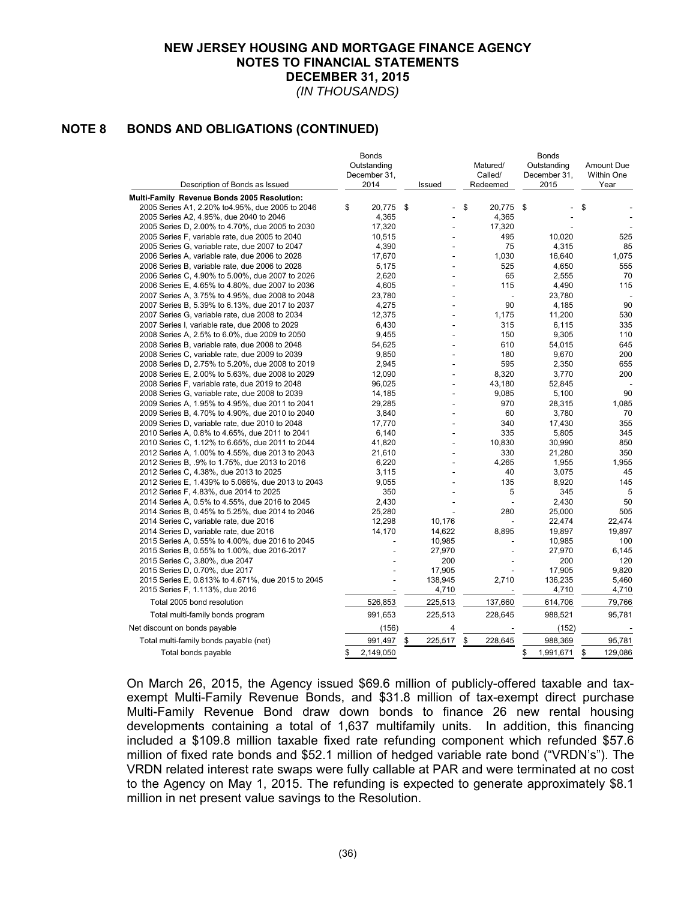*(IN THOUSANDS)*

#### **NOTE 8 BONDS AND OBLIGATIONS (CONTINUED)**

|                                                                                                  | <b>Bonds</b><br>Outstanding<br>December 31, |                          | Matured/<br>Called/ | <b>Bonds</b><br>Outstanding<br>December 31, |                 | <b>Amount Due</b><br><b>Within One</b> |
|--------------------------------------------------------------------------------------------------|---------------------------------------------|--------------------------|---------------------|---------------------------------------------|-----------------|----------------------------------------|
| Description of Bonds as Issued                                                                   | 2014                                        | Issued                   | Redeemed            |                                             | 2015            | Year                                   |
| Multi-Family Revenue Bonds 2005 Resolution:                                                      |                                             |                          |                     |                                             |                 |                                        |
| 2005 Series A1, 2.20% to 4.95%, due 2005 to 2046                                                 | \$<br>20,775                                | \$                       | \$<br>20,775        | \$                                          |                 | \$                                     |
| 2005 Series A2, 4.95%, due 2040 to 2046                                                          | 4,365                                       |                          | 4,365               |                                             |                 |                                        |
| 2005 Series D, 2.00% to 4.70%, due 2005 to 2030                                                  | 17,320                                      |                          | 17,320              |                                             |                 |                                        |
| 2005 Series F, variable rate, due 2005 to 2040                                                   | 10,515                                      |                          | 495                 |                                             | 10,020          | 525                                    |
| 2005 Series G, variable rate, due 2007 to 2047                                                   | 4,390                                       |                          | 75                  |                                             | 4,315           | 85                                     |
| 2006 Series A, variable rate, due 2006 to 2028                                                   | 17,670                                      |                          | 1,030               |                                             | 16,640          | 1,075                                  |
| 2006 Series B, variable rate, due 2006 to 2028                                                   | 5,175                                       |                          | 525                 |                                             | 4,650           | 555                                    |
| 2006 Series C, 4.90% to 5.00%, due 2007 to 2026                                                  | 2,620                                       |                          | 65                  |                                             | 2,555           | 70                                     |
| 2006 Series E, 4.65% to 4.80%, due 2007 to 2036                                                  | 4,605                                       |                          | 115                 |                                             | 4,490           | 115                                    |
| 2007 Series A, 3.75% to 4.95%, due 2008 to 2048                                                  | 23,780                                      |                          |                     |                                             | 23,780          |                                        |
| 2007 Series B, 5.39% to 6.13%, due 2017 to 2037                                                  | 4,275                                       |                          | 90                  |                                             | 4,185           | 90                                     |
| 2007 Series G, variable rate, due 2008 to 2034                                                   | 12,375                                      |                          | 1,175               |                                             | 11,200          | 530                                    |
| 2007 Series I, variable rate, due 2008 to 2029                                                   | 6,430                                       |                          | 315                 |                                             | 6,115           | 335                                    |
| 2008 Series A, 2.5% to 6.0%, due 2009 to 2050                                                    | 9,455                                       |                          | 150                 |                                             | 9,305           | 110                                    |
| 2008 Series B, variable rate, due 2008 to 2048                                                   | 54,625                                      |                          | 610                 |                                             | 54,015          | 645                                    |
| 2008 Series C, variable rate, due 2009 to 2039                                                   | 9,850                                       |                          | 180                 |                                             | 9,670           | 200                                    |
| 2008 Series D, 2.75% to 5.20%, due 2008 to 2019                                                  | 2,945                                       |                          | 595                 |                                             | 2,350           | 655                                    |
| 2008 Series E, 2.00% to 5.63%, due 2008 to 2029                                                  | 12,090                                      |                          | 8,320               |                                             | 3,770           | 200                                    |
| 2008 Series F, variable rate, due 2019 to 2048                                                   | 96,025                                      | $\overline{\phantom{a}}$ | 43,180              |                                             | 52,845          |                                        |
| 2008 Series G, variable rate, due 2008 to 2039                                                   | 14,185                                      |                          | 9,085               |                                             | 5,100           | 90                                     |
| 2009 Series A, 1.95% to 4.95%, due 2011 to 2041                                                  | 29,285                                      |                          | 970<br>60           |                                             | 28,315          | 1,085<br>70                            |
| 2009 Series B, 4.70% to 4.90%, due 2010 to 2040                                                  | 3,840<br>17,770                             |                          | 340                 |                                             | 3,780<br>17,430 | 355                                    |
| 2009 Series D, variable rate, due 2010 to 2048<br>2010 Series A, 0.8% to 4.65%, due 2011 to 2041 | 6,140                                       |                          | 335                 |                                             | 5,805           | 345                                    |
| 2010 Series C, 1.12% to 6.65%, due 2011 to 2044                                                  | 41,820                                      |                          | 10,830              |                                             | 30,990          | 850                                    |
| 2012 Series A, 1.00% to 4.55%, due 2013 to 2043                                                  | 21,610                                      |                          | 330                 |                                             | 21,280          | 350                                    |
| 2012 Series B, .9% to 1.75%, due 2013 to 2016                                                    | 6,220                                       |                          | 4,265               |                                             | 1,955           | 1,955                                  |
| 2012 Series C, 4.38%, due 2013 to 2025                                                           | 3,115                                       |                          | 40                  |                                             | 3,075           | 45                                     |
| 2012 Series E, 1.439% to 5.086%, due 2013 to 2043                                                | 9,055                                       |                          | 135                 |                                             | 8,920           | 145                                    |
| 2012 Series F, 4.83%, due 2014 to 2025                                                           | 350                                         |                          | 5                   |                                             | 345             | 5                                      |
| 2014 Series A, 0.5% to 4.55%, due 2016 to 2045                                                   | 2,430                                       |                          |                     |                                             | 2,430           | 50                                     |
| 2014 Series B, 0.45% to 5.25%, due 2014 to 2046                                                  | 25,280                                      |                          | 280                 |                                             | 25,000          | 505                                    |
| 2014 Series C, variable rate, due 2016                                                           | 12,298                                      | 10,176                   |                     |                                             | 22,474          | 22,474                                 |
| 2014 Series D, variable rate, due 2016                                                           | 14,170                                      | 14,622                   | 8,895               |                                             | 19,897          | 19,897                                 |
| 2015 Series A, 0.55% to 4.00%, due 2016 to 2045                                                  |                                             | 10,985                   |                     |                                             | 10,985          | 100                                    |
| 2015 Series B, 0.55% to 1.00%, due 2016-2017                                                     |                                             | 27,970                   |                     |                                             | 27,970          | 6,145                                  |
| 2015 Series C, 3.80%, due 2047                                                                   |                                             | 200                      |                     |                                             | 200             | 120                                    |
| 2015 Series D, 0.70%, due 2017                                                                   |                                             | 17,905                   |                     |                                             | 17,905          | 9,820                                  |
| 2015 Series E, 0.813% to 4.671%, due 2015 to 2045                                                |                                             | 138,945                  | 2,710               |                                             | 136,235         | 5,460                                  |
| 2015 Series F, 1.113%, due 2016                                                                  |                                             | 4,710                    |                     |                                             | 4,710           | 4,710                                  |
| Total 2005 bond resolution                                                                       | 526,853                                     | 225,513                  | 137,660             |                                             | 614,706         | 79,766                                 |
| Total multi-family bonds program                                                                 | 991,653                                     | 225,513                  | 228,645             |                                             | 988,521         | 95,781                                 |
| Net discount on bonds payable                                                                    | (156)                                       | 4                        |                     |                                             | (152)           |                                        |
| Total multi-family bonds payable (net)                                                           | 991,497                                     | \$<br>225,517            | \$<br>228,645       |                                             | 988,369         | 95,781                                 |
| Total bonds payable                                                                              | \$<br>2,149,050                             |                          |                     | \$                                          | 1,991,671       | \$<br>129,086                          |

On March 26, 2015, the Agency issued \$69.6 million of publicly-offered taxable and taxexempt Multi-Family Revenue Bonds, and \$31.8 million of tax-exempt direct purchase Multi-Family Revenue Bond draw down bonds to finance 26 new rental housing developments containing a total of 1,637 multifamily units. In addition, this financing included a \$109.8 million taxable fixed rate refunding component which refunded \$57.6 million of fixed rate bonds and \$52.1 million of hedged variable rate bond ("VRDN's"). The VRDN related interest rate swaps were fully callable at PAR and were terminated at no cost to the Agency on May 1, 2015. The refunding is expected to generate approximately \$8.1 million in net present value savings to the Resolution.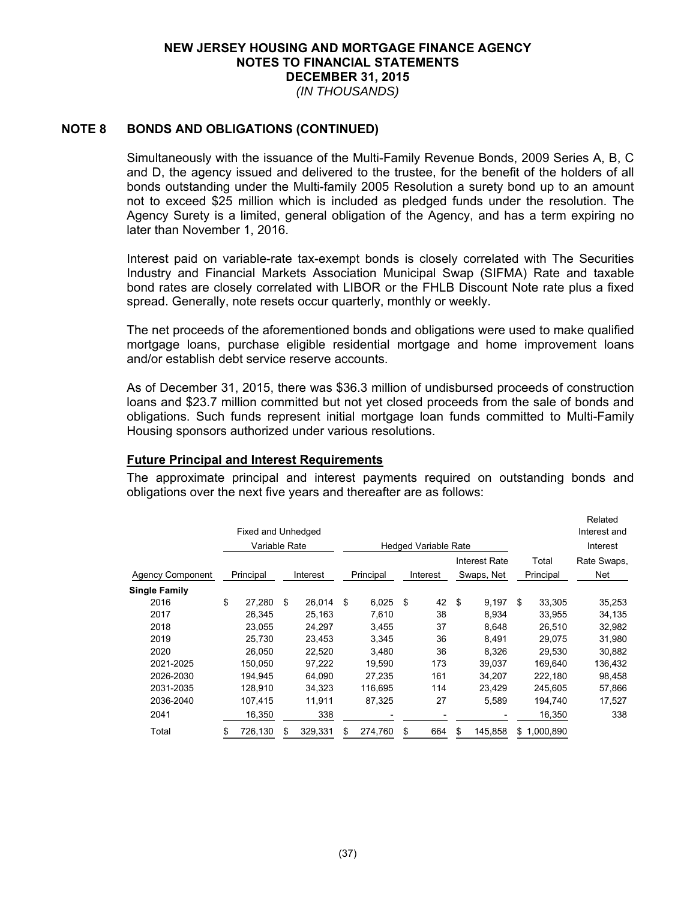# *(IN THOUSANDS)*

#### **NOTE 8 BONDS AND OBLIGATIONS (CONTINUED)**

Simultaneously with the issuance of the Multi-Family Revenue Bonds, 2009 Series A, B, C and D, the agency issued and delivered to the trustee, for the benefit of the holders of all bonds outstanding under the Multi-family 2005 Resolution a surety bond up to an amount not to exceed \$25 million which is included as pledged funds under the resolution. The Agency Surety is a limited, general obligation of the Agency, and has a term expiring no later than November 1, 2016.

Interest paid on variable-rate tax-exempt bonds is closely correlated with The Securities Industry and Financial Markets Association Municipal Swap (SIFMA) Rate and taxable bond rates are closely correlated with LIBOR or the FHLB Discount Note rate plus a fixed spread. Generally, note resets occur quarterly, monthly or weekly.

The net proceeds of the aforementioned bonds and obligations were used to make qualified mortgage loans, purchase eligible residential mortgage and home improvement loans and/or establish debt service reserve accounts.

As of December 31, 2015, there was \$36.3 million of undisbursed proceeds of construction loans and \$23.7 million committed but not yet closed proceeds from the sale of bonds and obligations. Such funds represent initial mortgage loan funds committed to Multi-Family Housing sponsors authorized under various resolutions.

#### **Future Principal and Interest Requirements**

The approximate principal and interest payments required on outstanding bonds and obligations over the next five years and thereafter are as follows:

|                         | Fixed and Unhedged<br>Variable Rate |          |         |           |         |          | <b>Hedged Variable Rate</b> |            |               |           |             | Related<br>Interest and<br>Interest |  |
|-------------------------|-------------------------------------|----------|---------|-----------|---------|----------|-----------------------------|------------|---------------|-----------|-------------|-------------------------------------|--|
|                         |                                     |          |         |           |         |          |                             |            | Interest Rate |           | Total       | Rate Swaps,                         |  |
| <b>Agency Component</b> | Principal                           | Interest |         | Principal |         | Interest |                             | Swaps, Net |               | Principal |             | Net                                 |  |
| Single Family           |                                     |          |         |           |         |          |                             |            |               |           |             |                                     |  |
| 2016                    | \$<br>27,280                        | \$       | 26.014  | \$        | 6,025   | \$       | 42                          | \$         | 9,197         | \$        | 33,305      | 35,253                              |  |
| 2017                    | 26.345                              |          | 25,163  |           | 7,610   |          | 38                          |            | 8,934         |           | 33,955      | 34,135                              |  |
| 2018                    | 23,055                              |          | 24.297  |           | 3.455   |          | 37                          |            | 8,648         |           | 26,510      | 32,982                              |  |
| 2019                    | 25.730                              |          | 23.453  |           | 3.345   |          | 36                          |            | 8.491         |           | 29.075      | 31,980                              |  |
| 2020                    | 26.050                              |          | 22.520  |           | 3.480   |          | 36                          |            | 8,326         |           | 29.530      | 30,882                              |  |
| 2021-2025               | 150,050                             |          | 97,222  |           | 19,590  |          | 173                         |            | 39,037        |           | 169,640     | 136,432                             |  |
| 2026-2030               | 194.945                             |          | 64,090  |           | 27,235  |          | 161                         |            | 34,207        |           | 222,180     | 98,458                              |  |
| 2031-2035               | 128.910                             |          | 34.323  |           | 116,695 |          | 114                         |            | 23.429        |           | 245.605     | 57,866                              |  |
| 2036-2040               | 107,415                             |          | 11,911  |           | 87,325  |          | 27                          |            | 5,589         |           | 194,740     | 17,527                              |  |
| 2041                    | 16,350                              |          | 338     |           |         |          |                             |            |               |           | 16,350      | 338                                 |  |
| Total                   | \$<br>726,130                       | \$       | 329,331 | \$        | 274,760 | \$       | 664                         | \$         | 145,858       |           | \$1,000,890 |                                     |  |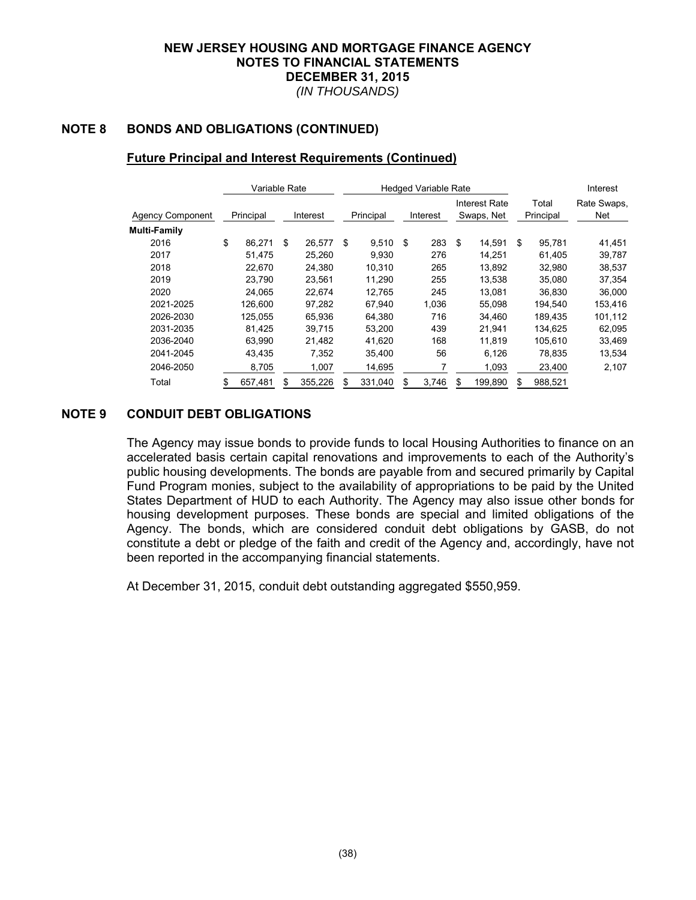*(IN THOUSANDS)*

# **NOTE 8 BONDS AND OBLIGATIONS (CONTINUED)**

#### **Future Principal and Interest Requirements (Continued)**

|                         | Variable Rate |     |          |             | <b>Hedged Variable Rate</b> |                             | Interest           |                    |
|-------------------------|---------------|-----|----------|-------------|-----------------------------|-----------------------------|--------------------|--------------------|
| <b>Agency Component</b> | Principal     |     | Interest | Principal   | Interest                    | Interest Rate<br>Swaps, Net | Total<br>Principal | Rate Swaps,<br>Net |
| Multi-Family            |               |     |          |             |                             |                             |                    |                    |
| 2016                    | \$<br>86.271  | \$  | 26.577   | \$<br>9.510 | \$<br>283                   | \$<br>14.591                | \$<br>95.781       | 41,451             |
| 2017                    | 51.475        |     | 25.260   | 9.930       | 276                         | 14.251                      | 61.405             | 39,787             |
| 2018                    | 22.670        |     | 24,380   | 10.310      | 265                         | 13,892                      | 32,980             | 38,537             |
| 2019                    | 23.790        |     | 23,561   | 11.290      | 255                         | 13,538                      | 35,080             | 37,354             |
| 2020                    | 24.065        |     | 22.674   | 12.765      | 245                         | 13.081                      | 36.830             | 36,000             |
| 2021-2025               | 126.600       |     | 97.282   | 67.940      | 1.036                       | 55,098                      | 194.540            | 153,416            |
| 2026-2030               | 125.055       |     | 65.936   | 64.380      | 716                         | 34.460                      | 189.435            | 101,112            |
| 2031-2035               | 81,425        |     | 39,715   | 53,200      | 439                         | 21,941                      | 134,625            | 62,095             |
| 2036-2040               | 63,990        |     | 21,482   | 41,620      | 168                         | 11,819                      | 105,610            | 33,469             |
| 2041-2045               | 43,435        |     | 7,352    | 35,400      | 56                          | 6,126                       | 78,835             | 13,534             |
| 2046-2050               | 8,705         |     | 1,007    | 14,695      | 7                           | 1,093                       | 23,400             | 2,107              |
| Total                   | \$<br>657,481 | \$. | 355,226  | 331,040     | \$<br>3,746                 | \$<br>199,890               | \$<br>988,521      |                    |

# **NOTE 9 CONDUIT DEBT OBLIGATIONS**

The Agency may issue bonds to provide funds to local Housing Authorities to finance on an accelerated basis certain capital renovations and improvements to each of the Authority's public housing developments. The bonds are payable from and secured primarily by Capital Fund Program monies, subject to the availability of appropriations to be paid by the United States Department of HUD to each Authority. The Agency may also issue other bonds for housing development purposes. These bonds are special and limited obligations of the Agency. The bonds, which are considered conduit debt obligations by GASB, do not constitute a debt or pledge of the faith and credit of the Agency and, accordingly, have not been reported in the accompanying financial statements.

At December 31, 2015, conduit debt outstanding aggregated \$550,959.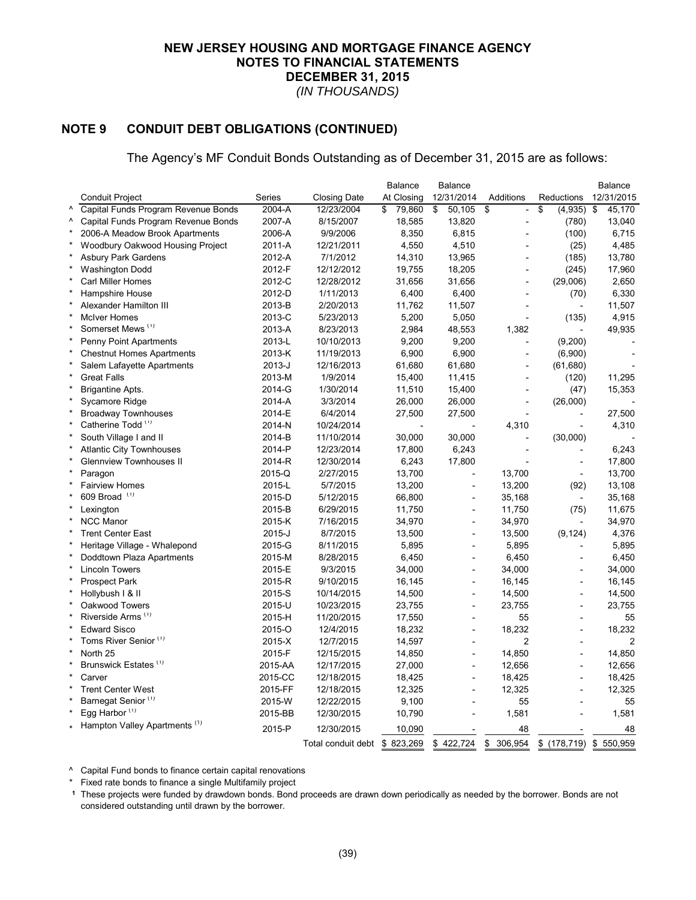# *(IN THOUSANDS)*

# **NOTE 9 CONDUIT DEBT OBLIGATIONS (CONTINUED)**

The Agency's MF Conduit Bonds Outstanding as of December 31, 2015 are as follows:

|         |                                          |         |                              | Balance      | Balance        |                |                          | Balance        |
|---------|------------------------------------------|---------|------------------------------|--------------|----------------|----------------|--------------------------|----------------|
|         | <b>Conduit Project</b>                   | Series  | <b>Closing Date</b>          | At Closing   | 12/31/2014     | Additions      | Reductions               | 12/31/2015     |
| ٨       | Capital Funds Program Revenue Bonds      | 2004-A  | 12/23/2004                   | 79,860<br>\$ | \$<br>50,105   | \$             | \$<br>$(4,935)$ \$       | 45,170         |
| ٨       | Capital Funds Program Revenue Bonds      | 2007-A  | 8/15/2007                    | 18,585       | 13,820         |                | (780)                    | 13,040         |
| $\star$ | 2006-A Meadow Brook Apartments           | 2006-A  | 9/9/2006                     | 8,350        | 6,815          |                | (100)                    | 6,715          |
| $\star$ | Woodbury Oakwood Housing Project         | 2011-A  | 12/21/2011                   | 4,550        | 4,510          |                | (25)                     | 4,485          |
| $\star$ | <b>Asbury Park Gardens</b>               | 2012-A  | 7/1/2012                     | 14,310       | 13,965         |                | (185)                    | 13,780         |
| $\star$ | <b>Washington Dodd</b>                   | 2012-F  | 12/12/2012                   | 19,755       | 18,205         |                | (245)                    | 17,960         |
| $\star$ | Carl Miller Homes                        | 2012-C  | 12/28/2012                   | 31,656       | 31,656         | $\overline{a}$ | (29,006)                 | 2,650          |
|         | <b>Hampshire House</b>                   | 2012-D  | 1/11/2013                    | 6,400        | 6,400          |                | (70)                     | 6,330          |
| $\star$ | Alexander Hamilton III                   | 2013-B  | 2/20/2013                    | 11,762       | 11,507         |                |                          | 11,507         |
| $\star$ | <b>McIver Homes</b>                      | 2013-C  | 5/23/2013                    | 5,200        | 5,050          |                | (135)                    | 4,915          |
| $\star$ | Somerset Mews <sup>(1)</sup>             | 2013-A  | 8/23/2013                    | 2,984        | 48,553         | 1,382          |                          | 49,935         |
| $\star$ | <b>Penny Point Apartments</b>            | 2013-L  | 10/10/2013                   | 9,200        | 9,200          |                | (9,200)                  |                |
|         | <b>Chestnut Homes Apartments</b>         | 2013-K  | 11/19/2013                   | 6,900        | 6,900          |                | (6,900)                  |                |
|         | Salem Lafayette Apartments               | 2013-J  | 12/16/2013                   | 61,680       | 61,680         | $\overline{a}$ | (61, 680)                |                |
| $\star$ | <b>Great Falls</b>                       | 2013-M  | 1/9/2014                     | 15,400       | 11,415         |                | (120)                    | 11,295         |
| $\star$ | Brigantine Apts.                         | 2014-G  | 1/30/2014                    | 11,510       | 15,400         | ÷              | (47)                     | 15,353         |
|         | Sycamore Ridge                           | 2014-A  | 3/3/2014                     | 26,000       | 26,000         |                | (26,000)                 |                |
|         | <b>Broadway Townhouses</b>               | 2014-E  | 6/4/2014                     | 27,500       | 27,500         |                | $\overline{a}$           | 27,500         |
| $\star$ | Catherine Todd <sup>(1)</sup>            | 2014-N  | 10/24/2014                   |              |                | 4,310          | $\overline{a}$           | 4,310          |
|         | South Village I and II                   | 2014-B  | 11/10/2014                   | 30,000       | 30,000         |                | (30,000)                 |                |
| $\star$ | <b>Atlantic City Townhouses</b>          | 2014-P  | 12/23/2014                   | 17,800       | 6,243          | $\overline{a}$ | $\overline{\phantom{a}}$ | 6,243          |
|         | <b>Glennview Townhouses II</b>           | 2014-R  | 12/30/2014                   | 6,243        | 17,800         |                | $\overline{\phantom{a}}$ | 17,800         |
| $\star$ | Paragon                                  | 2015-Q  | 2/27/2015                    | 13,700       |                | 13,700         | $\overline{\phantom{a}}$ | 13,700         |
|         | <b>Fairview Homes</b>                    | 2015-L  | 5/7/2015                     | 13,200       | $\overline{a}$ | 13,200         | (92)                     | 13,108         |
| $\star$ | 609 Broad (1)                            | 2015-D  | 5/12/2015                    | 66,800       | $\overline{a}$ | 35,168         | $\frac{1}{2}$            | 35,168         |
| $\star$ | Lexington                                | 2015-B  | 6/29/2015                    | 11,750       | $\overline{a}$ | 11,750         | (75)                     | 11,675         |
|         | <b>NCC Manor</b>                         | 2015-K  | 7/16/2015                    | 34,970       | $\overline{a}$ | 34,970         | $\blacksquare$           | 34,970         |
| $\star$ | <b>Trent Center East</b>                 | 2015-J  | 8/7/2015                     | 13,500       | $\overline{a}$ | 13,500         | (9, 124)                 | 4,376          |
|         | Heritage Village - Whalepond             | 2015-G  | 8/11/2015                    | 5,895        | $\overline{a}$ | 5,895          | $\overline{\phantom{a}}$ | 5,895          |
| $\star$ | Doddtown Plaza Apartments                | 2015-M  | 8/28/2015                    | 6,450        | $\overline{a}$ | 6,450          | $\overline{\phantom{0}}$ | 6,450          |
| $\star$ | <b>Lincoln Towers</b>                    | 2015-E  | 9/3/2015                     | 34,000       | $\overline{a}$ | 34,000         | $\overline{\phantom{m}}$ | 34,000         |
|         | <b>Prospect Park</b>                     | 2015-R  | 9/10/2015                    | 16,145       |                | 16,145         |                          | 16,145         |
| $\star$ | Hollybush I & II                         | 2015-S  | 10/14/2015                   | 14,500       | $\overline{a}$ | 14,500         | $\overline{\phantom{a}}$ | 14,500         |
|         | Oakwood Towers                           | 2015-U  | 10/23/2015                   | 23,755       | $\overline{a}$ | 23,755         | $\overline{a}$           | 23,755         |
| $\star$ | Riverside Arms <sup>(1)</sup>            | 2015-H  | 11/20/2015                   | 17,550       |                | 55             | $\overline{a}$           | 55             |
|         | <b>Edward Sisco</b>                      | 2015-O  | 12/4/2015                    | 18,232       | $\overline{a}$ | 18,232         | $\overline{a}$           | 18,232         |
| $\star$ | Toms River Senior <sup>(1)</sup>         | 2015-X  | 12/7/2015                    | 14,597       | $\overline{a}$ | 2              | $\overline{a}$           | $\overline{2}$ |
| $\star$ | North 25                                 | 2015-F  | 12/15/2015                   | 14,850       | $\overline{a}$ | 14,850         | $\overline{\phantom{a}}$ | 14,850         |
| $\star$ | Brunswick Estates <sup>(1)</sup>         | 2015-AA | 12/17/2015                   | 27,000       | $\overline{a}$ | 12,656         | $\overline{a}$           | 12,656         |
| $\star$ | Carver                                   | 2015-CC | 12/18/2015                   | 18,425       | $\overline{a}$ | 18,425         | $\blacksquare$           | 18,425         |
|         | <b>Trent Center West</b>                 | 2015-FF | 12/18/2015                   | 12,325       |                | 12,325         | $\overline{a}$           | 12,325         |
|         | Barnegat Senior <sup>(1)</sup>           | 2015-W  | 12/22/2015                   | 9,100        |                | 55             |                          | 55             |
|         | Egg Harbor $(1)$                         | 2015-BB | 12/30/2015                   | 10,790       | $\overline{a}$ | 1,581          | $\overline{a}$           | 1,581          |
|         | Hampton Valley Apartments <sup>(1)</sup> |         |                              |              |                |                |                          |                |
|         |                                          | 2015-P  | 12/30/2015                   | 10,090       |                | 48             |                          | 48             |
|         |                                          |         | Total conduit debt \$823,269 |              | \$422,724      | 306,954<br>\$  | \$ (178,719) \$ 550,959  |                |

^ Capital Fund bonds to finance certain capital renovations

\* Fixed rate bonds to finance a single Multifamily project

**<sup>1</sup>** These projects were funded by drawdown bonds. Bond proceeds are drawn down periodically as needed by the borrower. Bonds are not considered outstanding until drawn by the borrower.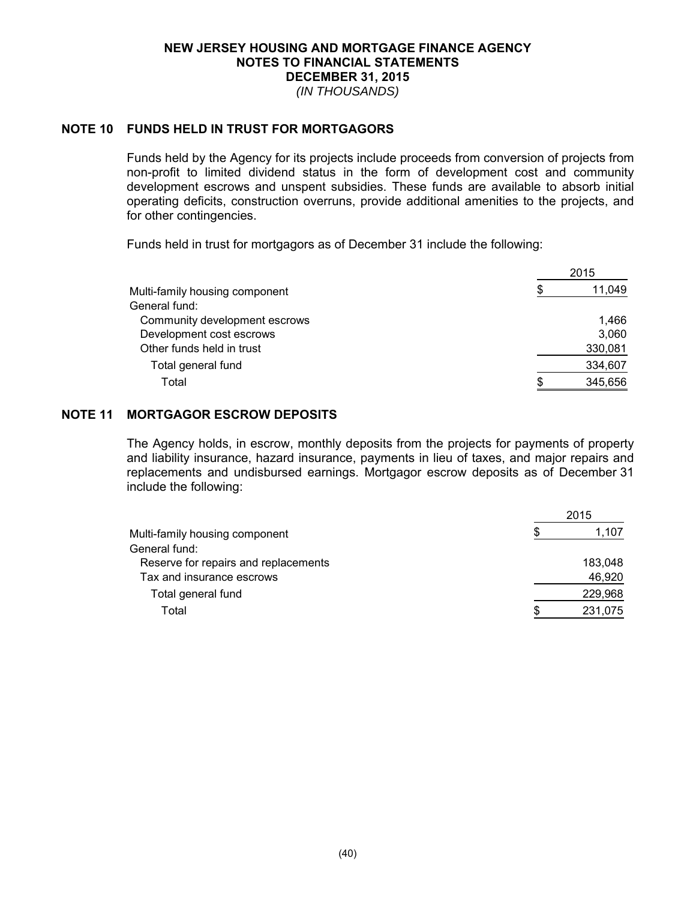# *(IN THOUSANDS)*

#### **NOTE 10 FUNDS HELD IN TRUST FOR MORTGAGORS**

Funds held by the Agency for its projects include proceeds from conversion of projects from non-profit to limited dividend status in the form of development cost and community development escrows and unspent subsidies. These funds are available to absorb initial operating deficits, construction overruns, provide additional amenities to the projects, and for other contingencies.

Funds held in trust for mortgagors as of December 31 include the following:

|                                | 2015 |         |  |  |  |  |
|--------------------------------|------|---------|--|--|--|--|
| Multi-family housing component |      | 11,049  |  |  |  |  |
| General fund:                  |      |         |  |  |  |  |
| Community development escrows  |      | 1.466   |  |  |  |  |
| Development cost escrows       |      | 3,060   |  |  |  |  |
| Other funds held in trust      |      | 330,081 |  |  |  |  |
| Total general fund             |      | 334,607 |  |  |  |  |
| Total                          |      | 345,656 |  |  |  |  |
|                                |      |         |  |  |  |  |

# **NOTE 11 MORTGAGOR ESCROW DEPOSITS**

The Agency holds, in escrow, monthly deposits from the projects for payments of property and liability insurance, hazard insurance, payments in lieu of taxes, and major repairs and replacements and undisbursed earnings. Mortgagor escrow deposits as of December 31 include the following:

| 2015 |         |  |  |  |  |
|------|---------|--|--|--|--|
|      | 1,107   |  |  |  |  |
|      |         |  |  |  |  |
|      | 183.048 |  |  |  |  |
|      | 46,920  |  |  |  |  |
|      | 229,968 |  |  |  |  |
|      | 231,075 |  |  |  |  |
|      |         |  |  |  |  |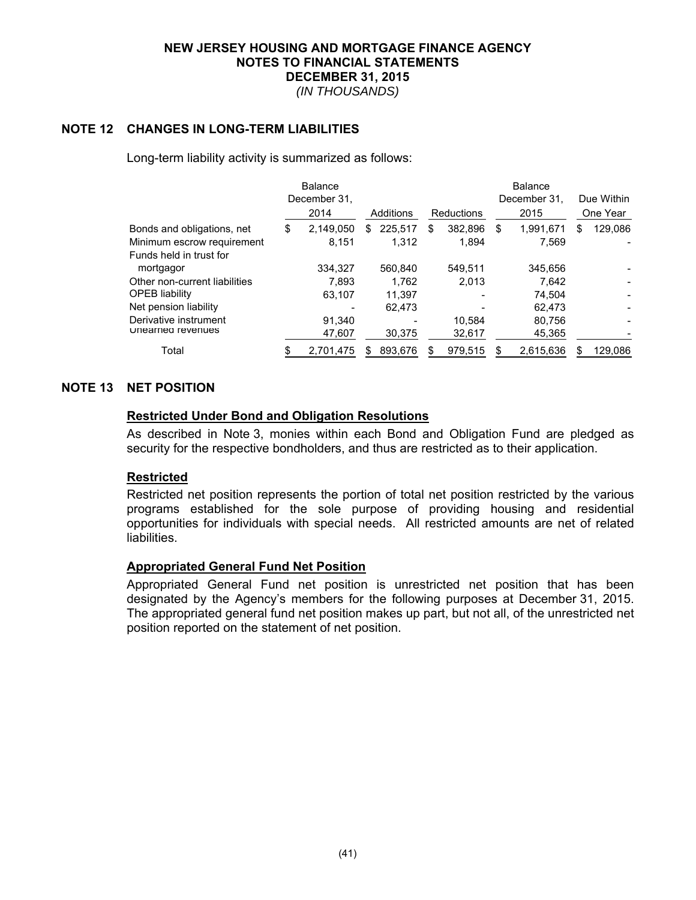*(IN THOUSANDS)*

# **NOTE 12 CHANGES IN LONG-TERM LIABILITIES**

Long-term liability activity is summarized as follows:

|                               | <b>Balance</b><br>December 31. |   |           |   |            |      | <b>Balance</b><br>December 31. |          | Due Within |
|-------------------------------|--------------------------------|---|-----------|---|------------|------|--------------------------------|----------|------------|
|                               | 2014                           |   | Additions |   | Reductions | 2015 |                                | One Year |            |
| Bonds and obligations, net    | \$<br>2,149,050                | S | 225.517   | S | 382.896    | S    | 1.991.671                      | S        | 129.086    |
| Minimum escrow requirement    | 8.151                          |   | 1.312     |   | 1.894      |      | 7.569                          |          |            |
| Funds held in trust for       |                                |   |           |   |            |      |                                |          |            |
| mortgagor                     | 334.327                        |   | 560.840   |   | 549.511    |      | 345.656                        |          |            |
| Other non-current liabilities | 7.893                          |   | 1.762     |   | 2.013      |      | 7.642                          |          |            |
| OPEB liability                | 63.107                         |   | 11.397    |   |            |      | 74.504                         |          |            |
| Net pension liability         |                                |   | 62,473    |   |            |      | 62,473                         |          |            |
| Derivative instrument         | 91.340                         |   |           |   | 10.584     |      | 80,756                         |          |            |
| unearned revenues             | 47.607                         |   | 30,375    |   | 32,617     |      | 45,365                         |          |            |
| Total                         | 2,701,475                      | S | 893,676   |   | 979,515    |      | 2,615,636                      |          | 129,086    |

# **NOTE 13 NET POSITION**

### **Restricted Under Bond and Obligation Resolutions**

As described in Note 3, monies within each Bond and Obligation Fund are pledged as security for the respective bondholders, and thus are restricted as to their application.

# **Restricted**

Restricted net position represents the portion of total net position restricted by the various programs established for the sole purpose of providing housing and residential opportunities for individuals with special needs. All restricted amounts are net of related liabilities.

### **Appropriated General Fund Net Position**

Appropriated General Fund net position is unrestricted net position that has been designated by the Agency's members for the following purposes at December 31, 2015. The appropriated general fund net position makes up part, but not all, of the unrestricted net position reported on the statement of net position.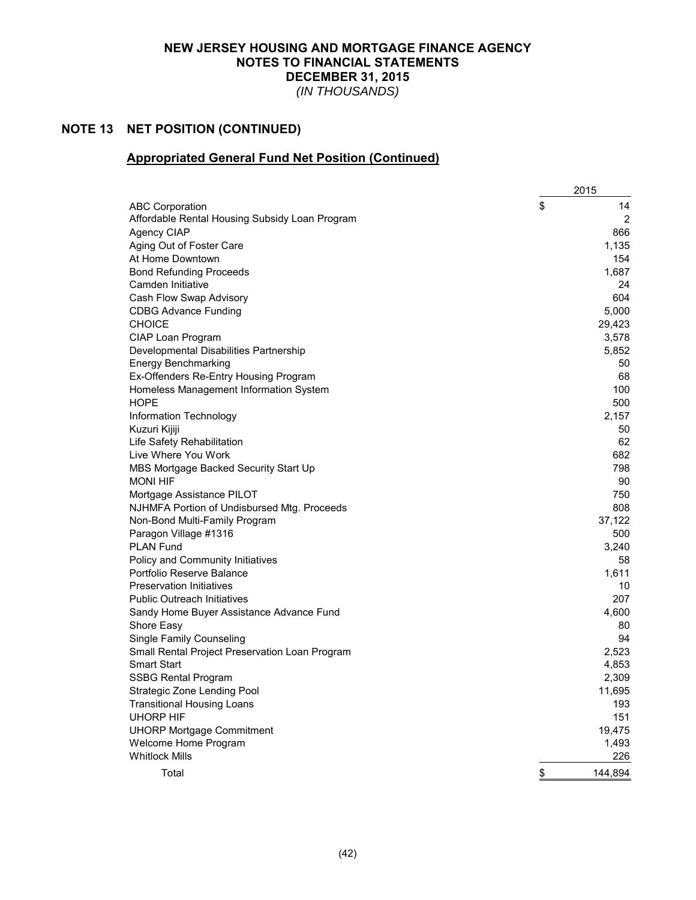# **NOTE 13 NET POSITION (CONTINUED)**

# **Appropriated General Fund Net Position (Continued)**

|                                                               |                          | 2015        |
|---------------------------------------------------------------|--------------------------|-------------|
| <b>ABC Corporation</b>                                        | \$                       | 14          |
| Affordable Rental Housing Subsidy Loan Program                |                          | 2           |
| Agency CIAP                                                   |                          | 866         |
| Aging Out of Foster Care                                      |                          | 1,135       |
| At Home Downtown                                              |                          | 154         |
| <b>Bond Refunding Proceeds</b>                                |                          | 1,687       |
| Camden Initiative                                             |                          | 24          |
| Cash Flow Swap Advisory                                       |                          | 604         |
| <b>CDBG Advance Funding</b>                                   |                          | 5,000       |
| <b>CHOICE</b>                                                 |                          | 29,423      |
| CIAP Loan Program                                             |                          | 3,578       |
| Developmental Disabilities Partnership                        |                          | 5,852       |
| Energy Benchmarking                                           |                          | 50          |
| Ex-Offenders Re-Entry Housing Program                         |                          | 68          |
| Homeless Management Information System                        |                          | 100         |
| <b>HOPE</b>                                                   |                          | 500         |
| Information Technology                                        |                          | 2,157       |
| Kuzuri Kijiji                                                 |                          | 50          |
| Life Safety Rehabilitation                                    |                          | 62          |
| Live Where You Work                                           |                          | 682         |
| MBS Mortgage Backed Security Start Up                         |                          | 798         |
| <b>MONI HIF</b>                                               |                          | 90          |
| Mortgage Assistance PILOT                                     |                          | 750         |
| NJHMFA Portion of Undisbursed Mtg. Proceeds                   |                          | 808         |
| Non-Bond Multi-Family Program                                 |                          | 37,122      |
| Paragon Village #1316<br><b>PLAN Fund</b>                     |                          | 500         |
|                                                               |                          | 3,240       |
| Policy and Community Initiatives<br>Portfolio Reserve Balance |                          | 58<br>1,611 |
| <b>Preservation Initiatives</b>                               |                          | 10          |
| <b>Public Outreach Initiatives</b>                            |                          | 207         |
| Sandy Home Buyer Assistance Advance Fund                      |                          | 4,600       |
| Shore Easy                                                    |                          | 80          |
| Single Family Counseling                                      |                          | 94          |
| Small Rental Project Preservation Loan Program                |                          | 2,523       |
| <b>Smart Start</b>                                            |                          | 4,853       |
| <b>SSBG Rental Program</b>                                    |                          | 2,309       |
| Strategic Zone Lending Pool                                   |                          | 11,695      |
| <b>Transitional Housing Loans</b>                             |                          | 193         |
| <b>UHORP HIF</b>                                              |                          | 151         |
| <b>UHORP Mortgage Commitment</b>                              |                          | 19,475      |
| Welcome Home Program                                          |                          | 1,493       |
| <b>Whitlock Mills</b>                                         |                          | 226         |
| Total                                                         | $\overline{\mathcal{E}}$ | 144,894     |
|                                                               |                          |             |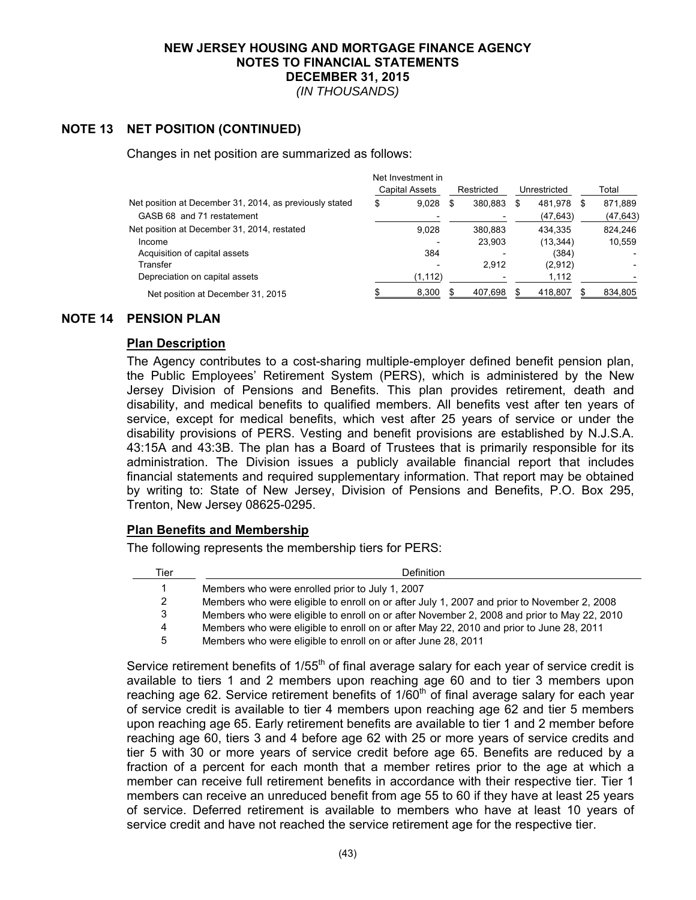# *(IN THOUSANDS)*

# **NOTE 13 NET POSITION (CONTINUED)**

Changes in net position are summarized as follows:

|                                                         | Net Investment in     |   |            |   |              |    |           |
|---------------------------------------------------------|-----------------------|---|------------|---|--------------|----|-----------|
|                                                         | <b>Capital Assets</b> |   | Restricted |   | Unrestricted |    | Total     |
| Net position at December 31, 2014, as previously stated | \$<br>9,028           | S | 380.883    | S | 481.978      | æ. | 871,889   |
| GASB 68 and 71 restatement                              |                       |   |            |   | (47, 643)    |    | (47, 643) |
| Net position at December 31, 2014, restated             | 9,028                 |   | 380.883    |   | 434.335      |    | 824.246   |
| Income                                                  |                       |   | 23.903     |   | (13, 344)    |    | 10,559    |
| Acquisition of capital assets                           | 384                   |   |            |   | (384)        |    |           |
| Transfer                                                |                       |   | 2.912      |   | (2,912)      |    |           |
| Depreciation on capital assets                          | (1, 112)              |   |            |   | 1,112        |    |           |
| Net position at December 31, 2015                       | 8,300                 |   | 407,698    |   | 418,807      |    | 834,805   |

### **NOTE 14 PENSION PLAN**

### **Plan Description**

The Agency contributes to a cost-sharing multiple-employer defined benefit pension plan, the Public Employees' Retirement System (PERS), which is administered by the New Jersey Division of Pensions and Benefits. This plan provides retirement, death and disability, and medical benefits to qualified members. All benefits vest after ten years of service, except for medical benefits, which vest after 25 years of service or under the disability provisions of PERS. Vesting and benefit provisions are established by N.J.S.A. 43:15A and 43:3B. The plan has a Board of Trustees that is primarily responsible for its administration. The Division issues a publicly available financial report that includes financial statements and required supplementary information. That report may be obtained by writing to: State of New Jersey, Division of Pensions and Benefits, P.O. Box 295, Trenton, New Jersey 08625-0295.

#### **Plan Benefits and Membership**

The following represents the membership tiers for PERS:

| Tier | Definition                                                                                 |
|------|--------------------------------------------------------------------------------------------|
| 1    | Members who were enrolled prior to July 1, 2007                                            |
| 2    | Members who were eligible to enroll on or after July 1, 2007 and prior to November 2, 2008 |
| 3    | Members who were eligible to enroll on or after November 2, 2008 and prior to May 22, 2010 |
| 4    | Members who were eligible to enroll on or after May 22, 2010 and prior to June 28, 2011    |
| 5    | Members who were eligible to enroll on or after June 28, 2011                              |
|      |                                                                                            |

Service retirement benefits of  $1/55<sup>th</sup>$  of final average salary for each year of service credit is available to tiers 1 and 2 members upon reaching age 60 and to tier 3 members upon reaching age 62. Service retirement benefits of  $1/60<sup>th</sup>$  of final average salary for each year of service credit is available to tier 4 members upon reaching age 62 and tier 5 members upon reaching age 65. Early retirement benefits are available to tier 1 and 2 member before reaching age 60, tiers 3 and 4 before age 62 with 25 or more years of service credits and tier 5 with 30 or more years of service credit before age 65. Benefits are reduced by a fraction of a percent for each month that a member retires prior to the age at which a member can receive full retirement benefits in accordance with their respective tier. Tier 1 members can receive an unreduced benefit from age 55 to 60 if they have at least 25 years of service. Deferred retirement is available to members who have at least 10 years of service credit and have not reached the service retirement age for the respective tier.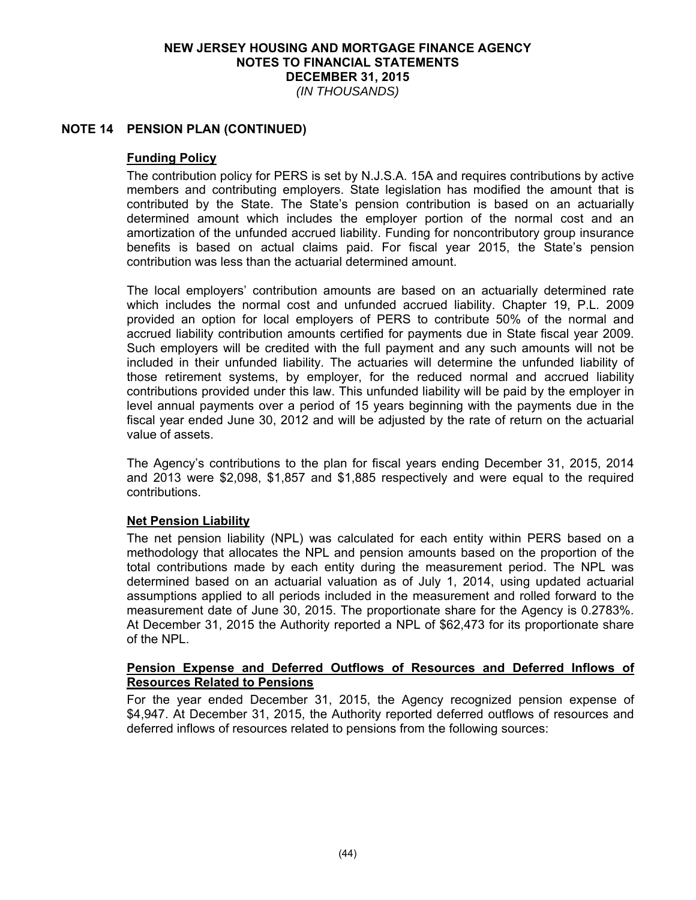# *(IN THOUSANDS)*

### **NOTE 14 PENSION PLAN (CONTINUED)**

#### **Funding Policy**

The contribution policy for PERS is set by N.J.S.A. 15A and requires contributions by active members and contributing employers. State legislation has modified the amount that is contributed by the State. The State's pension contribution is based on an actuarially determined amount which includes the employer portion of the normal cost and an amortization of the unfunded accrued liability. Funding for noncontributory group insurance benefits is based on actual claims paid. For fiscal year 2015, the State's pension contribution was less than the actuarial determined amount.

The local employers' contribution amounts are based on an actuarially determined rate which includes the normal cost and unfunded accrued liability. Chapter 19, P.L. 2009 provided an option for local employers of PERS to contribute 50% of the normal and accrued liability contribution amounts certified for payments due in State fiscal year 2009. Such employers will be credited with the full payment and any such amounts will not be included in their unfunded liability. The actuaries will determine the unfunded liability of those retirement systems, by employer, for the reduced normal and accrued liability contributions provided under this law. This unfunded liability will be paid by the employer in level annual payments over a period of 15 years beginning with the payments due in the fiscal year ended June 30, 2012 and will be adjusted by the rate of return on the actuarial value of assets.

The Agency's contributions to the plan for fiscal years ending December 31, 2015, 2014 and 2013 were \$2,098, \$1,857 and \$1,885 respectively and were equal to the required contributions.

#### **Net Pension Liability**

The net pension liability (NPL) was calculated for each entity within PERS based on a methodology that allocates the NPL and pension amounts based on the proportion of the total contributions made by each entity during the measurement period. The NPL was determined based on an actuarial valuation as of July 1, 2014, using updated actuarial assumptions applied to all periods included in the measurement and rolled forward to the measurement date of June 30, 2015. The proportionate share for the Agency is 0.2783%. At December 31, 2015 the Authority reported a NPL of \$62,473 for its proportionate share of the NPL.

#### **Pension Expense and Deferred Outflows of Resources and Deferred Inflows of Resources Related to Pensions**

For the year ended December 31, 2015, the Agency recognized pension expense of \$4,947. At December 31, 2015, the Authority reported deferred outflows of resources and deferred inflows of resources related to pensions from the following sources: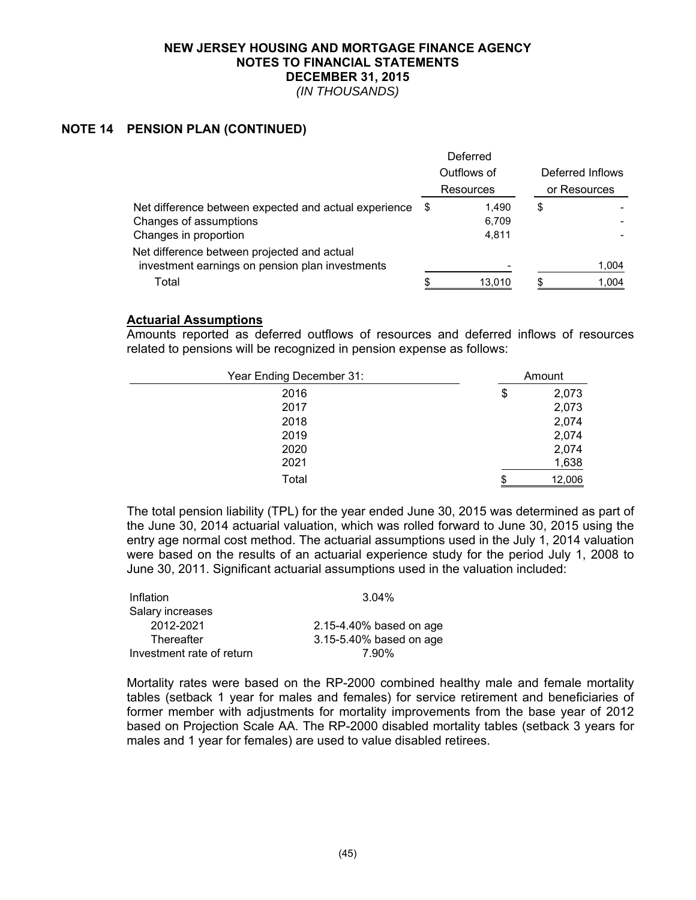# *(IN THOUSANDS)*

# **NOTE 14 PENSION PLAN (CONTINUED)**

|                                                                                                          |      | Deferred                |                                  |       |  |
|----------------------------------------------------------------------------------------------------------|------|-------------------------|----------------------------------|-------|--|
|                                                                                                          |      | Outflows of             | Deferred Inflows<br>or Resources |       |  |
|                                                                                                          |      | Resources               |                                  |       |  |
| Net difference between expected and actual experience<br>Changes of assumptions<br>Changes in proportion | - \$ | 1,490<br>6.709<br>4.811 | \$                               |       |  |
| Net difference between projected and actual<br>investment earnings on pension plan investments           |      |                         |                                  | 1,004 |  |
| Total                                                                                                    |      | 13,010                  |                                  | 1,004 |  |

# **Actuarial Assumptions**

Amounts reported as deferred outflows of resources and deferred inflows of resources related to pensions will be recognized in pension expense as follows:

| Year Ending December 31: | Amount      |  |  |  |
|--------------------------|-------------|--|--|--|
| 2016                     | \$<br>2,073 |  |  |  |
| 2017                     | 2,073       |  |  |  |
| 2018                     | 2,074       |  |  |  |
| 2019                     | 2,074       |  |  |  |
| 2020                     | 2,074       |  |  |  |
| 2021                     | 1,638       |  |  |  |
| Total                    | 12,006      |  |  |  |

The total pension liability (TPL) for the year ended June 30, 2015 was determined as part of the June 30, 2014 actuarial valuation, which was rolled forward to June 30, 2015 using the entry age normal cost method. The actuarial assumptions used in the July 1, 2014 valuation were based on the results of an actuarial experience study for the period July 1, 2008 to June 30, 2011. Significant actuarial assumptions used in the valuation included:

| Inflation                 | $3.04\%$                     |
|---------------------------|------------------------------|
| Salary increases          |                              |
| 2012-2021                 | $2.15 - 4.40\%$ based on age |
| Thereafter                | 3.15-5.40% based on age      |
| Investment rate of return | 7.90%                        |

Mortality rates were based on the RP-2000 combined healthy male and female mortality tables (setback 1 year for males and females) for service retirement and beneficiaries of former member with adjustments for mortality improvements from the base year of 2012 based on Projection Scale AA. The RP-2000 disabled mortality tables (setback 3 years for males and 1 year for females) are used to value disabled retirees.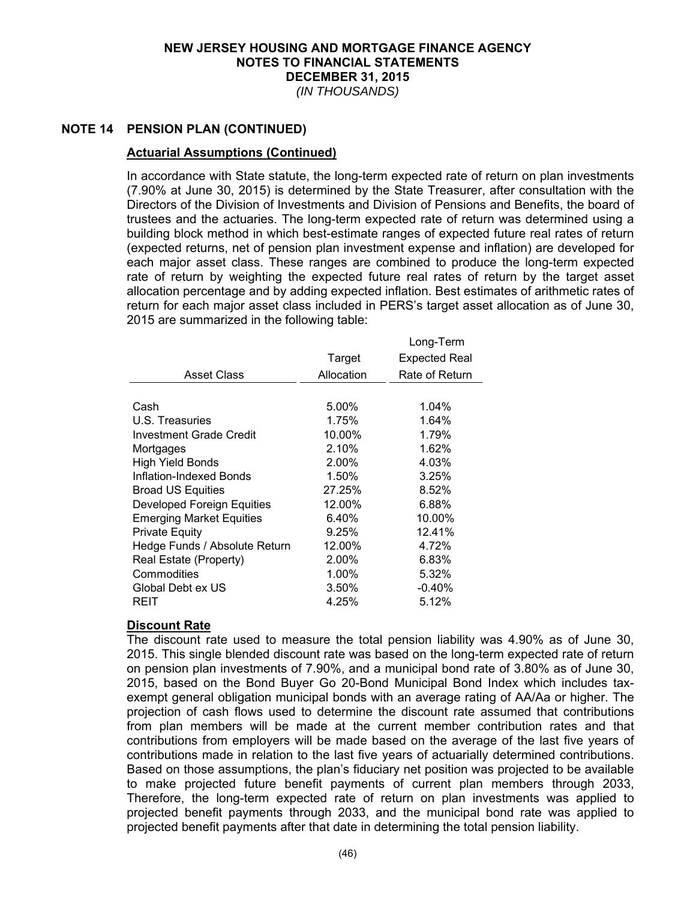# *(IN THOUSANDS)*

### **NOTE 14 PENSION PLAN (CONTINUED)**

### **Actuarial Assumptions (Continued)**

In accordance with State statute, the long-term expected rate of return on plan investments (7.90% at June 30, 2015) is determined by the State Treasurer, after consultation with the Directors of the Division of Investments and Division of Pensions and Benefits, the board of trustees and the actuaries. The long-term expected rate of return was determined using a building block method in which best-estimate ranges of expected future real rates of return (expected returns, net of pension plan investment expense and inflation) are developed for each major asset class. These ranges are combined to produce the long-term expected rate of return by weighting the expected future real rates of return by the target asset allocation percentage and by adding expected inflation. Best estimates of arithmetic rates of return for each major asset class included in PERS's target asset allocation as of June 30, 2015 are summarized in the following table:

|                                   |            | Long-Term      |
|-----------------------------------|------------|----------------|
|                                   | Target     | Expected Real  |
| <b>Asset Class</b>                | Allocation | Rate of Return |
|                                   |            |                |
| Cash                              | 5.00%      | 1.04%          |
| U.S. Treasuries                   | 1.75%      | 1.64%          |
| Investment Grade Credit           | 10.00%     | 1.79%          |
| Mortgages                         | 2.10%      | 1.62%          |
| High Yield Bonds                  | 2.00%      | 4.03%          |
| Inflation-Indexed Bonds           | 1.50%      | 3.25%          |
| <b>Broad US Equities</b>          | 27.25%     | 8.52%          |
| <b>Developed Foreign Equities</b> | 12.00%     | 6.88%          |
| <b>Emerging Market Equities</b>   | 6.40%      | 10.00%         |
| <b>Private Equity</b>             | 9.25%      | 12.41%         |
| Hedge Funds / Absolute Return     | 12.00%     | 4.72%          |
| Real Estate (Property)            | 2.00%      | 6.83%          |
| Commodities                       | 1.00%      | 5.32%          |
| Global Debt ex US                 | 3.50%      | $-0.40%$       |
| REIT                              | 4.25%      | 5.12%          |

#### **Discount Rate**

The discount rate used to measure the total pension liability was 4.90% as of June 30, 2015. This single blended discount rate was based on the long-term expected rate of return on pension plan investments of 7.90%, and a municipal bond rate of 3.80% as of June 30, 2015, based on the Bond Buyer Go 20-Bond Municipal Bond Index which includes taxexempt general obligation municipal bonds with an average rating of AA/Aa or higher. The projection of cash flows used to determine the discount rate assumed that contributions from plan members will be made at the current member contribution rates and that contributions from employers will be made based on the average of the last five years of contributions made in relation to the last five years of actuarially determined contributions. Based on those assumptions, the plan's fiduciary net position was projected to be available to make projected future benefit payments of current plan members through 2033, Therefore, the long-term expected rate of return on plan investments was applied to projected benefit payments through 2033, and the municipal bond rate was applied to projected benefit payments after that date in determining the total pension liability.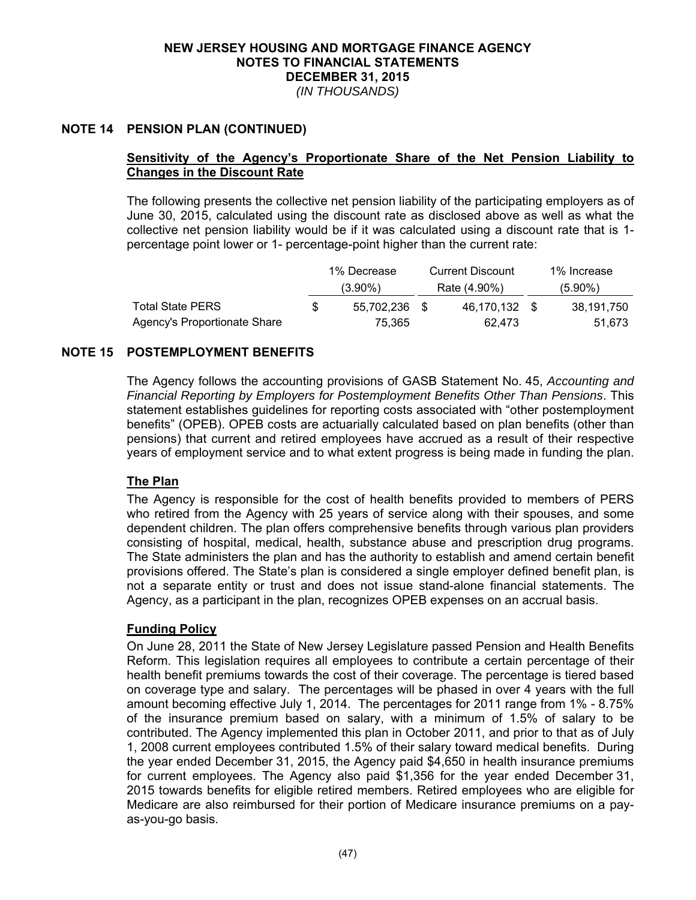#### **NEW JERSEY HOUSING AND MORTGAGE FINANCE AGENCY NOTES TO FINANCIAL STATEMENTS DECEMBER 31, 2015**  *(IN THOUSANDS)*

#### **NOTE 14 PENSION PLAN (CONTINUED)**

# **Sensitivity of the Agency's Proportionate Share of the Net Pension Liability to Changes in the Discount Rate**

The following presents the collective net pension liability of the participating employers as of June 30, 2015, calculated using the discount rate as disclosed above as well as what the collective net pension liability would be if it was calculated using a discount rate that is 1 percentage point lower or 1- percentage-point higher than the current rate:

|                              | 1% Decrease   |  | <b>Current Discount</b> | 1% Increase |            |  |
|------------------------------|---------------|--|-------------------------|-------------|------------|--|
|                              | $(3.90\%)$    |  | Rate (4.90%)            | $(5.90\%)$  |            |  |
| <b>Total State PERS</b>      | 55.702.236 \$ |  | 46.170.132 \$           |             | 38.191.750 |  |
| Agency's Proportionate Share | 75.365        |  | 62.473                  |             | 51.673     |  |

# **NOTE 15 POSTEMPLOYMENT BENEFITS**

The Agency follows the accounting provisions of GASB Statement No. 45, *Accounting and Financial Reporting by Employers for Postemployment Benefits Other Than Pensions*. This statement establishes guidelines for reporting costs associated with "other postemployment benefits" (OPEB). OPEB costs are actuarially calculated based on plan benefits (other than pensions) that current and retired employees have accrued as a result of their respective years of employment service and to what extent progress is being made in funding the plan.

# **The Plan**

The Agency is responsible for the cost of health benefits provided to members of PERS who retired from the Agency with 25 years of service along with their spouses, and some dependent children. The plan offers comprehensive benefits through various plan providers consisting of hospital, medical, health, substance abuse and prescription drug programs. The State administers the plan and has the authority to establish and amend certain benefit provisions offered. The State's plan is considered a single employer defined benefit plan, is not a separate entity or trust and does not issue stand-alone financial statements. The Agency, as a participant in the plan, recognizes OPEB expenses on an accrual basis.

#### **Funding Policy**

On June 28, 2011 the State of New Jersey Legislature passed Pension and Health Benefits Reform. This legislation requires all employees to contribute a certain percentage of their health benefit premiums towards the cost of their coverage. The percentage is tiered based on coverage type and salary. The percentages will be phased in over 4 years with the full amount becoming effective July 1, 2014. The percentages for 2011 range from 1% - 8.75% of the insurance premium based on salary, with a minimum of 1.5% of salary to be contributed. The Agency implemented this plan in October 2011, and prior to that as of July 1, 2008 current employees contributed 1.5% of their salary toward medical benefits. During the year ended December 31, 2015, the Agency paid \$4,650 in health insurance premiums for current employees. The Agency also paid \$1,356 for the year ended December 31, 2015 towards benefits for eligible retired members. Retired employees who are eligible for Medicare are also reimbursed for their portion of Medicare insurance premiums on a payas-you-go basis.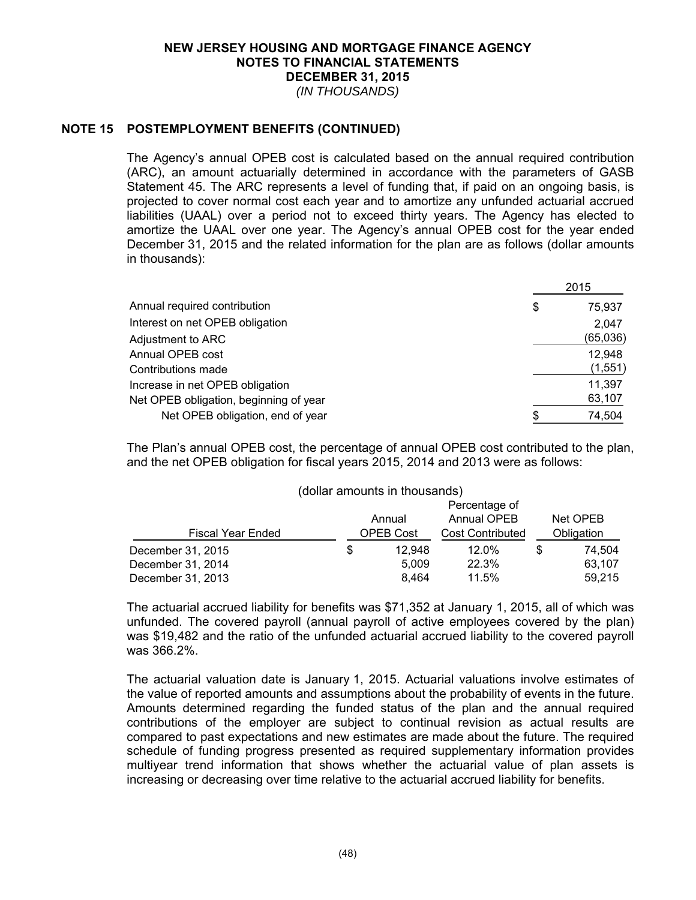## *(IN THOUSANDS)*

#### **NOTE 15 POSTEMPLOYMENT BENEFITS (CONTINUED)**

The Agency's annual OPEB cost is calculated based on the annual required contribution (ARC), an amount actuarially determined in accordance with the parameters of GASB Statement 45. The ARC represents a level of funding that, if paid on an ongoing basis, is projected to cover normal cost each year and to amortize any unfunded actuarial accrued liabilities (UAAL) over a period not to exceed thirty years. The Agency has elected to amortize the UAAL over one year. The Agency's annual OPEB cost for the year ended December 31, 2015 and the related information for the plan are as follows (dollar amounts in thousands):

|                                        |    | 2015     |  |  |  |  |
|----------------------------------------|----|----------|--|--|--|--|
| Annual required contribution           | \$ | 75,937   |  |  |  |  |
| Interest on net OPEB obligation        |    | 2.047    |  |  |  |  |
| Adjustment to ARC                      |    | (65,036) |  |  |  |  |
| Annual OPEB cost                       |    | 12,948   |  |  |  |  |
| Contributions made                     |    | (1, 551) |  |  |  |  |
| Increase in net OPEB obligation        |    | 11,397   |  |  |  |  |
| Net OPEB obligation, beginning of year |    | 63,107   |  |  |  |  |
| Net OPEB obligation, end of year       | S  | 74,504   |  |  |  |  |

The Plan's annual OPEB cost, the percentage of annual OPEB cost contributed to the plan, and the net OPEB obligation for fiscal years 2015, 2014 and 2013 were as follows:

|                          | (dollar amounts in thousands) |        |                         |   |            |  |  |  |  |
|--------------------------|-------------------------------|--------|-------------------------|---|------------|--|--|--|--|
|                          | Percentage of                 |        |                         |   |            |  |  |  |  |
|                          |                               | Annual | Annual OPEB             |   | Net OPEB   |  |  |  |  |
| <b>Fiscal Year Ended</b> | <b>OPEB Cost</b>              |        | <b>Cost Contributed</b> |   | Obligation |  |  |  |  |
| December 31, 2015        | \$                            | 12.948 | 12.0%                   | S | 74.504     |  |  |  |  |
| December 31, 2014        |                               | 5.009  | 22.3%                   |   | 63,107     |  |  |  |  |
| December 31, 2013        |                               | 8.464  | 11.5%                   |   | 59,215     |  |  |  |  |

The actuarial accrued liability for benefits was \$71,352 at January 1, 2015, all of which was unfunded. The covered payroll (annual payroll of active employees covered by the plan) was \$19,482 and the ratio of the unfunded actuarial accrued liability to the covered payroll was 366.2%.

The actuarial valuation date is January 1, 2015. Actuarial valuations involve estimates of the value of reported amounts and assumptions about the probability of events in the future. Amounts determined regarding the funded status of the plan and the annual required contributions of the employer are subject to continual revision as actual results are compared to past expectations and new estimates are made about the future. The required schedule of funding progress presented as required supplementary information provides multiyear trend information that shows whether the actuarial value of plan assets is increasing or decreasing over time relative to the actuarial accrued liability for benefits.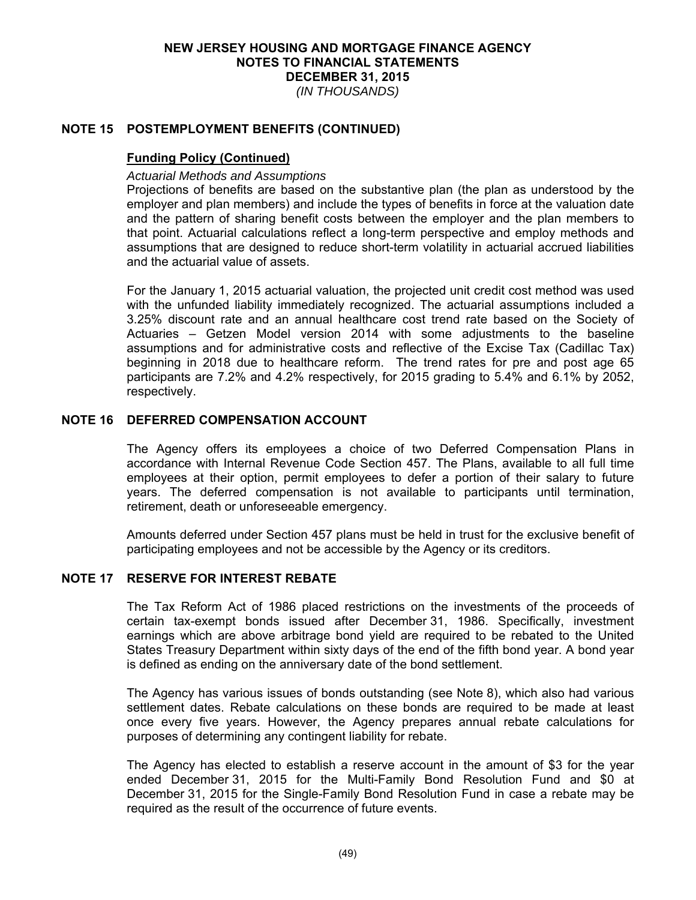*(IN THOUSANDS)*

### **NOTE 15 POSTEMPLOYMENT BENEFITS (CONTINUED)**

#### **Funding Policy (Continued)**

#### *Actuarial Methods and Assumptions*

Projections of benefits are based on the substantive plan (the plan as understood by the employer and plan members) and include the types of benefits in force at the valuation date and the pattern of sharing benefit costs between the employer and the plan members to that point. Actuarial calculations reflect a long-term perspective and employ methods and assumptions that are designed to reduce short-term volatility in actuarial accrued liabilities and the actuarial value of assets.

For the January 1, 2015 actuarial valuation, the projected unit credit cost method was used with the unfunded liability immediately recognized. The actuarial assumptions included a 3.25% discount rate and an annual healthcare cost trend rate based on the Society of Actuaries – Getzen Model version 2014 with some adjustments to the baseline assumptions and for administrative costs and reflective of the Excise Tax (Cadillac Tax) beginning in 2018 due to healthcare reform. The trend rates for pre and post age 65 participants are 7.2% and 4.2% respectively, for 2015 grading to 5.4% and 6.1% by 2052, respectively.

### **NOTE 16 DEFERRED COMPENSATION ACCOUNT**

The Agency offers its employees a choice of two Deferred Compensation Plans in accordance with Internal Revenue Code Section 457. The Plans, available to all full time employees at their option, permit employees to defer a portion of their salary to future years. The deferred compensation is not available to participants until termination, retirement, death or unforeseeable emergency.

Amounts deferred under Section 457 plans must be held in trust for the exclusive benefit of participating employees and not be accessible by the Agency or its creditors.

#### **NOTE 17 RESERVE FOR INTEREST REBATE**

The Tax Reform Act of 1986 placed restrictions on the investments of the proceeds of certain tax-exempt bonds issued after December 31, 1986. Specifically, investment earnings which are above arbitrage bond yield are required to be rebated to the United States Treasury Department within sixty days of the end of the fifth bond year. A bond year is defined as ending on the anniversary date of the bond settlement.

The Agency has various issues of bonds outstanding (see Note 8), which also had various settlement dates. Rebate calculations on these bonds are required to be made at least once every five years. However, the Agency prepares annual rebate calculations for purposes of determining any contingent liability for rebate.

The Agency has elected to establish a reserve account in the amount of \$3 for the year ended December 31, 2015 for the Multi-Family Bond Resolution Fund and \$0 at December 31, 2015 for the Single-Family Bond Resolution Fund in case a rebate may be required as the result of the occurrence of future events.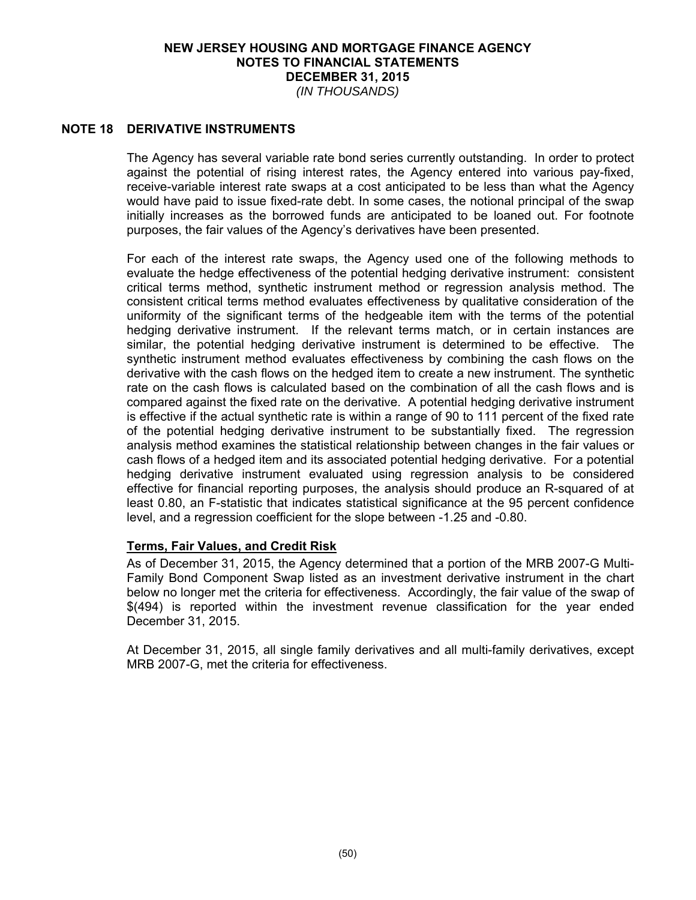# *(IN THOUSANDS)*

#### **NOTE 18 DERIVATIVE INSTRUMENTS**

The Agency has several variable rate bond series currently outstanding. In order to protect against the potential of rising interest rates, the Agency entered into various pay-fixed, receive-variable interest rate swaps at a cost anticipated to be less than what the Agency would have paid to issue fixed-rate debt. In some cases, the notional principal of the swap initially increases as the borrowed funds are anticipated to be loaned out. For footnote purposes, the fair values of the Agency's derivatives have been presented.

For each of the interest rate swaps, the Agency used one of the following methods to evaluate the hedge effectiveness of the potential hedging derivative instrument: consistent critical terms method, synthetic instrument method or regression analysis method. The consistent critical terms method evaluates effectiveness by qualitative consideration of the uniformity of the significant terms of the hedgeable item with the terms of the potential hedging derivative instrument. If the relevant terms match, or in certain instances are similar, the potential hedging derivative instrument is determined to be effective. The synthetic instrument method evaluates effectiveness by combining the cash flows on the derivative with the cash flows on the hedged item to create a new instrument. The synthetic rate on the cash flows is calculated based on the combination of all the cash flows and is compared against the fixed rate on the derivative. A potential hedging derivative instrument is effective if the actual synthetic rate is within a range of 90 to 111 percent of the fixed rate of the potential hedging derivative instrument to be substantially fixed. The regression analysis method examines the statistical relationship between changes in the fair values or cash flows of a hedged item and its associated potential hedging derivative. For a potential hedging derivative instrument evaluated using regression analysis to be considered effective for financial reporting purposes, the analysis should produce an R-squared of at least 0.80, an F-statistic that indicates statistical significance at the 95 percent confidence level, and a regression coefficient for the slope between -1.25 and -0.80.

# **Terms, Fair Values, and Credit Risk**

As of December 31, 2015, the Agency determined that a portion of the MRB 2007-G Multi-Family Bond Component Swap listed as an investment derivative instrument in the chart below no longer met the criteria for effectiveness. Accordingly, the fair value of the swap of \$(494) is reported within the investment revenue classification for the year ended December 31, 2015.

At December 31, 2015, all single family derivatives and all multi-family derivatives, except MRB 2007-G, met the criteria for effectiveness.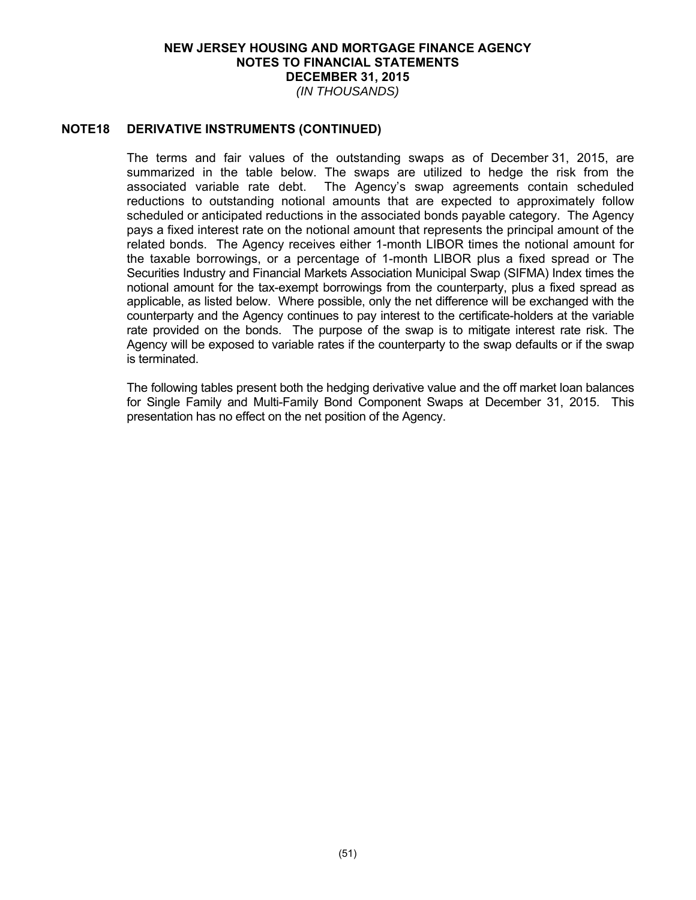*(IN THOUSANDS)*

#### **NOTE18 DERIVATIVE INSTRUMENTS (CONTINUED)**

The terms and fair values of the outstanding swaps as of December 31, 2015, are summarized in the table below. The swaps are utilized to hedge the risk from the associated variable rate debt. The Agency's swap agreements contain scheduled reductions to outstanding notional amounts that are expected to approximately follow scheduled or anticipated reductions in the associated bonds payable category. The Agency pays a fixed interest rate on the notional amount that represents the principal amount of the related bonds. The Agency receives either 1-month LIBOR times the notional amount for the taxable borrowings, or a percentage of 1-month LIBOR plus a fixed spread or The Securities Industry and Financial Markets Association Municipal Swap (SIFMA) Index times the notional amount for the tax-exempt borrowings from the counterparty, plus a fixed spread as applicable, as listed below. Where possible, only the net difference will be exchanged with the counterparty and the Agency continues to pay interest to the certificate-holders at the variable rate provided on the bonds. The purpose of the swap is to mitigate interest rate risk. The Agency will be exposed to variable rates if the counterparty to the swap defaults or if the swap is terminated.

The following tables present both the hedging derivative value and the off market loan balances for Single Family and Multi-Family Bond Component Swaps at December 31, 2015. This presentation has no effect on the net position of the Agency.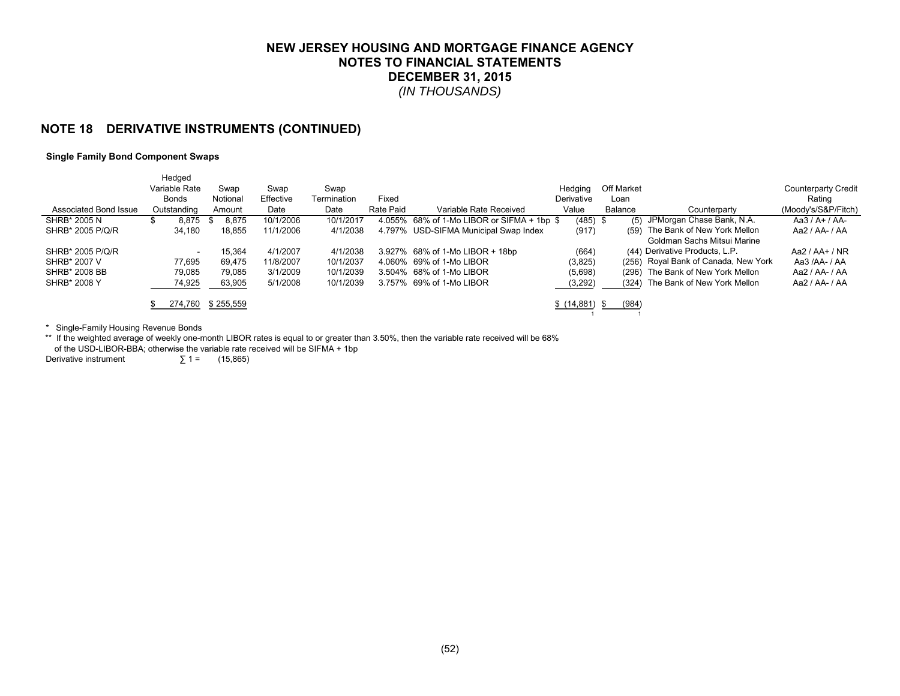#### **NEW JERSEY HOUSING AND MORTGAGE FINANCE AGENCY NOTES TO FINANCIAL STATEMENTS DECEMBER 31, 2015**  *(IN THOUSANDS)*

# **NOTE 18 DERIVATIVE INSTRUMENTS (CONTINUED)**

#### **Single Family Bond Component Swaps**

|                       | Hedged<br>Variable Rate<br>Bonds | Swap<br>Notional | Swap<br>Effective | Swap<br>Termination | Fixed     |                                            | Hedging<br>Derivative | Off Market<br>Loan |                                      | <b>Counterparty Credit</b><br>Rating |
|-----------------------|----------------------------------|------------------|-------------------|---------------------|-----------|--------------------------------------------|-----------------------|--------------------|--------------------------------------|--------------------------------------|
| Associated Bond Issue | Outstanding                      | Amount           | Date              | Date                | Rate Paid | Variable Rate Received                     | Value                 | Balance            | Counterparty                         | (Moody's/S&P/Fitch)                  |
| SHRB* 2005 N          | 8.875                            | 8.875            | 10/1/2006         | 10/1/2017           |           | 4.055% 68% of 1-Mo LIBOR or SIFMA + 1bp \$ | (485)                 | - 36               | (5) JPMorgan Chase Bank, N.A.        | $Aa3/A+/AA-$                         |
| SHRB* 2005 P/Q/R      | 34,180                           | 18,855           | 11/1/2006         | 4/1/2038            |           | 4.797% USD-SIFMA Municipal Swap Index      | (917)                 |                    | (59) The Bank of New York Mellon     | Aa2 / AA- / AA                       |
|                       |                                  |                  |                   |                     |           |                                            |                       |                    | Goldman Sachs Mitsui Marine          |                                      |
| SHRB* 2005 P/Q/R      | $\overline{\phantom{0}}$         | 15.364           | 4/1/2007          | 4/1/2038            |           | 3.927% 68% of 1-Mo LIBOR + 18bp            | (664)                 |                    | (44) Derivative Products, L.P.       | $Aa2 / AA + / NR$                    |
| SHRB* 2007 V          | 77.695                           | 69.475           | 11/8/2007         | 10/1/2037           |           | 4.060% 69% of 1-Mo LIBOR                   | (3,825)               |                    | (256) Royal Bank of Canada, New York | Aa3 /AA- / AA                        |
| SHRB* 2008 BB         | 79.085                           | 79.085           | 3/1/2009          | 10/1/2039           |           | 3.504% 68% of 1-Mo LIBOR                   | (5,698)               |                    | (296) The Bank of New York Mellon    | Aa2 / AA- / AA                       |
| SHRB* 2008 Y          | 74,925                           | 63,905           | 5/1/2008          | 10/1/2039           |           | 3.757% 69% of 1-Mo LIBOR                   | (3,292)               | (324)              | The Bank of New York Mellon          | Aa2 / AA- / AA                       |
|                       | 274.760                          | \$255,559        |                   |                     |           |                                            | \$(14,881)            | (984)<br>- 35      |                                      |                                      |

1 1

\* Single-Family Housing Revenue Bonds

\*\* If the weighted average of weekly one-month LIBOR rates is equal to or greater than 3.50%, then the variable rate received will be 68% of the USD-LIBOR-BBA; otherwise the variable rate received will be SIFMA + 1bp

Derivative instrument  $\Sigma$  1 = (15,865)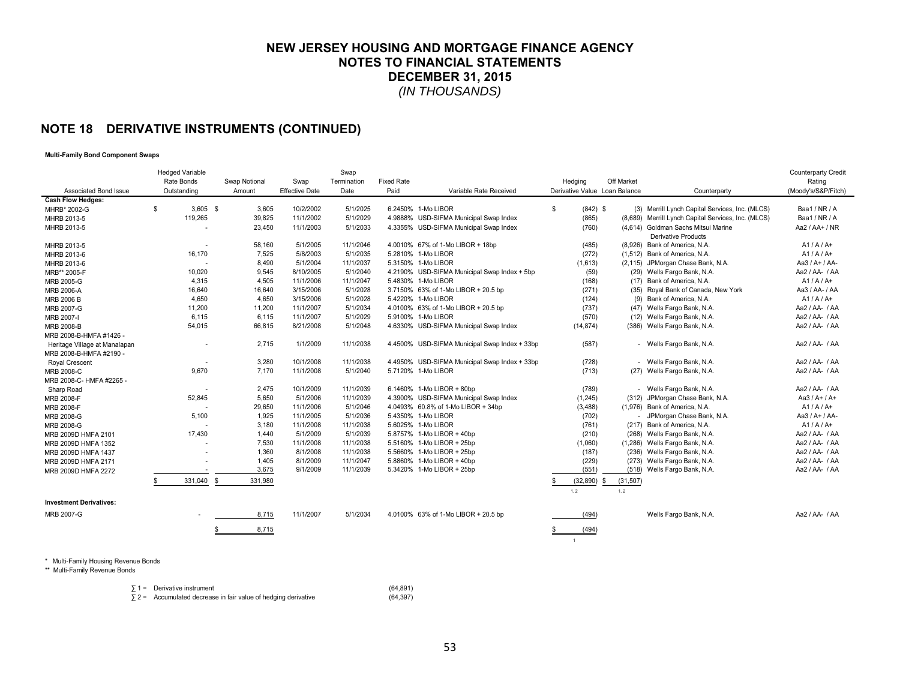#### **NEW JERSEY HOUSING AND MORTGAGE FINANCE AGENCY NOTES TO FINANCIAL STATEMENTS DECEMBER 31, 2015**  *(IN THOUSANDS)*

# **NOTE 18 DERIVATIVE INSTRUMENTS (CONTINUED)**

#### **Multi-Family Bond Component Swaps**

|                                |     | <b>Hedged Variable</b> |               |                       | Swap        |                   |                                               |                  |                               |                                                                   | Counterparty Credit |
|--------------------------------|-----|------------------------|---------------|-----------------------|-------------|-------------------|-----------------------------------------------|------------------|-------------------------------|-------------------------------------------------------------------|---------------------|
|                                |     | Rate Bonds             | Swap Notional | Swap                  | Termination | <b>Fixed Rate</b> |                                               | Hedging          | Off Market                    |                                                                   | Rating              |
| Associated Bond Issue          |     | Outstanding            | Amount        | <b>Effective Date</b> | Date        | Paid              | Variable Rate Received                        |                  | Derivative Value Loan Balance | Counterparty                                                      | (Moody's/S&P/Fitch) |
| <b>Cash Flow Hedges:</b>       |     |                        |               |                       |             |                   |                                               |                  |                               |                                                                   |                     |
| MHRB* 2002-G                   | \$  | $3,605$ \$             | 3,605         | 10/2/2002             | 5/1/2025    |                   | 6.2450% 1-Mo LIBOR                            | \$<br>$(842)$ \$ |                               | (3) Merrill Lynch Capital Services, Inc. (MLCS)                   | Baa1/NR/A           |
| MHRB 2013-5                    |     | 119,265                | 39,825        | 11/1/2002             | 5/1/2029    |                   | 4.9888% USD-SIFMA Municipal Swap Index        | (865)            |                               | (8,689) Merrill Lynch Capital Services, Inc. (MLCS)               | Baa1/NR/A           |
| MHRB 2013-5                    |     |                        | 23,450        | 11/1/2003             | 5/1/2033    |                   | 4.3355% USD-SIFMA Municipal Swap Index        | (760)            |                               | (4,614) Goldman Sachs Mitsui Marine<br><b>Derivative Products</b> | Aa2 / AA+ / NR      |
| MHRB 2013-5                    |     |                        | 58,160        | 5/1/2005              | 11/1/2046   |                   | 4.0010% 67% of 1-Mo LIBOR + 18bp              | (485)            |                               | (8,926) Bank of America, N.A.                                     | $A1/A/A+$           |
| MHRB 2013-6                    |     | 16,170                 | 7,525         | 5/8/2003              | 5/1/2035    |                   | 5.2810% 1-Mo LIBOR                            | (272)            | (1,512)                       | Bank of America, N.A.                                             | $A1/A/A+$           |
| MHRB 2013-6                    |     |                        | 8.490         | 5/1/2004              | 11/1/2037   |                   | 5.3150% 1-Mo LIBOR                            | (1,613)          |                               | (2,115) JPMorgan Chase Bank, N.A.                                 | Aa3 / A+ / AA-      |
| MRB** 2005-F                   |     | 10,020                 | 9.545         | 8/10/2005             | 5/1/2040    |                   | 4.2190% USD-SIFMA Municipal Swap Index + 5bp  | (59)             |                               | (29) Wells Fargo Bank, N.A.                                       | Aa2 / AA- / AA      |
| MRB 2005-G                     |     | 4,315                  | 4,505         | 11/1/2006             | 11/1/2047   |                   | 5.4830% 1-Mo LIBOR                            | (168)            |                               | (17) Bank of America, N.A.                                        | $A1/A/A+$           |
| MRB 2006-A                     |     | 16,640                 | 16,640        | 3/15/2006             | 5/1/2028    |                   | 3.7150% 63% of 1-Mo LIBOR + 20.5 bp           | (271)            |                               | (35) Royal Bank of Canada, New York                               | Aa3 / AA- / AA      |
| MRB 2006 B                     |     | 4,650                  | 4,650         | 3/15/2006             | 5/1/2028    |                   | 5.4220% 1-Mo LIBOR                            | (124)            |                               | (9) Bank of America, N.A.                                         | $A1/A/A+$           |
| MRB 2007-G                     |     | 11,200                 | 11,200        | 11/1/2007             | 5/1/2034    |                   | 4.0100% 63% of 1-Mo LIBOR + 20.5 bp           | (737)            |                               | (47) Wells Fargo Bank, N.A.                                       | Aa2 / AA- / AA      |
| MRB 2007-I                     |     | 6,115                  | 6,115         | 11/1/2007             | 5/1/2029    |                   | 5.9100% 1-Mo LIBOR                            | (570)            |                               | (12) Wells Fargo Bank, N.A.                                       | Aa2 / AA- / AA      |
| MRB 2008-B                     |     | 54,015                 | 66,815        | 8/21/2008             | 5/1/2048    |                   | 4.6330% USD-SIFMA Municipal Swap Index        | (14, 874)        |                               | (386) Wells Fargo Bank, N.A.                                      | Aa2 / AA- / AA      |
| MRB 2008-B-HMFA #1426 -        |     |                        |               |                       |             |                   |                                               |                  |                               |                                                                   |                     |
| Heritage Village at Manalapan  |     |                        | 2,715         | 1/1/2009              | 11/1/2038   |                   | 4.4500% USD-SIFMA Municipal Swap Index + 33bp | (587)            |                               | - Wells Fargo Bank, N.A.                                          | Aa2 / AA- / AA      |
| MRB 2008-B-HMFA #2190 -        |     |                        |               |                       |             |                   |                                               |                  |                               |                                                                   |                     |
| <b>Royal Crescent</b>          |     |                        | 3,280         | 10/1/2008             | 11/1/2038   |                   | 4.4950% USD-SIFMA Municipal Swap Index + 33bp | (728)            |                               | - Wells Fargo Bank, N.A.                                          | Aa2 / AA- / AA      |
| MRB 2008-C                     |     | 9.670                  | 7.170         | 11/1/2008             | 5/1/2040    |                   | 5.7120% 1-Mo LIBOR                            | (713)            |                               | (27) Wells Fargo Bank, N.A.                                       | Aa2 / AA- / AA      |
| MRB 2008-C- HMFA #2265 -       |     |                        |               |                       |             |                   |                                               |                  |                               |                                                                   |                     |
| Sharp Road                     |     |                        | 2,475         | 10/1/2009             | 11/1/2039   |                   | 6.1460% 1-Mo LIBOR + 80bp                     | (789)            |                               | - Wells Fargo Bank, N.A.                                          | Aa2 / AA- / AA      |
| MRB 2008-F                     |     | 52,845                 | 5,650         | 5/1/2006              | 11/1/2039   |                   | 4.3900% USD-SIFMA Municipal Swap Index        | (1, 245)         |                               | (312) JPMorgan Chase Bank, N.A.                                   | Aa3 / $A+$ / $A+$   |
| MRB 2008-F                     |     |                        | 29,650        | 11/1/2006             | 5/1/2046    |                   | 4.0493% 60.8% of 1-Mo LIBOR + 34bp            | (3, 488)         |                               | (1.976) Bank of America, N.A.                                     | $A1/A/A+$           |
| MRB 2008-G                     |     | 5,100                  | 1,925         | 11/1/2005             | 5/1/2036    |                   | 5.4350% 1-Mo LIBOR                            | (702)            |                               | - JPMorgan Chase Bank, N.A.                                       | Aa3 / A+ / AA-      |
| MRB 2008-G                     |     |                        | 3,180         | 11/1/2008             | 11/1/2038   |                   | 5.6025% 1-Mo LIBOR                            | (761)            |                               | (217) Bank of America, N.A.                                       | $A1/A/A+$           |
| MRB 2009D HMFA 2101            |     | 17,430                 | 1,440         | 5/1/2009              | 5/1/2039    |                   | 5.8757% 1-Mo LIBOR + 40bp                     | (210)            |                               | (268) Wells Fargo Bank, N.A.                                      | Aa2 / AA- / AA      |
| MRB 2009D HMFA 1352            |     |                        | 7.530         | 11/1/2008             | 11/1/2038   |                   | 5.5160% 1-Mo LIBOR + 25bp                     | (1,060)          |                               | (1,286) Wells Fargo Bank, N.A.                                    | Aa2 / AA- / AA      |
| MRB 2009D HMFA 1437            |     |                        | 1,360         | 8/1/2008              | 11/1/2038   |                   | 5.5660% 1-Mo LIBOR + 25bp                     | (187)            |                               | (236) Wells Fargo Bank, N.A.                                      | Aa2 / AA- / AA      |
| MRB 2009D HMFA 2171            |     |                        | 1,405         | 8/1/2009              | 11/1/2047   |                   | 5.8860% 1-Mo LIBOR + 40bp                     | (229)            |                               | (273) Wells Fargo Bank, N.A.                                      | Aa2 / AA- / AA      |
| MRB 2009D HMFA 2272            |     |                        | 3,675         | 9/1/2009              | 11/1/2039   |                   | 5.3420% 1-Mo LIBOR + 25bp                     | (551)            | (518)                         | Wells Fargo Bank, N.A.                                            | Aa2 / AA- / AA      |
|                                | \$. | 331,040<br>- S         | 331,980       |                       |             |                   |                                               | (32, 890)        | \$<br>(31, 507)               |                                                                   |                     |
|                                |     |                        |               |                       |             |                   |                                               | 1.2              | 1, 2                          |                                                                   |                     |
| <b>Investment Derivatives:</b> |     |                        |               |                       |             |                   |                                               |                  |                               |                                                                   |                     |
| MRB 2007-G                     |     |                        | 8,715         | 11/1/2007             | 5/1/2034    |                   | 4.0100% 63% of 1-Mo LIBOR + 20.5 bp           | (494)            |                               | Wells Fargo Bank, N.A.                                            | Aa2 / AA- / AA      |
|                                |     |                        | 8,715         |                       |             |                   |                                               | (494)            |                               |                                                                   |                     |
|                                |     |                        |               |                       |             |                   |                                               | $-1$             |                               |                                                                   |                     |

\* Multi-Family Housing Revenue Bonds

\*\* Multi-Family Revenue Bonds

 $\Sigma$  1 = Derivative instrument<br>  $\Sigma$  2 = Accumulated decrease in fair value of hedging derivative (64,397)  $\overline{5}$  2 = Accumulated decrease in fair value of hedging derivative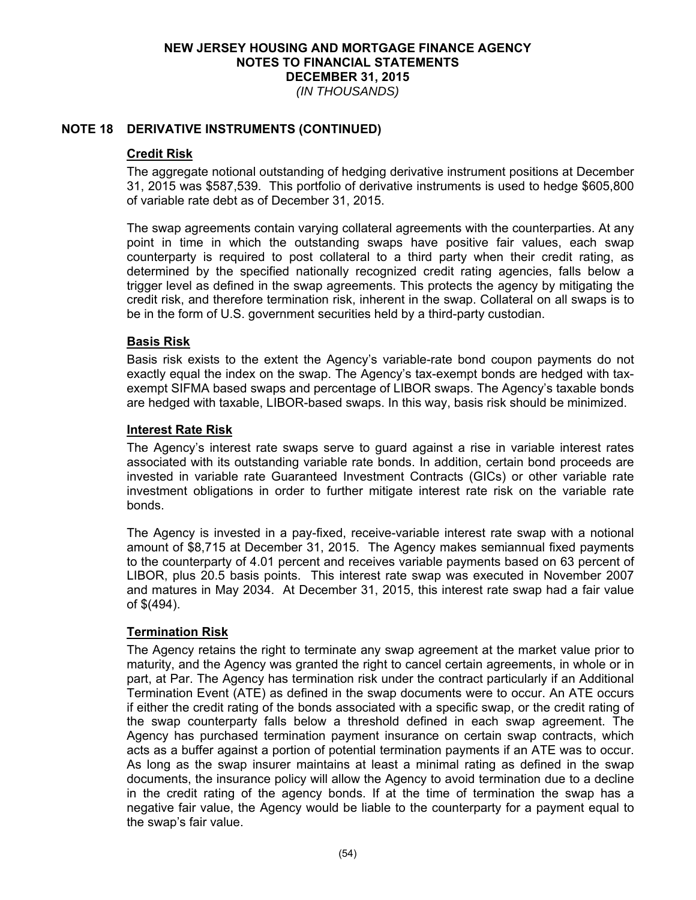# *(IN THOUSANDS)*

# **NOTE 18 DERIVATIVE INSTRUMENTS (CONTINUED)**

#### **Credit Risk**

The aggregate notional outstanding of hedging derivative instrument positions at December 31, 2015 was \$587,539. This portfolio of derivative instruments is used to hedge \$605,800 of variable rate debt as of December 31, 2015.

The swap agreements contain varying collateral agreements with the counterparties. At any point in time in which the outstanding swaps have positive fair values, each swap counterparty is required to post collateral to a third party when their credit rating, as determined by the specified nationally recognized credit rating agencies, falls below a trigger level as defined in the swap agreements. This protects the agency by mitigating the credit risk, and therefore termination risk, inherent in the swap. Collateral on all swaps is to be in the form of U.S. government securities held by a third-party custodian.

### **Basis Risk**

Basis risk exists to the extent the Agency's variable-rate bond coupon payments do not exactly equal the index on the swap. The Agency's tax-exempt bonds are hedged with taxexempt SIFMA based swaps and percentage of LIBOR swaps. The Agency's taxable bonds are hedged with taxable, LIBOR-based swaps. In this way, basis risk should be minimized.

#### **Interest Rate Risk**

The Agency's interest rate swaps serve to guard against a rise in variable interest rates associated with its outstanding variable rate bonds. In addition, certain bond proceeds are invested in variable rate Guaranteed Investment Contracts (GICs) or other variable rate investment obligations in order to further mitigate interest rate risk on the variable rate bonds.

The Agency is invested in a pay-fixed, receive-variable interest rate swap with a notional amount of \$8,715 at December 31, 2015. The Agency makes semiannual fixed payments to the counterparty of 4.01 percent and receives variable payments based on 63 percent of LIBOR, plus 20.5 basis points. This interest rate swap was executed in November 2007 and matures in May 2034. At December 31, 2015, this interest rate swap had a fair value of \$(494).

# **Termination Risk**

The Agency retains the right to terminate any swap agreement at the market value prior to maturity, and the Agency was granted the right to cancel certain agreements, in whole or in part, at Par. The Agency has termination risk under the contract particularly if an Additional Termination Event (ATE) as defined in the swap documents were to occur. An ATE occurs if either the credit rating of the bonds associated with a specific swap, or the credit rating of the swap counterparty falls below a threshold defined in each swap agreement. The Agency has purchased termination payment insurance on certain swap contracts, which acts as a buffer against a portion of potential termination payments if an ATE was to occur. As long as the swap insurer maintains at least a minimal rating as defined in the swap documents, the insurance policy will allow the Agency to avoid termination due to a decline in the credit rating of the agency bonds. If at the time of termination the swap has a negative fair value, the Agency would be liable to the counterparty for a payment equal to the swap's fair value.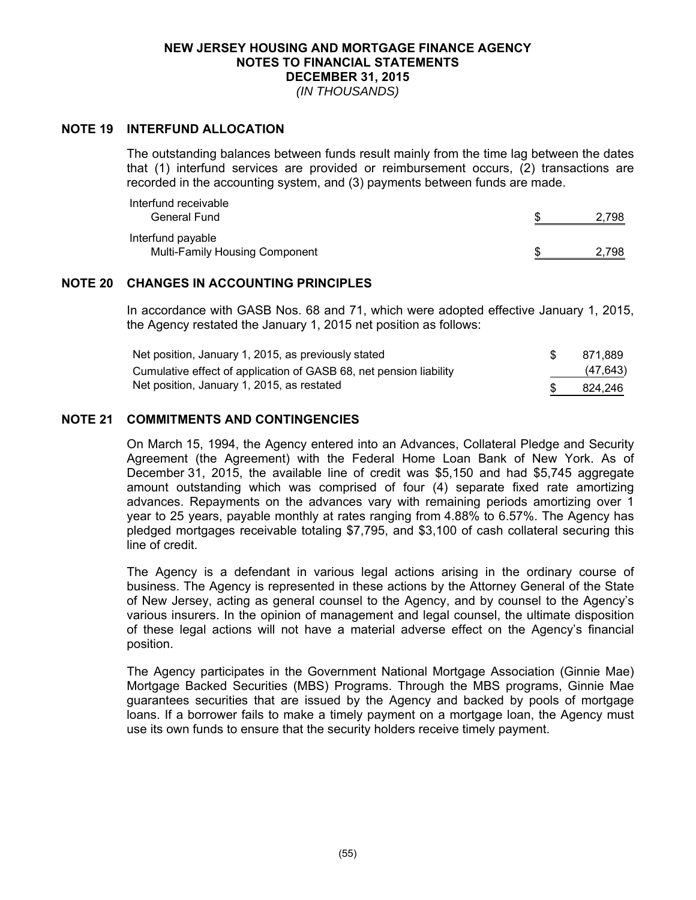# *(IN THOUSANDS)*

### **NOTE 19 INTERFUND ALLOCATION**

The outstanding balances between funds result mainly from the time lag between the dates that (1) interfund services are provided or reimbursement occurs, (2) transactions are recorded in the accounting system, and (3) payments between funds are made.

| Interfund receivable                  |       |
|---------------------------------------|-------|
| General Fund                          | 2.798 |
| Interfund payable                     |       |
| <b>Multi-Family Housing Component</b> | 2.798 |

### **NOTE 20 CHANGES IN ACCOUNTING PRINCIPLES**

In accordance with GASB Nos. 68 and 71, which were adopted effective January 1, 2015, the Agency restated the January 1, 2015 net position as follows:

| Net position, January 1, 2015, as previously stated                | 871.889  |
|--------------------------------------------------------------------|----------|
| Cumulative effect of application of GASB 68, net pension liability | (47,643) |
| Net position, January 1, 2015, as restated                         | 824.246  |

# **NOTE 21 COMMITMENTS AND CONTINGENCIES**

On March 15, 1994, the Agency entered into an Advances, Collateral Pledge and Security Agreement (the Agreement) with the Federal Home Loan Bank of New York. As of December 31, 2015, the available line of credit was \$5,150 and had \$5,745 aggregate amount outstanding which was comprised of four (4) separate fixed rate amortizing advances. Repayments on the advances vary with remaining periods amortizing over 1 year to 25 years, payable monthly at rates ranging from 4.88% to 6.57%. The Agency has pledged mortgages receivable totaling \$7,795, and \$3,100 of cash collateral securing this line of credit.

The Agency is a defendant in various legal actions arising in the ordinary course of business. The Agency is represented in these actions by the Attorney General of the State of New Jersey, acting as general counsel to the Agency, and by counsel to the Agency's various insurers. In the opinion of management and legal counsel, the ultimate disposition of these legal actions will not have a material adverse effect on the Agency's financial position.

The Agency participates in the Government National Mortgage Association (Ginnie Mae) Mortgage Backed Securities (MBS) Programs. Through the MBS programs, Ginnie Mae guarantees securities that are issued by the Agency and backed by pools of mortgage loans. If a borrower fails to make a timely payment on a mortgage loan, the Agency must use its own funds to ensure that the security holders receive timely payment.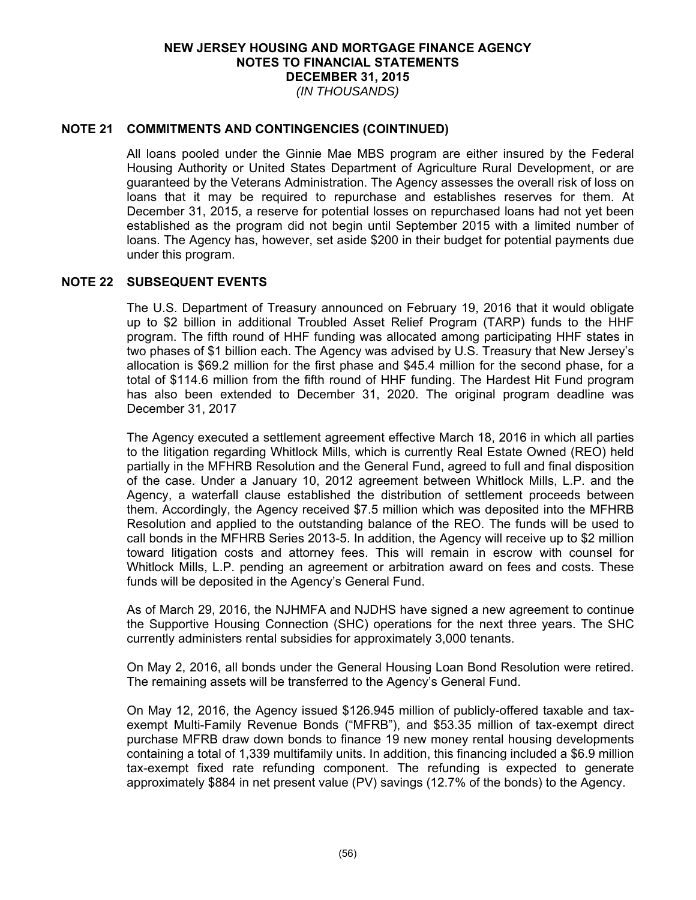# *(IN THOUSANDS)*

### **NOTE 21 COMMITMENTS AND CONTINGENCIES (COINTINUED)**

All loans pooled under the Ginnie Mae MBS program are either insured by the Federal Housing Authority or United States Department of Agriculture Rural Development, or are guaranteed by the Veterans Administration. The Agency assesses the overall risk of loss on loans that it may be required to repurchase and establishes reserves for them. At December 31, 2015, a reserve for potential losses on repurchased loans had not yet been established as the program did not begin until September 2015 with a limited number of loans. The Agency has, however, set aside \$200 in their budget for potential payments due under this program.

#### **NOTE 22 SUBSEQUENT EVENTS**

The U.S. Department of Treasury announced on February 19, 2016 that it would obligate up to \$2 billion in additional Troubled Asset Relief Program (TARP) funds to the HHF program. The fifth round of HHF funding was allocated among participating HHF states in two phases of \$1 billion each. The Agency was advised by U.S. Treasury that New Jersey's allocation is \$69.2 million for the first phase and \$45.4 million for the second phase, for a total of \$114.6 million from the fifth round of HHF funding. The Hardest Hit Fund program has also been extended to December 31, 2020. The original program deadline was December 31, 2017

The Agency executed a settlement agreement effective March 18, 2016 in which all parties to the litigation regarding Whitlock Mills, which is currently Real Estate Owned (REO) held partially in the MFHRB Resolution and the General Fund, agreed to full and final disposition of the case. Under a January 10, 2012 agreement between Whitlock Mills, L.P. and the Agency, a waterfall clause established the distribution of settlement proceeds between them. Accordingly, the Agency received \$7.5 million which was deposited into the MFHRB Resolution and applied to the outstanding balance of the REO. The funds will be used to call bonds in the MFHRB Series 2013-5. In addition, the Agency will receive up to \$2 million toward litigation costs and attorney fees. This will remain in escrow with counsel for Whitlock Mills, L.P. pending an agreement or arbitration award on fees and costs. These funds will be deposited in the Agency's General Fund.

As of March 29, 2016, the NJHMFA and NJDHS have signed a new agreement to continue the Supportive Housing Connection (SHC) operations for the next three years. The SHC currently administers rental subsidies for approximately 3,000 tenants.

On May 2, 2016, all bonds under the General Housing Loan Bond Resolution were retired. The remaining assets will be transferred to the Agency's General Fund.

On May 12, 2016, the Agency issued \$126.945 million of publicly-offered taxable and taxexempt Multi-Family Revenue Bonds ("MFRB"), and \$53.35 million of tax-exempt direct purchase MFRB draw down bonds to finance 19 new money rental housing developments containing a total of 1,339 multifamily units. In addition, this financing included a \$6.9 million tax-exempt fixed rate refunding component. The refunding is expected to generate approximately \$884 in net present value (PV) savings (12.7% of the bonds) to the Agency.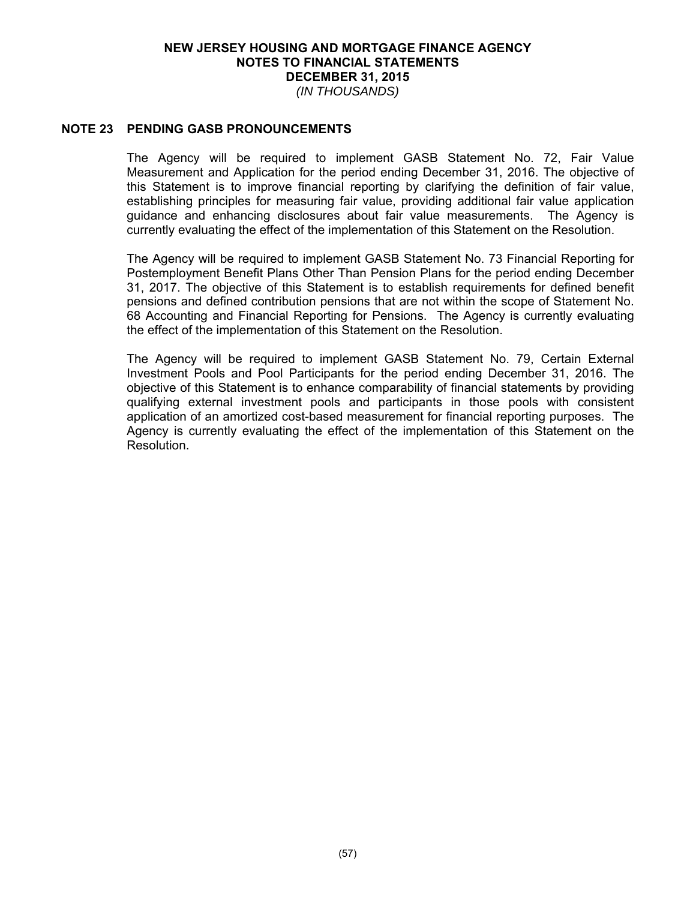*(IN THOUSANDS)*

#### **NOTE 23 PENDING GASB PRONOUNCEMENTS**

The Agency will be required to implement GASB Statement No. 72, Fair Value Measurement and Application for the period ending December 31, 2016. The objective of this Statement is to improve financial reporting by clarifying the definition of fair value, establishing principles for measuring fair value, providing additional fair value application guidance and enhancing disclosures about fair value measurements. The Agency is currently evaluating the effect of the implementation of this Statement on the Resolution.

The Agency will be required to implement GASB Statement No. 73 Financial Reporting for Postemployment Benefit Plans Other Than Pension Plans for the period ending December 31, 2017. The objective of this Statement is to establish requirements for defined benefit pensions and defined contribution pensions that are not within the scope of Statement No. 68 Accounting and Financial Reporting for Pensions. The Agency is currently evaluating the effect of the implementation of this Statement on the Resolution.

The Agency will be required to implement GASB Statement No. 79, Certain External Investment Pools and Pool Participants for the period ending December 31, 2016. The objective of this Statement is to enhance comparability of financial statements by providing qualifying external investment pools and participants in those pools with consistent application of an amortized cost-based measurement for financial reporting purposes. The Agency is currently evaluating the effect of the implementation of this Statement on the Resolution.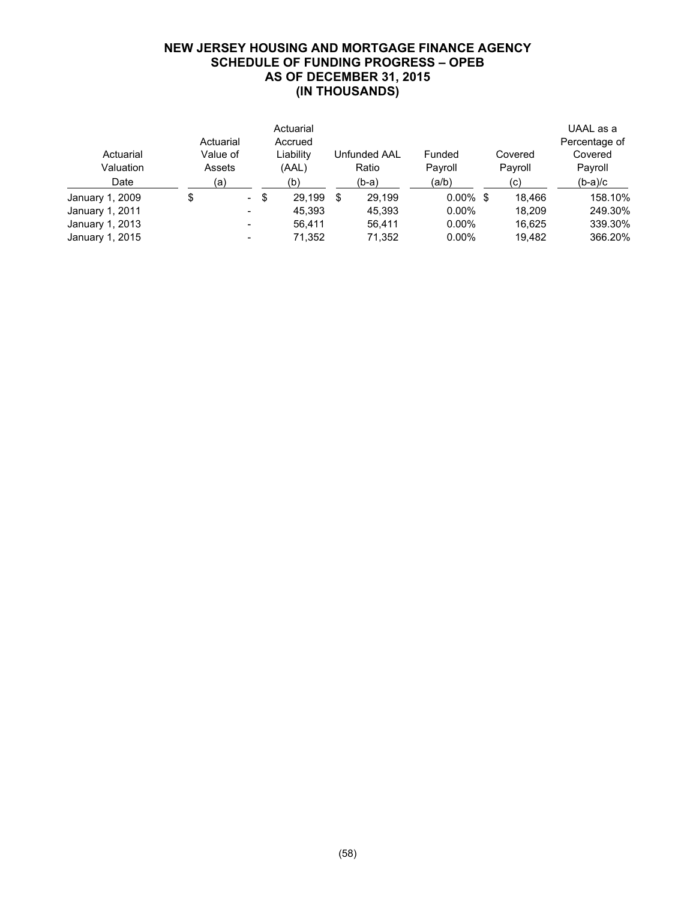# **NEW JERSEY HOUSING AND MORTGAGE FINANCE AGENCY SCHEDULE OF FUNDING PROGRESS – OPEB AS OF DECEMBER 31, 2015 (IN THOUSANDS)**

| Actuarial<br>Valuation  | Actuarial<br>Value of<br>Assets |                          |     | Actuarial<br>Accrued<br>Liability<br>(AAL) |    | Unfunded AAL<br>Ratio | Funded<br>Payroll    | Covered<br>Payroll |               | UAAL as a<br>Percentage of<br>Covered<br>Payroll |  |
|-------------------------|---------------------------------|--------------------------|-----|--------------------------------------------|----|-----------------------|----------------------|--------------------|---------------|--------------------------------------------------|--|
| Date<br>January 1, 2009 | \$                              | (a)<br>$\sim$ $-$        | -\$ | (b)<br>29.199                              | \$ | (b-a)<br>29.199       | (a/b)<br>$0.00\%$ \$ |                    | (c)<br>18.466 | $(b-a)/c$<br>158.10%                             |  |
| January 1, 2011         |                                 | $\overline{\phantom{a}}$ |     | 45.393                                     |    | 45.393                | $0.00\%$             |                    | 18.209        | 249.30%                                          |  |
| January 1, 2013         |                                 | $\blacksquare$           |     | 56.411                                     |    | 56.411                | $0.00\%$             |                    | 16.625        | 339.30%                                          |  |
| January 1, 2015         |                                 | $\overline{\phantom{0}}$ |     | 71.352                                     |    | 71.352                | $0.00\%$             |                    | 19.482        | 366.20%                                          |  |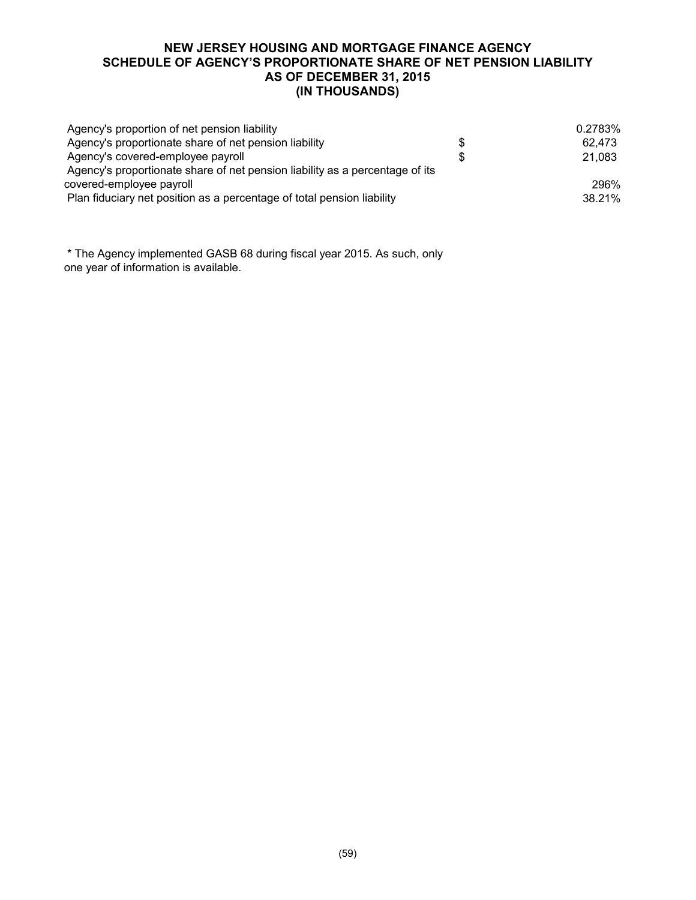### **NEW JERSEY HOUSING AND MORTGAGE FINANCE AGENCY SCHEDULE OF AGENCY'S PROPORTIONATE SHARE OF NET PENSION LIABILITY AS OF DECEMBER 31, 2015 (IN THOUSANDS)**

|   | 0.2783% |
|---|---------|
| S | 62.473  |
| S | 21.083  |
|   |         |
|   | 296%    |
|   | 38.21%  |
|   |         |

 \* The Agency implemented GASB 68 during fiscal year 2015. As such, only one year of information is available.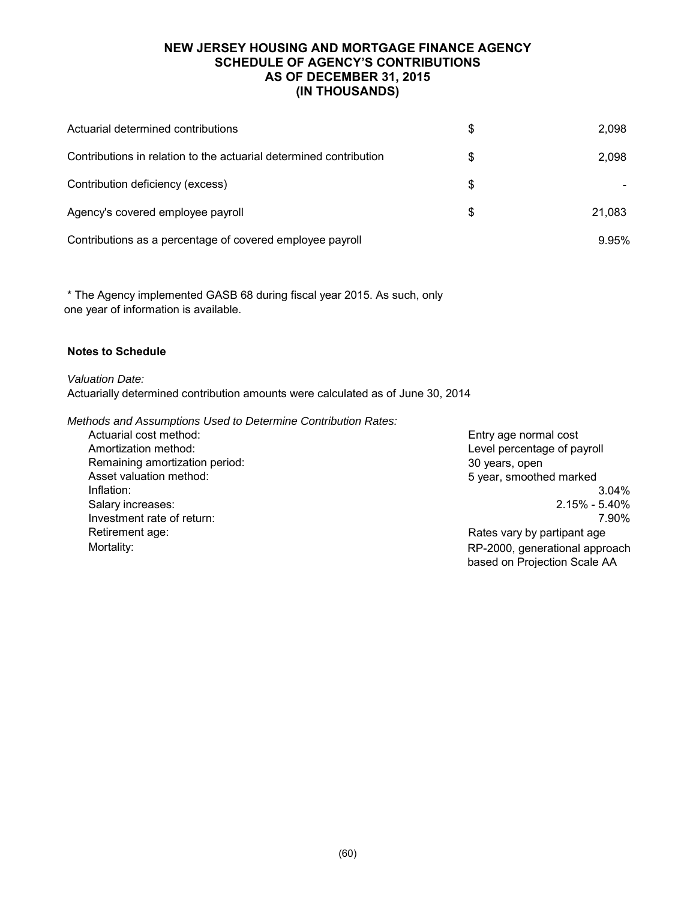### **NEW JERSEY HOUSING AND MORTGAGE FINANCE AGENCY SCHEDULE OF AGENCY'S CONTRIBUTIONS AS OF DECEMBER 31, 2015 (IN THOUSANDS)**

| Actuarial determined contributions                                 | \$ | 2,098  |
|--------------------------------------------------------------------|----|--------|
| Contributions in relation to the actuarial determined contribution | \$ | 2.098  |
| Contribution deficiency (excess)                                   | S  |        |
| Agency's covered employee payroll                                  | S  | 21.083 |
| Contributions as a percentage of covered employee payroll          |    | 9.95%  |

 \* The Agency implemented GASB 68 during fiscal year 2015. As such, only one year of information is available.

#### **Notes to Schedule**

 *Valuation Date:* 

Actuarially determined contribution amounts were calculated as of June 30, 2014

 *Methods and Assumptions Used to Determine Contribution Rates:* 

| Actuarial cost method:         | Entry age normal cost          |  |  |  |  |  |  |  |
|--------------------------------|--------------------------------|--|--|--|--|--|--|--|
| Amortization method:           | Level percentage of payroll    |  |  |  |  |  |  |  |
| Remaining amortization period: | 30 years, open                 |  |  |  |  |  |  |  |
| Asset valuation method:        | 5 year, smoothed marked        |  |  |  |  |  |  |  |
| Inflation:                     | $3.04\%$                       |  |  |  |  |  |  |  |
| Salary increases:              | $2.15\% - 5.40\%$              |  |  |  |  |  |  |  |
| Investment rate of return:     | 7.90%                          |  |  |  |  |  |  |  |
| Retirement age:                | Rates vary by partipant age    |  |  |  |  |  |  |  |
| Mortality:                     | RP-2000, generational approach |  |  |  |  |  |  |  |
|                                | based on Projection Scale AA   |  |  |  |  |  |  |  |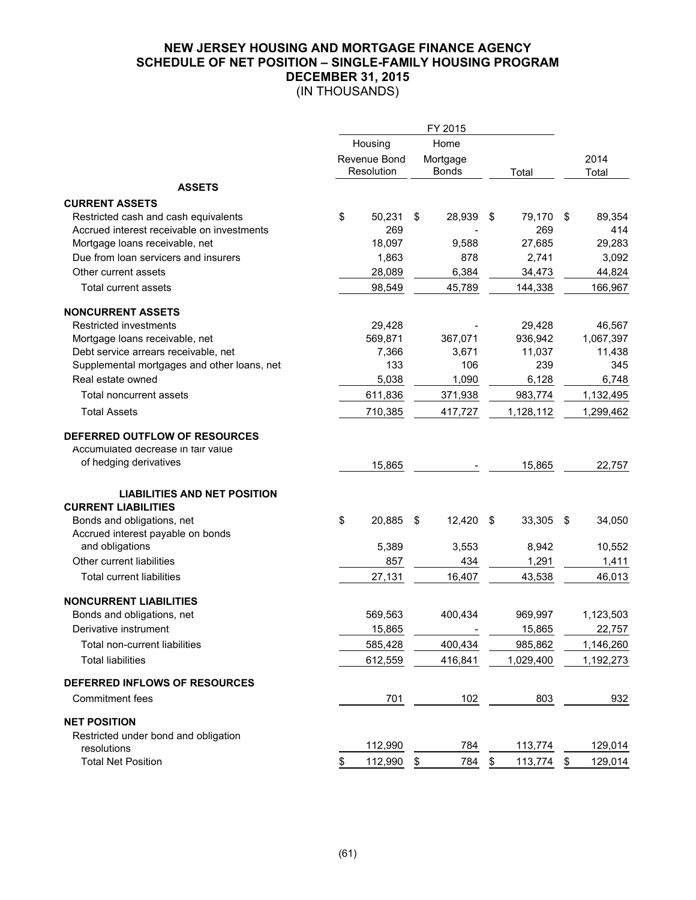# **NEW JERSEY HOUSING AND MORTGAGE FINANCE AGENCY SCHEDULE OF NET POSITION – SINGLE-FAMILY HOUSING PROGRAM DECEMBER 31, 2015**

|                                             |                            | FY 2015 |    |                          |               |           |    |               |  |
|---------------------------------------------|----------------------------|---------|----|--------------------------|---------------|-----------|----|---------------|--|
|                                             | Housing                    |         |    | Home                     |               |           |    |               |  |
|                                             | Revenue Bond<br>Resolution |         |    | Mortgage<br><b>Bonds</b> |               | Total     |    | 2014<br>Total |  |
| <b>ASSETS</b>                               |                            |         |    |                          |               |           |    |               |  |
| <b>CURRENT ASSETS</b>                       |                            |         |    |                          |               |           |    |               |  |
| Restricted cash and cash equivalents        | \$                         | 50,231  | \$ | 28,939                   | \$            | 79,170    | \$ | 89,354        |  |
| Accrued interest receivable on investments  |                            | 269     |    |                          |               | 269       |    | 414           |  |
| Mortgage loans receivable, net              |                            | 18,097  |    | 9,588                    |               | 27,685    |    | 29,283        |  |
| Due from loan servicers and insurers        |                            | 1,863   |    | 878                      |               | 2,741     |    | 3,092         |  |
| Other current assets                        |                            | 28,089  |    | 6,384                    |               | 34,473    |    | 44,824        |  |
| <b>Total current assets</b>                 |                            | 98,549  |    | 45,789                   |               | 144,338   |    | 166,967       |  |
| <b>NONCURRENT ASSETS</b>                    |                            |         |    |                          |               |           |    |               |  |
| <b>Restricted investments</b>               |                            | 29,428  |    |                          |               | 29,428    |    | 46,567        |  |
| Mortgage loans receivable, net              |                            | 569,871 |    | 367,071                  |               | 936,942   |    | 1,067,397     |  |
| Debt service arrears receivable, net        |                            | 7,366   |    | 3,671                    |               | 11,037    |    | 11,438        |  |
| Supplemental mortgages and other loans, net |                            | 133     |    | 106                      |               | 239       |    | 345           |  |
| Real estate owned                           |                            | 5,038   |    | 1,090                    |               | 6,128     |    | 6,748         |  |
| Total noncurrent assets                     |                            | 611,836 |    | 371,938                  |               | 983,774   |    | 1,132,495     |  |
| <b>Total Assets</b>                         |                            | 710,385 |    | 417,727                  |               | 1,128,112 |    | 1,299,462     |  |
| DEFERRED OUTFLOW OF RESOURCES               |                            |         |    |                          |               |           |    |               |  |
| Accumulated decrease in fair value          |                            |         |    |                          |               |           |    |               |  |
| of hedging derivatives                      |                            | 15,865  |    |                          |               | 15,865    |    | 22,757        |  |
| <b>LIABILITIES AND NET POSITION</b>         |                            |         |    |                          |               |           |    |               |  |
| <b>CURRENT LIABILITIES</b>                  |                            |         |    |                          |               |           |    |               |  |
| Bonds and obligations, net                  | \$                         | 20,885  | \$ | 12,420                   | -\$           | 33,305    | \$ | 34,050        |  |
| Accrued interest payable on bonds           |                            |         |    |                          |               |           |    |               |  |
| and obligations                             |                            | 5,389   |    | 3,553                    |               | 8,942     |    | 10,552        |  |
| Other current liabilities                   |                            | 857     |    | 434                      |               | 1,291     |    | 1,411         |  |
| Total current liabilities                   |                            | 27,131  |    | 16,407                   |               | 43,538    |    | 46,013        |  |
| <b>NONCURRENT LIABILITIES</b>               |                            |         |    |                          |               |           |    |               |  |
| Bonds and obligations, net                  |                            | 569,563 |    | 400,434                  |               | 969,997   |    | 1,123,503     |  |
| Derivative instrument                       |                            | 15,865  |    |                          |               | 15,865    |    | 22,757        |  |
| Total non-current liabilities               |                            | 585,428 |    | 400,434                  |               | 985,862   |    | 1,146,260     |  |
| <b>Total liabilities</b>                    |                            | 612,559 |    | 416,841                  |               | 1,029,400 |    | 1,192,273     |  |
| DEFERRED INFLOWS OF RESOURCES               |                            |         |    |                          |               |           |    |               |  |
| Commitment fees                             |                            | 701     |    | 102                      |               | 803       |    | 932           |  |
| <b>NET POSITION</b>                         |                            |         |    |                          |               |           |    |               |  |
| Restricted under bond and obligation        |                            |         |    |                          |               |           |    |               |  |
| resolutions                                 |                            | 112,990 |    | 784                      |               | 113,774   |    | 129,014       |  |
| <b>Total Net Position</b>                   | \$                         | 112,990 | \$ | 784                      | $\frac{1}{2}$ | 113,774   | \$ | 129,014       |  |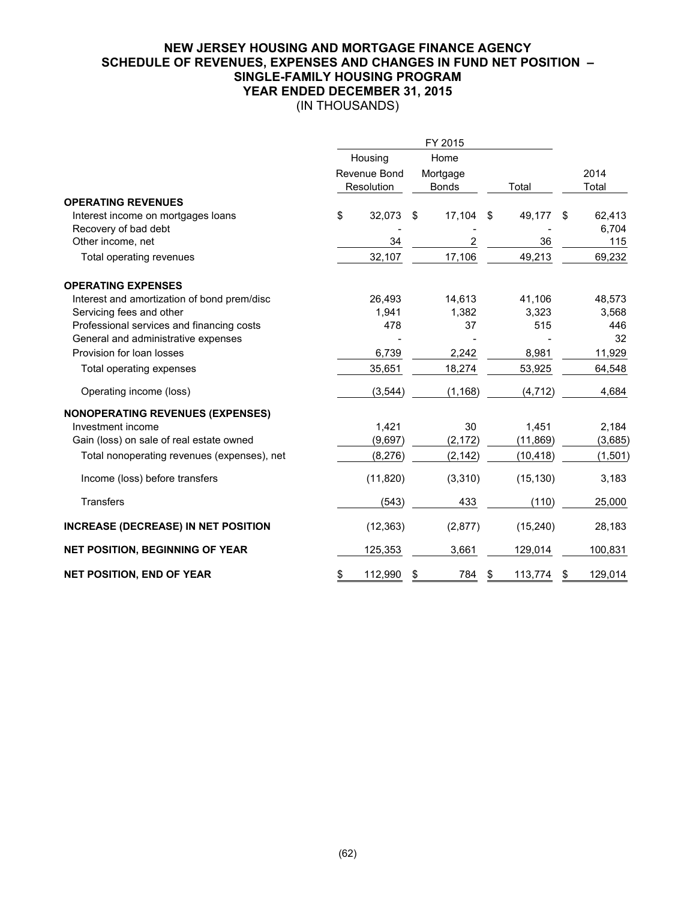### **NEW JERSEY HOUSING AND MORTGAGE FINANCE AGENCY SCHEDULE OF REVENUES, EXPENSES AND CHANGES IN FUND NET POSITION – SINGLE-FAMILY HOUSING PROGRAM YEAR ENDED DECEMBER 31, 2015**

|                                             |    | Housing      | Home           |    |           |               |  |
|---------------------------------------------|----|--------------|----------------|----|-----------|---------------|--|
|                                             |    | Revenue Bond | Mortgage       |    |           | 2014          |  |
|                                             |    | Resolution   | <b>Bonds</b>   |    | Total     | Total         |  |
| <b>OPERATING REVENUES</b>                   |    |              |                |    |           |               |  |
| Interest income on mortgages loans          | \$ | 32,073       | \$<br>17,104   | \$ | 49,177    | \$<br>62,413  |  |
| Recovery of bad debt                        |    |              |                |    |           | 6,704         |  |
| Other income, net                           |    | 34           | $\overline{2}$ |    | 36        | 115           |  |
| Total operating revenues                    |    | 32,107       | 17,106         |    | 49,213    | 69,232        |  |
| <b>OPERATING EXPENSES</b>                   |    |              |                |    |           |               |  |
| Interest and amortization of bond prem/disc |    | 26,493       | 14,613         |    | 41,106    | 48,573        |  |
| Servicing fees and other                    |    | 1,941        | 1,382          |    | 3,323     | 3,568         |  |
| Professional services and financing costs   |    | 478          | 37             |    | 515       | 446           |  |
| General and administrative expenses         |    |              |                |    |           | 32            |  |
| Provision for loan losses                   |    | 6,739        | 2,242          |    | 8,981     | 11,929        |  |
| Total operating expenses                    |    | 35,651       | 18,274         |    | 53,925    | 64,548        |  |
| Operating income (loss)                     |    | (3, 544)     | (1, 168)       |    | (4, 712)  | 4,684         |  |
| <b>NONOPERATING REVENUES (EXPENSES)</b>     |    |              |                |    |           |               |  |
| Investment income                           |    | 1,421        | 30             |    | 1,451     | 2,184         |  |
| Gain (loss) on sale of real estate owned    |    | (9,697)      | (2, 172)       |    | (11, 869) | (3,685)       |  |
| Total nonoperating revenues (expenses), net |    | (8, 276)     | (2, 142)       |    | (10, 418) | (1,501)       |  |
| Income (loss) before transfers              |    | (11, 820)    | (3, 310)       |    | (15, 130) | 3,183         |  |
| <b>Transfers</b>                            |    | (543)        | 433            |    | (110)     | 25,000        |  |
| <b>INCREASE (DECREASE) IN NET POSITION</b>  |    | (12, 363)    | (2,877)        |    | (15, 240) | 28,183        |  |
| <b>NET POSITION, BEGINNING OF YEAR</b>      |    | 125,353      | 3,661          |    | 129,014   | 100,831       |  |
| <b>NET POSITION, END OF YEAR</b>            | \$ | 112,990      | \$<br>784      | \$ | 113,774   | \$<br>129,014 |  |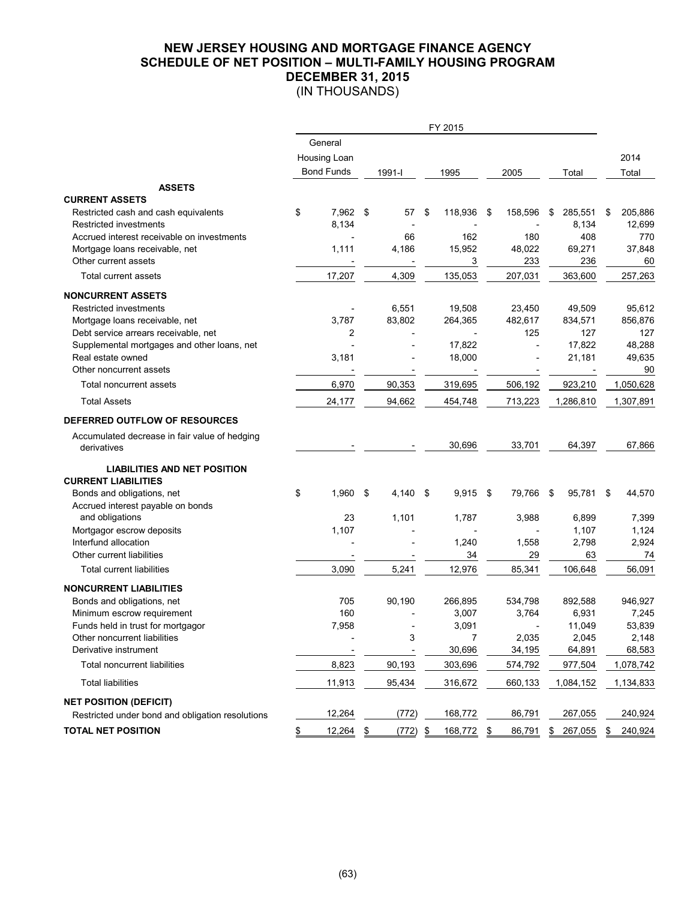# **NEW JERSEY HOUSING AND MORTGAGE FINANCE AGENCY SCHEDULE OF NET POSITION – MULTI-FAMILY HOUSING PROGRAM DECEMBER 31, 2015**

|                                                  |                   |                | FY 2015       |     |         |                |               |
|--------------------------------------------------|-------------------|----------------|---------------|-----|---------|----------------|---------------|
|                                                  | General           |                |               |     |         |                |               |
|                                                  | Housing Loan      |                |               |     |         |                | 2014          |
|                                                  | <b>Bond Funds</b> | 1991-l         | 1995          |     | 2005    | Total          | Total         |
|                                                  |                   |                |               |     |         |                |               |
| <b>ASSETS</b>                                    |                   |                |               |     |         |                |               |
| <b>CURRENT ASSETS</b>                            |                   |                |               |     |         |                |               |
| Restricted cash and cash equivalents             | \$<br>7,962       | \$<br>57       | \$<br>118,936 | -\$ | 158,596 | 285,551<br>\$  | 205,886<br>\$ |
| <b>Restricted investments</b>                    | 8,134             |                |               |     |         | 8,134          | 12,699        |
| Accrued interest receivable on investments       |                   | 66             | 162           |     | 180     | 408            | 770           |
| Mortgage loans receivable, net                   | 1,111             | 4,186          | 15,952        |     | 48,022  | 69,271         | 37,848        |
| Other current assets                             |                   |                | 3             |     | 233     | 236            | 60            |
| Total current assets                             | 17,207            | 4,309          | 135,053       |     | 207,031 | 363,600        | 257,263       |
| <b>NONCURRENT ASSETS</b>                         |                   |                |               |     |         |                |               |
| Restricted investments                           |                   | 6,551          | 19,508        |     | 23,450  | 49,509         | 95,612        |
| Mortgage loans receivable, net                   | 3,787             | 83,802         | 264,365       |     | 482,617 | 834,571        | 856,876       |
| Debt service arrears receivable, net             | 2                 |                |               |     | 125     | 127            | 127           |
| Supplemental mortgages and other loans, net      |                   |                | 17,822        |     |         | 17,822         | 48,288        |
| Real estate owned                                | 3,181             |                | 18,000        |     |         | 21,181         | 49,635        |
| Other noncurrent assets                          |                   |                |               |     |         |                | 90            |
| Total noncurrent assets                          | 6,970             | 90,353         | 319,695       |     | 506,192 | 923,210        | 1,050,628     |
| <b>Total Assets</b>                              | 24,177            | 94,662         | 454,748       |     | 713,223 | 1,286,810      | 1,307,891     |
| DEFERRED OUTFLOW OF RESOURCES                    |                   |                |               |     |         |                |               |
| Accumulated decrease in fair value of hedging    |                   |                |               |     |         |                |               |
| derivatives                                      |                   |                | 30,696        |     | 33,701  | 64,397         | 67,866        |
| <b>LIABILITIES AND NET POSITION</b>              |                   |                |               |     |         |                |               |
| <b>CURRENT LIABILITIES</b>                       |                   |                |               |     |         |                |               |
| Bonds and obligations, net                       | \$<br>1,960       | \$<br>4,140 \$ | $9,915$ \$    |     | 79,766  | 95,781<br>- \$ | -\$<br>44,570 |
| Accrued interest payable on bonds                |                   |                |               |     |         |                |               |
| and obligations                                  | 23                | 1,101          | 1,787         |     | 3,988   | 6,899          | 7,399         |
| Mortgagor escrow deposits                        | 1,107             |                |               |     |         | 1,107          | 1,124         |
| Interfund allocation                             |                   |                | 1,240         |     | 1,558   | 2,798          | 2,924         |
| Other current liabilities                        |                   |                | 34            |     | 29      | 63             | 74            |
| <b>Total current liabilities</b>                 | 3,090             | 5,241          | 12,976        |     | 85,341  | 106,648        | 56,091        |
| <b>NONCURRENT LIABILITIES</b>                    |                   |                |               |     |         |                |               |
| Bonds and obligations, net                       | 705               | 90,190         | 266,895       |     | 534,798 | 892.588        | 946,927       |
| Minimum escrow requirement                       | 160               |                | 3,007         |     | 3,764   | 6,931          | 7,245         |
| Funds held in trust for mortgagor                | 7,958             |                | 3,091         |     |         | 11,049         | 53,839        |
| Other noncurrent liabilities                     |                   | 3              | 7             |     | 2,035   | 2,045          | 2,148         |
| Derivative instrument                            |                   |                | 30,696        |     | 34,195  | 64,891         | 68,583        |
| <b>Total noncurrent liabilities</b>              | 8,823             | 90,193         | 303,696       |     | 574,792 | 977,504        | 1,078,742     |
| <b>Total liabilities</b>                         | 11,913            | 95,434         | 316,672       |     | 660,133 | 1,084,152      | 1,134,833     |
| <b>NET POSITION (DEFICIT)</b>                    |                   |                |               |     |         |                |               |
| Restricted under bond and obligation resolutions | 12,264            | (772)          | 168,772       |     | 86,791  | 267,055        | 240,924       |
| <b>TOTAL NET POSITION</b>                        | \$<br>12,264 \$   | $(772)$ \$     | 168,772 \$    |     | 86,791  | \$267,055      | \$<br>240,924 |